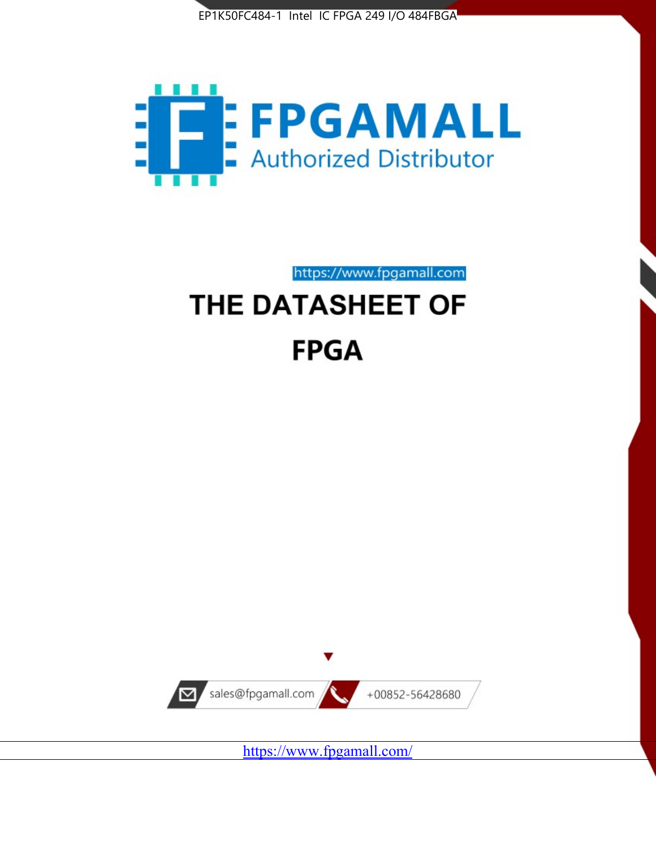



https://www.fpgamall.com THE DATASHEET OF

# **FPGA**



<https://www.fpgamall.com/>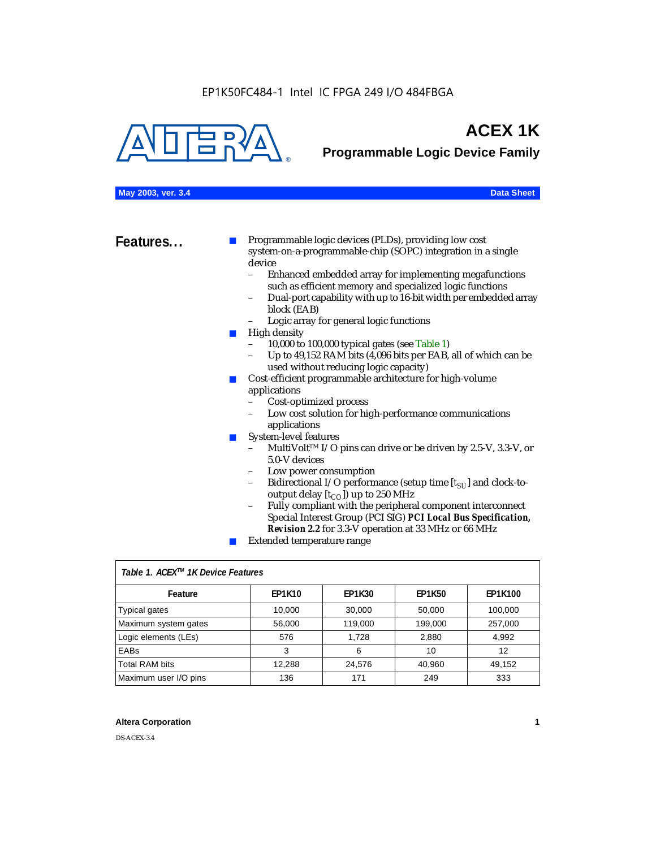

## **ACEX 1K**

**Programmable Logic Device Family**

#### **May 2003, ver. 3.4 Data Sheet**

**Features...** ■ Programmable logic devices (PLDs), providing low cost system-on-a-programmable-chip (SOPC) integration in a single device<br>- Fr

- Enhanced embedded array for implementing megafunctions such as efficient memory and specialized logic functions
- Dual-port capability with up to 16-bit width per embedded array block (EAB)
- Logic array for general logic functions
- High density
	- 10,000 to 100,000 typical gates (see Table 1)
	- Up to 49,152 RAM bits (4,096 bits per EAB, all of which can be used without reducing logic capacity)
- Cost-efficient programmable architecture for high-volume applications
	- Cost-optimized process
	- Low cost solution for high-performance communications applications
- System-level features
	- MultiVolt<sup>™</sup> I/O pins can drive or be driven by 2.5-V, 3.3-V, or 5.0-V devices
	- Low power consumption
	- Bidirectional I/O performance (setup time [ $t_{SU}$ ] and clock-tooutput delay  $[t_{CO}]$ ) up to 250 MHz
	- Fully compliant with the peripheral component interconnect Special Interest Group (PCI SIG) *PCI Local Bus Specification, Revision 2.2* for 3.3-V operation at 33 MHz or 66 MHz
	- Extended temperature range

| Table 1. ACEX™ 1K Device Features |               |               |               |                |  |  |
|-----------------------------------|---------------|---------------|---------------|----------------|--|--|
| Feature                           | <b>EP1K10</b> | <b>EP1K30</b> | <b>EP1K50</b> | <b>EP1K100</b> |  |  |
| <b>Typical gates</b>              | 10,000        | 30,000        | 50,000        | 100,000        |  |  |
| Maximum system gates              | 56,000        | 119,000       | 199,000       | 257,000        |  |  |
| Logic elements (LEs)              | 576           | 1.728         | 2,880         | 4,992          |  |  |
| <b>EABs</b>                       | 3             | 6             | 10            | 12             |  |  |
| <b>Total RAM bits</b>             | 12,288        | 24,576        | 40,960        | 49,152         |  |  |
| Maximum user I/O pins             | 136           | 171           | 249           | 333            |  |  |

#### **Altera Corporation 1**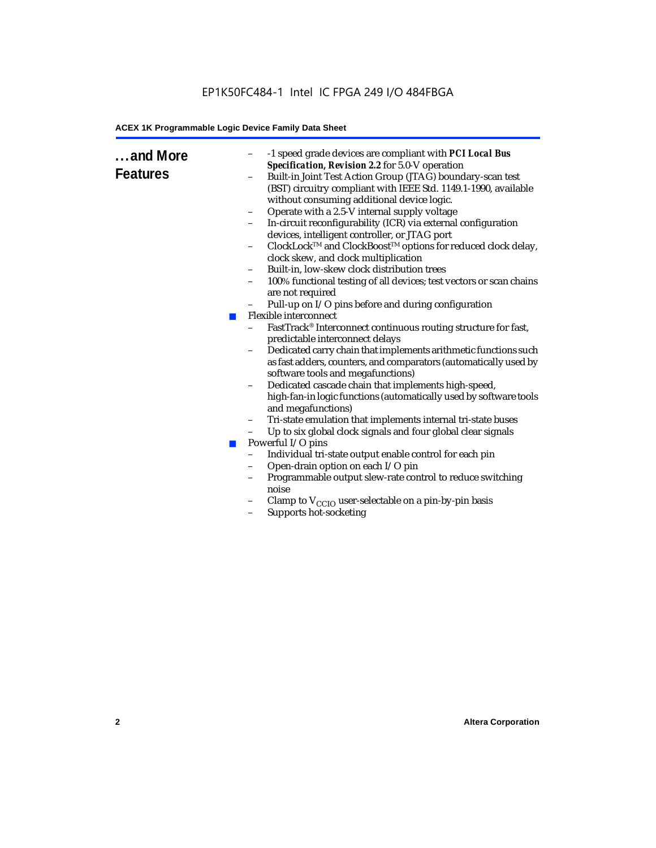### EP1K50FC484-1 Intel IC FPGA 249 I/O 484FBGA

#### **ACEX 1K Programmable Logic Device Family Data Sheet**

| and More<br><b>Features</b><br><b>COL</b><br><b>Tale</b> | -1 speed grade devices are compliant with PCI Local Bus<br>-<br>Specification, Revision 2.2 for 5.0-V operation<br>Built-in Joint Test Action Group (JTAG) boundary-scan test<br>(BST) circuitry compliant with IEEE Std. 1149.1-1990, available<br>without consuming additional device logic.<br>Operate with a 2.5-V internal supply voltage<br>-<br>In-circuit reconfigurability (ICR) via external configuration<br>-<br>devices, intelligent controller, or JTAG port<br>ClockLock™ and ClockBoost™ options for reduced clock delay,<br>clock skew, and clock multiplication<br>Built-in, low-skew clock distribution trees<br>100% functional testing of all devices; test vectors or scan chains<br>$\overline{\phantom{0}}$<br>are not required<br>Pull-up on I/O pins before and during configuration<br>$\qquad \qquad -$<br>Flexible interconnect<br>FastTrack® Interconnect continuous routing structure for fast,<br>predictable interconnect delays<br>Dedicated carry chain that implements arithmetic functions such<br>$\overline{\phantom{0}}$<br>as fast adders, counters, and comparators (automatically used by<br>software tools and megafunctions)<br>Dedicated cascade chain that implements high-speed,<br>$\overline{\phantom{0}}$<br>high-fan-in logic functions (automatically used by software tools<br>and megafunctions)<br>Tri-state emulation that implements internal tri-state buses<br>-<br>Up to six global clock signals and four global clear signals<br>-<br>Powerful I/O pins<br>Individual tri-state output enable control for each pin<br>Open-drain option on each I/O pin<br>-<br>Programmable output slew-rate control to reduce switching<br>-<br>noise<br>Clamp to $V_{\text{CCIO}}$ user-selectable on a pin-by-pin basis<br>Supports hot-socketing<br>$\overline{\phantom{0}}$ |
|----------------------------------------------------------|----------------------------------------------------------------------------------------------------------------------------------------------------------------------------------------------------------------------------------------------------------------------------------------------------------------------------------------------------------------------------------------------------------------------------------------------------------------------------------------------------------------------------------------------------------------------------------------------------------------------------------------------------------------------------------------------------------------------------------------------------------------------------------------------------------------------------------------------------------------------------------------------------------------------------------------------------------------------------------------------------------------------------------------------------------------------------------------------------------------------------------------------------------------------------------------------------------------------------------------------------------------------------------------------------------------------------------------------------------------------------------------------------------------------------------------------------------------------------------------------------------------------------------------------------------------------------------------------------------------------------------------------------------------------------------------------------------------------------------------------------------------------------------------------------------------------------------|
|                                                          |                                                                                                                                                                                                                                                                                                                                                                                                                                                                                                                                                                                                                                                                                                                                                                                                                                                                                                                                                                                                                                                                                                                                                                                                                                                                                                                                                                                                                                                                                                                                                                                                                                                                                                                                                                                                                                  |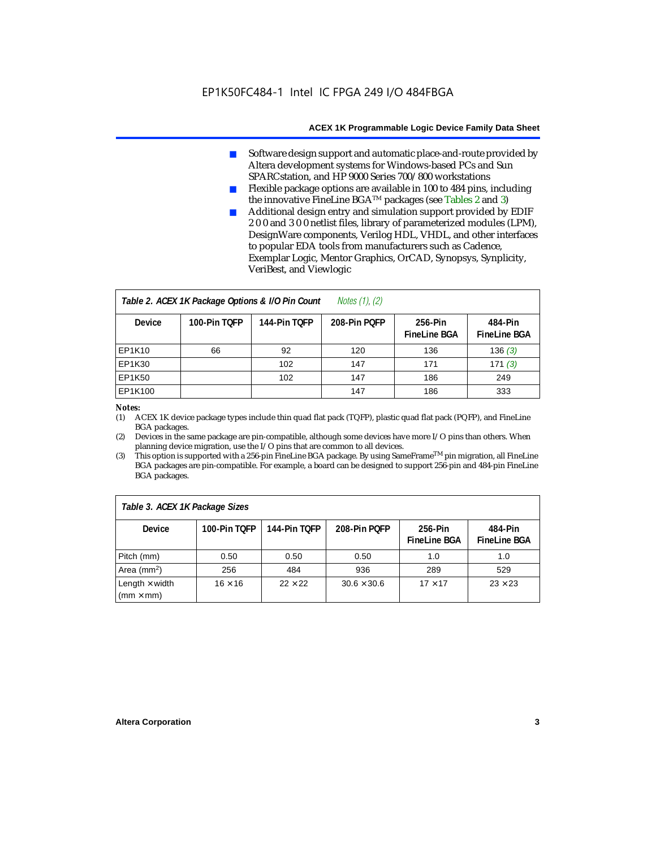- Software design support and automatic place-and-route provided by Altera development systems for Windows-based PCs and Sun SPARCstation, and HP 9000 Series 700/800 workstations
- Flexible package options are available in 100 to 484 pins, including the innovative FineLine BGATM packages (see Tables 2 and 3)
- Additional design entry and simulation support provided by EDIF 2 0 0 and 3 0 0 netlist files, library of parameterized modules (LPM), DesignWare components, Verilog HDL, VHDL, and other interfaces to popular EDA tools from manufacturers such as Cadence, Exemplar Logic, Mentor Graphics, OrCAD, Synopsys, Synplicity, VeriBest, and Viewlogic

| Notes $(1)$ , $(2)$<br>Table 2. ACEX 1K Package Options & I/O Pin Count |              |              |              |                                |                                |  |  |
|-------------------------------------------------------------------------|--------------|--------------|--------------|--------------------------------|--------------------------------|--|--|
| <b>Device</b>                                                           | 100-Pin TOFP | 144-Pin TOFP | 208-Pin POFP | 256-Pin<br><b>FineLine BGA</b> | 484-Pin<br><b>FineLine BGA</b> |  |  |
| <b>EP1K10</b>                                                           | 66           | 92           | 120          | 136                            | 136(3)                         |  |  |
| <b>EP1K30</b>                                                           |              | 102          | 147          | 171                            | 171(3)                         |  |  |
| <b>EP1K50</b>                                                           |              | 102          | 147          | 186                            | 249                            |  |  |
| EP1K100                                                                 |              |              | 147          | 186                            | 333                            |  |  |

#### *Notes:*

(1) ACEX 1K device package types include thin quad flat pack (TQFP), plastic quad flat pack (PQFP), and FineLine BGA packages.

(2) Devices in the same package are pin-compatible, although some devices have more I/O pins than others. When planning device migration, use the I/O pins that are common to all devices.

(3) This option is supported with a 256-pin FineLine BGA package. By using SameFrameTM pin migration, all FineLine BGA packages are pin-compatible. For example, a board can be designed to support 256-pin and 484-pin FineLine BGA packages.

| Table 3. ACEX 1K Package Sizes                           |                |                |                    |                                |                                |  |
|----------------------------------------------------------|----------------|----------------|--------------------|--------------------------------|--------------------------------|--|
| <b>Device</b>                                            | 100-Pin TOFP   | 144-Pin TOFP   | 208-Pin POFP       | 256-Pin<br><b>FineLine BGA</b> | 484-Pin<br><b>FineLine BGA</b> |  |
| Pitch (mm)                                               | 0.50           | 0.50           | 0.50               | 1.0                            | 1.0                            |  |
| Area ( $mm2$ )                                           | 256            | 484            | 936                | 289                            | 529                            |  |
| Length $\times$ width<br>$\mathsf{mmm}\times\mathsf{mm}$ | $16 \times 16$ | $22 \times 22$ | $30.6 \times 30.6$ | $17 \times 17$                 | $23 \times 23$                 |  |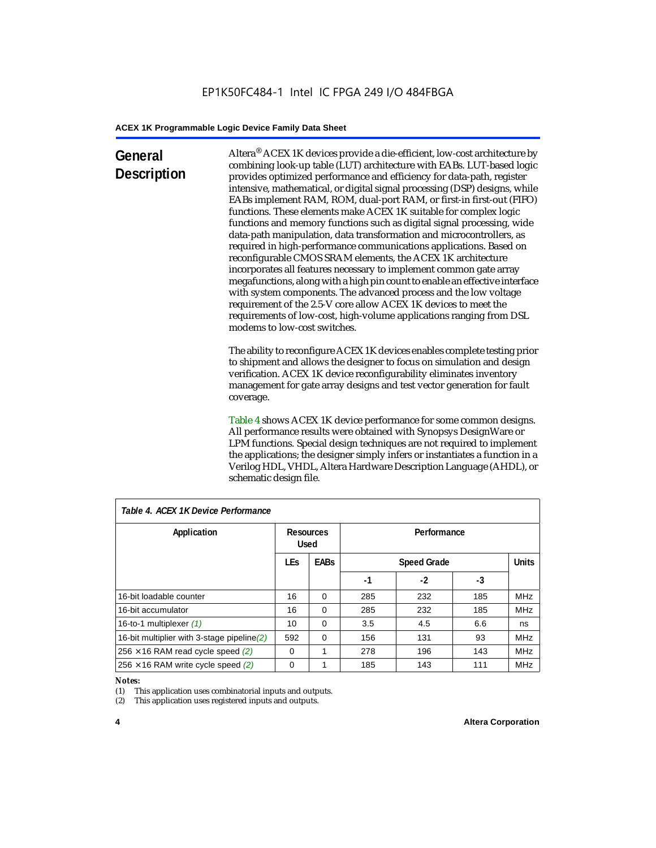### **General Description**

Altera® ACEX 1K devices provide a die-efficient, low-cost architecture by combining look-up table (LUT) architecture with EABs. LUT-based logic provides optimized performance and efficiency for data-path, register intensive, mathematical, or digital signal processing (DSP) designs, while EABs implement RAM, ROM, dual-port RAM, or first-in first-out (FIFO) functions. These elements make ACEX 1K suitable for complex logic functions and memory functions such as digital signal processing, wide data-path manipulation, data transformation and microcontrollers, as required in high-performance communications applications. Based on reconfigurable CMOS SRAM elements, the ACEX 1K architecture incorporates all features necessary to implement common gate array megafunctions, along with a high pin count to enable an effective interface with system components. The advanced process and the low voltage requirement of the 2.5-V core allow ACEX 1K devices to meet the requirements of low-cost, high-volume applications ranging from DSL modems to low-cost switches.

The ability to reconfigure ACEX 1K devices enables complete testing prior to shipment and allows the designer to focus on simulation and design verification. ACEX 1K device reconfigurability eliminates inventory management for gate array designs and test vector generation for fault coverage.

Table 4 shows ACEX 1K device performance for some common designs. All performance results were obtained with Synopsys DesignWare or LPM functions. Special design techniques are not required to implement the applications; the designer simply infers or instantiates a function in a Verilog HDL, VHDL, Altera Hardware Description Language (AHDL), or schematic design file.

| Table 4. ACEX 1K Device Performance         |                          |             |                    |      |     |              |  |
|---------------------------------------------|--------------------------|-------------|--------------------|------|-----|--------------|--|
| Application                                 | <b>Resources</b><br>Used |             | Performance        |      |     |              |  |
|                                             | <b>LEs</b>               | <b>EABs</b> | <b>Speed Grade</b> |      |     | <b>Units</b> |  |
|                                             |                          |             | -1                 | $-2$ | -3  |              |  |
| 16-bit loadable counter                     | 16                       | $\Omega$    | 285                | 232  | 185 | <b>MHz</b>   |  |
| 16-bit accumulator                          | 16                       | $\Omega$    | 285                | 232  | 185 | <b>MHz</b>   |  |
| 16-to-1 multiplexer (1)                     | 10                       | $\Omega$    | 3.5                | 4.5  | 6.6 | ns           |  |
| 16-bit multiplier with 3-stage pipeline (2) | 592                      | $\Omega$    | 156                | 131  | 93  | <b>MHz</b>   |  |
| $256 \times 16$ RAM read cycle speed (2)    | $\Omega$                 | 1           | 278                | 196  | 143 | <b>MHz</b>   |  |
| $256 \times 16$ RAM write cycle speed (2)   | $\Omega$                 |             | 185                | 143  | 111 | <b>MHz</b>   |  |

#### *Table 4. ACEX 1K Device Performance*

#### *Notes:*

(1) This application uses combinatorial inputs and outputs.

(2) This application uses registered inputs and outputs.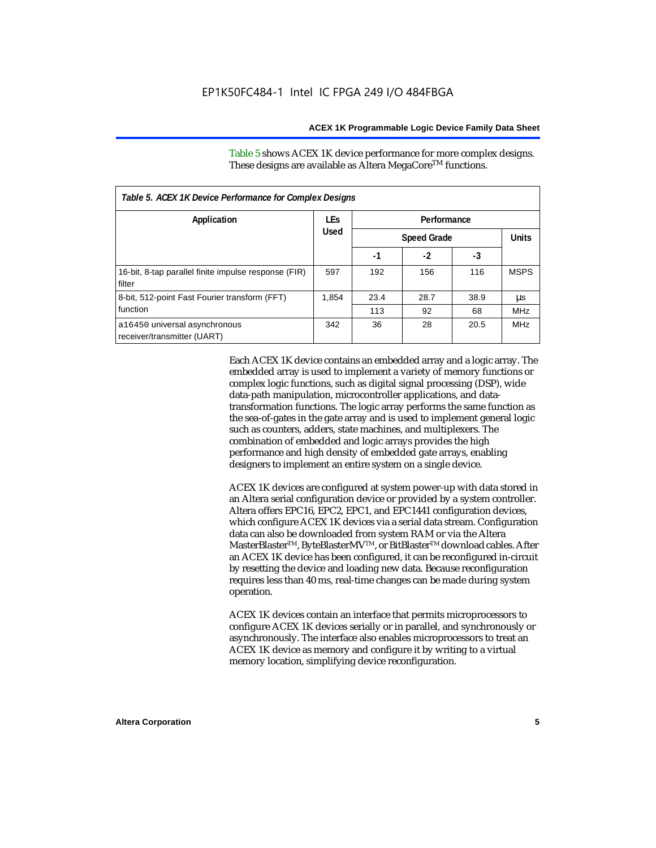Table 5 shows ACEX 1K device performance for more complex designs. These designs are available as Altera MegaCore<sup>TM</sup> functions.

| Table 5. ACEX 1K Device Performance for Complex Designs        |            |             |                    |      |             |  |
|----------------------------------------------------------------|------------|-------------|--------------------|------|-------------|--|
| Application                                                    | <b>LEs</b> | Performance |                    |      |             |  |
|                                                                | Used       |             | <b>Speed Grade</b> |      |             |  |
|                                                                |            | -1          | $-2$               | -3   |             |  |
| 16-bit, 8-tap parallel finite impulse response (FIR)<br>filter | 597        | 192         | 156                | 116  | <b>MSPS</b> |  |
| 8-bit, 512-point Fast Fourier transform (FFT)                  | 1.854      | 23.4        | 28.7               | 38.9 | μs          |  |
| function                                                       |            | 113         | 92                 | 68   | <b>MHz</b>  |  |
| a16450 universal asynchronous<br>receiver/transmitter (UART)   | 342        | 36          | 28                 | 20.5 | <b>MHz</b>  |  |

Each ACEX 1K device contains an embedded array and a logic array. The embedded array is used to implement a variety of memory functions or complex logic functions, such as digital signal processing (DSP), wide data-path manipulation, microcontroller applications, and datatransformation functions. The logic array performs the same function as the sea-of-gates in the gate array and is used to implement general logic such as counters, adders, state machines, and multiplexers. The combination of embedded and logic arrays provides the high performance and high density of embedded gate arrays, enabling designers to implement an entire system on a single device.

ACEX 1K devices are configured at system power-up with data stored in an Altera serial configuration device or provided by a system controller. Altera offers EPC16, EPC2, EPC1, and EPC1441 configuration devices, which configure ACEX 1K devices via a serial data stream. Configuration data can also be downloaded from system RAM or via the Altera MasterBlaster™, ByteBlasterMV™, or BitBlaster™ download cables. After an ACEX 1K device has been configured, it can be reconfigured in-circuit by resetting the device and loading new data. Because reconfiguration requires less than 40 ms, real-time changes can be made during system operation.

ACEX 1K devices contain an interface that permits microprocessors to configure ACEX 1K devices serially or in parallel, and synchronously or asynchronously. The interface also enables microprocessors to treat an ACEX 1K device as memory and configure it by writing to a virtual memory location, simplifying device reconfiguration.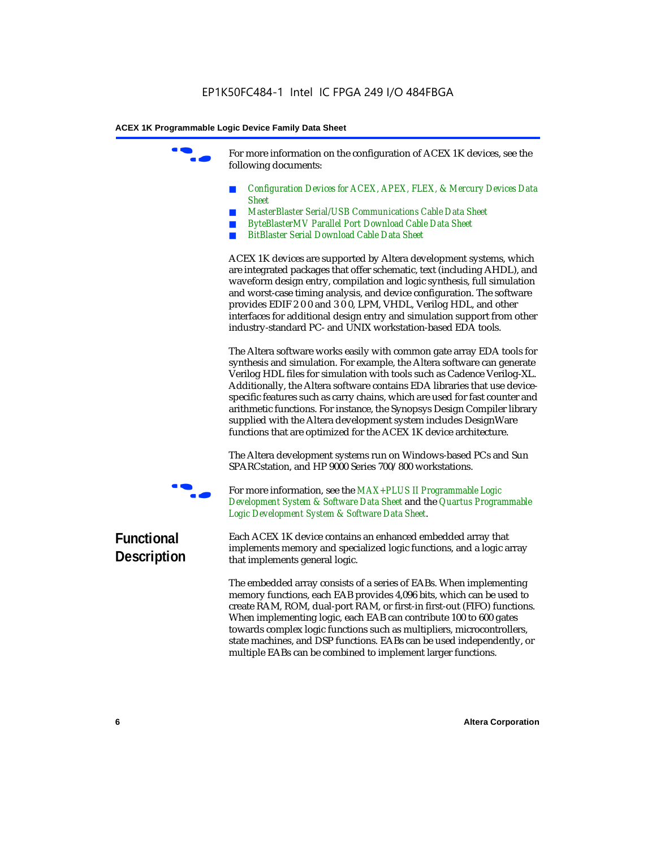For more information on the configuration of ACEX 1K devices, see the following documents:

- *Configuration Devices for ACEX, APEX, FLEX, & Mercury Devices Data Sheet*
- *MasterBlaster Serial/USB Communications Cable Data Sheet*
- *ByteBlasterMV Parallel Port Download Cable Data Sheet*
- *BitBlaster Serial Download Cable Data Sheet*

ACEX 1K devices are supported by Altera development systems, which are integrated packages that offer schematic, text (including AHDL), and waveform design entry, compilation and logic synthesis, full simulation and worst-case timing analysis, and device configuration. The software provides EDIF 2 0 0 and 3 0 0, LPM, VHDL, Verilog HDL, and other interfaces for additional design entry and simulation support from other industry-standard PC- and UNIX workstation-based EDA tools.

The Altera software works easily with common gate array EDA tools for synthesis and simulation. For example, the Altera software can generate Verilog HDL files for simulation with tools such as Cadence Verilog-XL. Additionally, the Altera software contains EDA libraries that use devicespecific features such as carry chains, which are used for fast counter and arithmetic functions. For instance, the Synopsys Design Compiler library supplied with the Altera development system includes DesignWare functions that are optimized for the ACEX 1K device architecture.

The Altera development systems run on Windows-based PCs and Sun SPARCstation, and HP 9000 Series 700/800 workstations.



For more information, see the *MAX+PLUS II Programmable Logic Development System & Software Data Sheet* and the *Quartus Programmable Logic Development System & Software Data Sheet*.

### **Functional Description**

Each ACEX 1K device contains an enhanced embedded array that implements memory and specialized logic functions, and a logic array that implements general logic.

The embedded array consists of a series of EABs. When implementing memory functions, each EAB provides 4,096 bits, which can be used to create RAM, ROM, dual-port RAM, or first-in first-out (FIFO) functions. When implementing logic, each EAB can contribute 100 to 600 gates towards complex logic functions such as multipliers, microcontrollers, state machines, and DSP functions. EABs can be used independently, or multiple EABs can be combined to implement larger functions.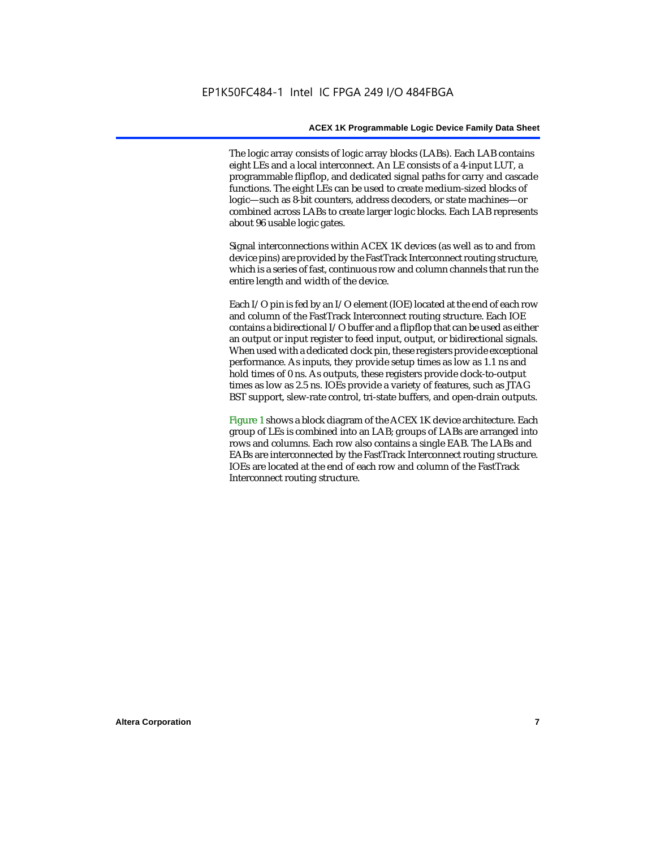The logic array consists of logic array blocks (LABs). Each LAB contains eight LEs and a local interconnect. An LE consists of a 4-input LUT, a programmable flipflop, and dedicated signal paths for carry and cascade functions. The eight LEs can be used to create medium-sized blocks of logic—such as 8-bit counters, address decoders, or state machines—or combined across LABs to create larger logic blocks. Each LAB represents about 96 usable logic gates.

Signal interconnections within ACEX 1K devices (as well as to and from device pins) are provided by the FastTrack Interconnect routing structure, which is a series of fast, continuous row and column channels that run the entire length and width of the device.

Each I/O pin is fed by an I/O element (IOE) located at the end of each row and column of the FastTrack Interconnect routing structure. Each IOE contains a bidirectional I/O buffer and a flipflop that can be used as either an output or input register to feed input, output, or bidirectional signals. When used with a dedicated clock pin, these registers provide exceptional performance. As inputs, they provide setup times as low as 1.1 ns and hold times of 0 ns. As outputs, these registers provide clock-to-output times as low as 2.5 ns. IOEs provide a variety of features, such as JTAG BST support, slew-rate control, tri-state buffers, and open-drain outputs.

Figure 1 shows a block diagram of the ACEX 1K device architecture. Each group of LEs is combined into an LAB; groups of LABs are arranged into rows and columns. Each row also contains a single EAB. The LABs and EABs are interconnected by the FastTrack Interconnect routing structure. IOEs are located at the end of each row and column of the FastTrack Interconnect routing structure.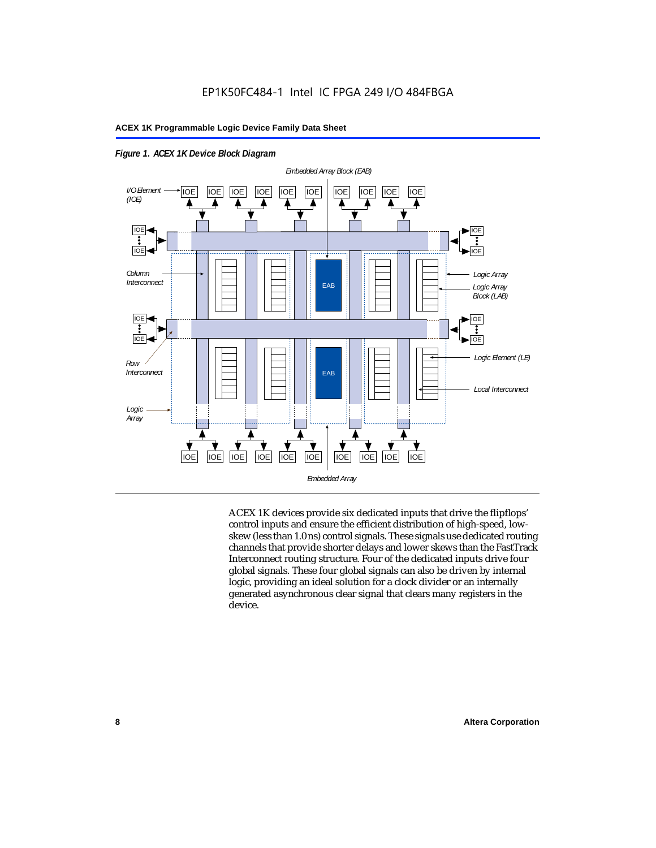



ACEX 1K devices provide six dedicated inputs that drive the flipflops' control inputs and ensure the efficient distribution of high-speed, lowskew (less than 1.0 ns) control signals. These signals use dedicated routing channels that provide shorter delays and lower skews than the FastTrack Interconnect routing structure. Four of the dedicated inputs drive four global signals. These four global signals can also be driven by internal logic, providing an ideal solution for a clock divider or an internally generated asynchronous clear signal that clears many registers in the device.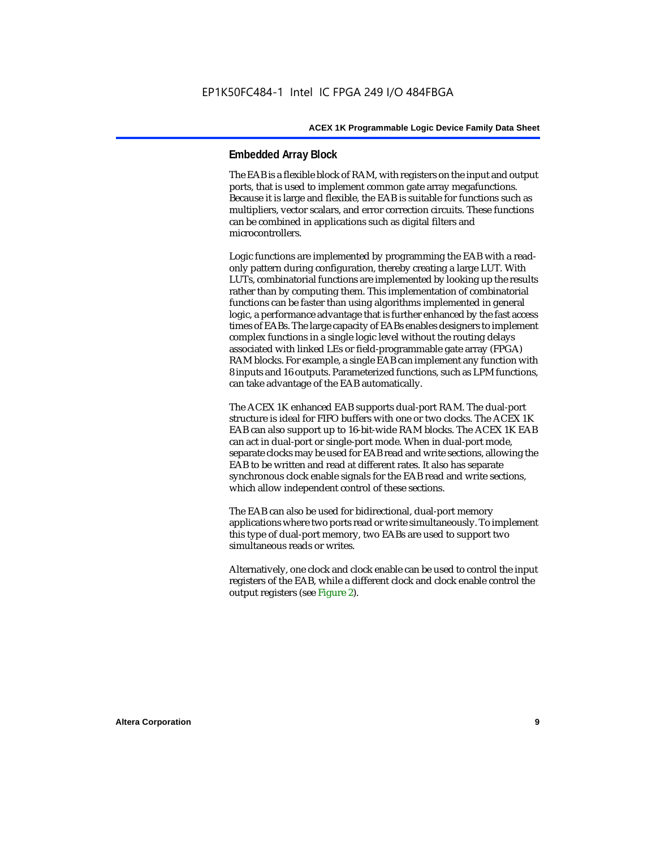#### **Embedded Array Block**

The EAB is a flexible block of RAM, with registers on the input and output ports, that is used to implement common gate array megafunctions. Because it is large and flexible, the EAB is suitable for functions such as multipliers, vector scalars, and error correction circuits. These functions can be combined in applications such as digital filters and microcontrollers.

Logic functions are implemented by programming the EAB with a readonly pattern during configuration, thereby creating a large LUT. With LUTs, combinatorial functions are implemented by looking up the results rather than by computing them. This implementation of combinatorial functions can be faster than using algorithms implemented in general logic, a performance advantage that is further enhanced by the fast access times of EABs. The large capacity of EABs enables designers to implement complex functions in a single logic level without the routing delays associated with linked LEs or field-programmable gate array (FPGA) RAM blocks. For example, a single EAB can implement any function with 8 inputs and 16 outputs. Parameterized functions, such as LPM functions, can take advantage of the EAB automatically.

The ACEX 1K enhanced EAB supports dual-port RAM. The dual-port structure is ideal for FIFO buffers with one or two clocks. The ACEX 1K EAB can also support up to 16-bit-wide RAM blocks. The ACEX 1K EAB can act in dual-port or single-port mode. When in dual-port mode, separate clocks may be used for EAB read and write sections, allowing the EAB to be written and read at different rates. It also has separate synchronous clock enable signals for the EAB read and write sections, which allow independent control of these sections.

The EAB can also be used for bidirectional, dual-port memory applications where two ports read or write simultaneously. To implement this type of dual-port memory, two EABs are used to support two simultaneous reads or writes.

Alternatively, one clock and clock enable can be used to control the input registers of the EAB, while a different clock and clock enable control the output registers (see Figure 2).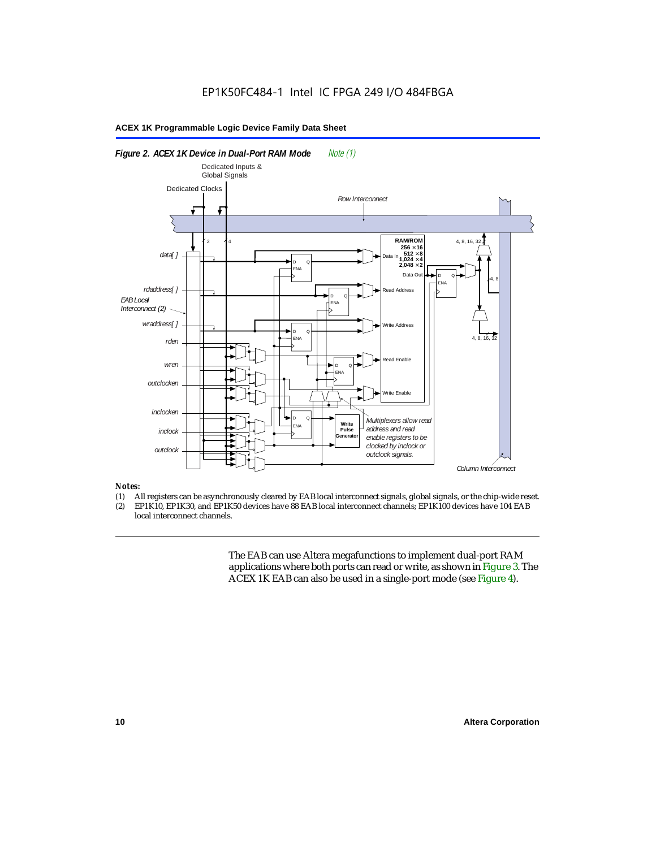#### *Figure 2. ACEX 1K Device in Dual-Port RAM Mode Note (1) Column Interconnect EAB Local Interconnect (2)*  Dedicated Clocks 2 4 D ENA  $^{\circ}$ D ENA  $^{\circ}$ D ENA  $^{\circ}$ D ENA Q D ENA  $^{\circ}$ *data[ ] rdaddress[ ] wraddress[ ]* **RAM/ROM**  $256 \times 16$ <br> $512 \times 8$ <br> $1,024 \times 4$  $2.048 \times 2$ Data In Address Write Address Read Enable Write Enable Data Out 4, 8, 16 4, 8, 16, 32 *outclocken inclocken inclock outclock* D ENA  $^{\circ}$ **Write Pulse enerator** *rden wren Multiplexers allow read address and read enable registers to be clocked by inclock or outclock signals. Row Interconnect* 4, 8 Dedicated Inputs & Global Signals

#### *Notes:*

- (1) All registers can be asynchronously cleared by EAB local interconnect signals, global signals, or the chip-wide reset.<br>(2) EP1K10. EP1K30. and EP1K50 devices have 88 EAB local interconnect channels: EP1K100 devices hav
- EP1K10, EP1K30, and EP1K50 devices have 88 EAB local interconnect channels; EP1K100 devices have 104 EAB local interconnect channels.

The EAB can use Altera megafunctions to implement dual-port RAM applications where both ports can read or write, as shown in Figure 3. The ACEX 1K EAB can also be used in a single-port mode (see Figure 4).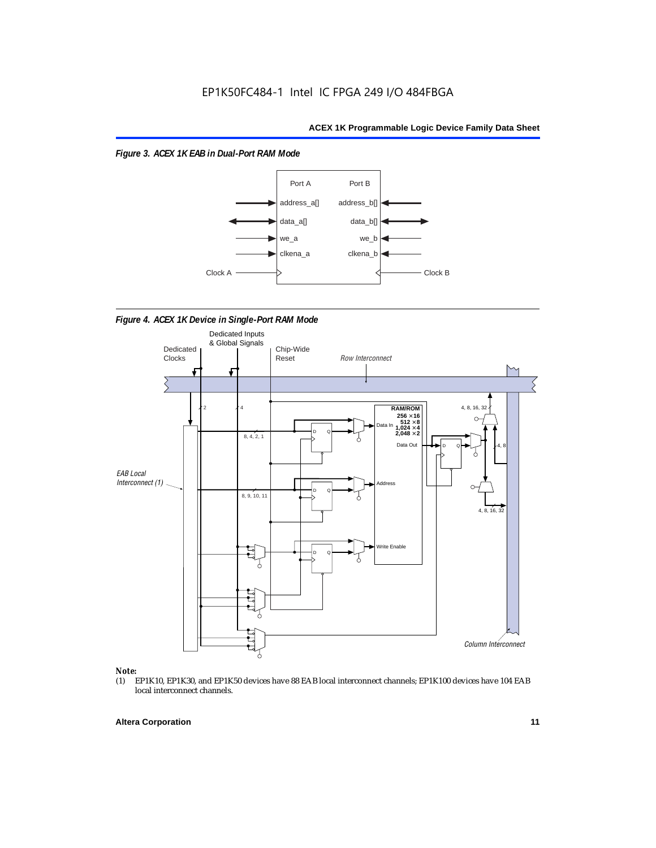*Figure 3. ACEX 1K EAB in Dual-Port RAM Mode*



*Figure 4. ACEX 1K Device in Single-Port RAM Mode* 



## *Note:*<br>(1) **H**

EP1K10, EP1K30, and EP1K50 devices have 88 EAB local interconnect channels; EP1K100 devices have 104 EAB local interconnect channels.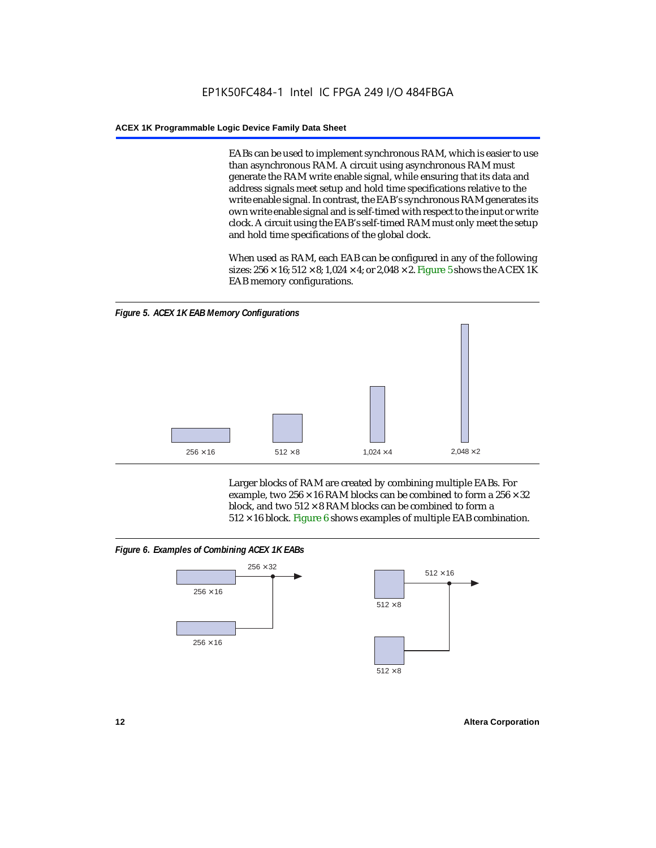EABs can be used to implement synchronous RAM, which is easier to use than asynchronous RAM. A circuit using asynchronous RAM must generate the RAM write enable signal, while ensuring that its data and address signals meet setup and hold time specifications relative to the write enable signal. In contrast, the EAB's synchronous RAM generates its own write enable signal and is self-timed with respect to the input or write clock. A circuit using the EAB's self-timed RAM must only meet the setup and hold time specifications of the global clock.

When used as RAM, each EAB can be configured in any of the following sizes:  $256 \times 16$ ;  $512 \times 8$ ;  $1,024 \times 4$ ; or  $2,048 \times 2$ . Figure 5 shows the ACEX 1K EAB memory configurations.



Larger blocks of RAM are created by combining multiple EABs. For example, two  $256 \times 16$  RAM blocks can be combined to form a  $256 \times 32$ block, and two  $512 \times 8$  RAM blocks can be combined to form a  $512 \times 16$  block. Figure 6 shows examples of multiple EAB combination.

#### *Figure 6. Examples of Combining ACEX 1K EABs*



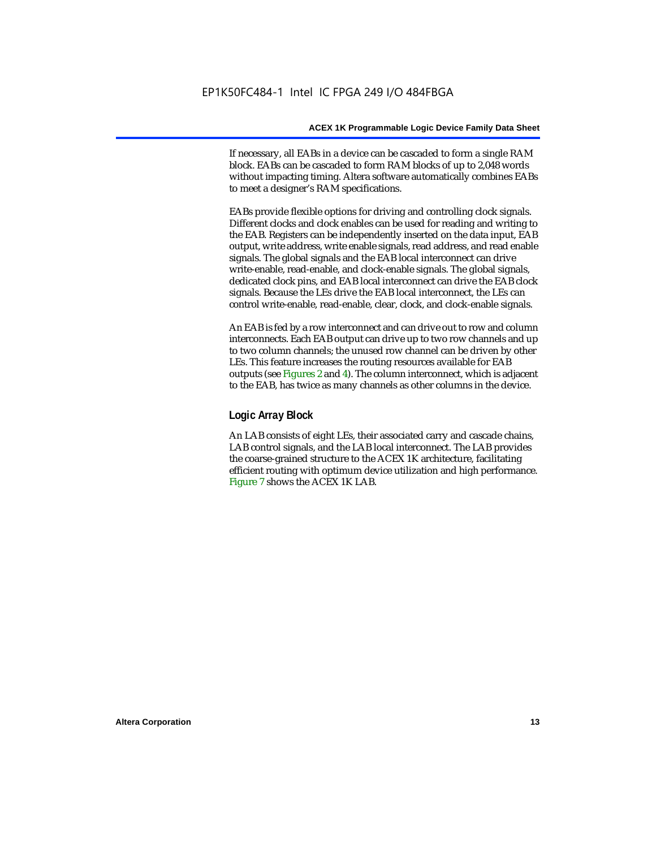If necessary, all EABs in a device can be cascaded to form a single RAM block. EABs can be cascaded to form RAM blocks of up to 2,048 words without impacting timing. Altera software automatically combines EABs to meet a designer's RAM specifications.

EABs provide flexible options for driving and controlling clock signals. Different clocks and clock enables can be used for reading and writing to the EAB. Registers can be independently inserted on the data input, EAB output, write address, write enable signals, read address, and read enable signals. The global signals and the EAB local interconnect can drive write-enable, read-enable, and clock-enable signals. The global signals, dedicated clock pins, and EAB local interconnect can drive the EAB clock signals. Because the LEs drive the EAB local interconnect, the LEs can control write-enable, read-enable, clear, clock, and clock-enable signals.

An EAB is fed by a row interconnect and can drive out to row and column interconnects. Each EAB output can drive up to two row channels and up to two column channels; the unused row channel can be driven by other LEs. This feature increases the routing resources available for EAB outputs (see Figures 2 and 4). The column interconnect, which is adjacent to the EAB, has twice as many channels as other columns in the device.

#### **Logic Array Block**

An LAB consists of eight LEs, their associated carry and cascade chains, LAB control signals, and the LAB local interconnect. The LAB provides the coarse-grained structure to the ACEX 1K architecture, facilitating efficient routing with optimum device utilization and high performance. Figure 7 shows the ACEX 1K LAB.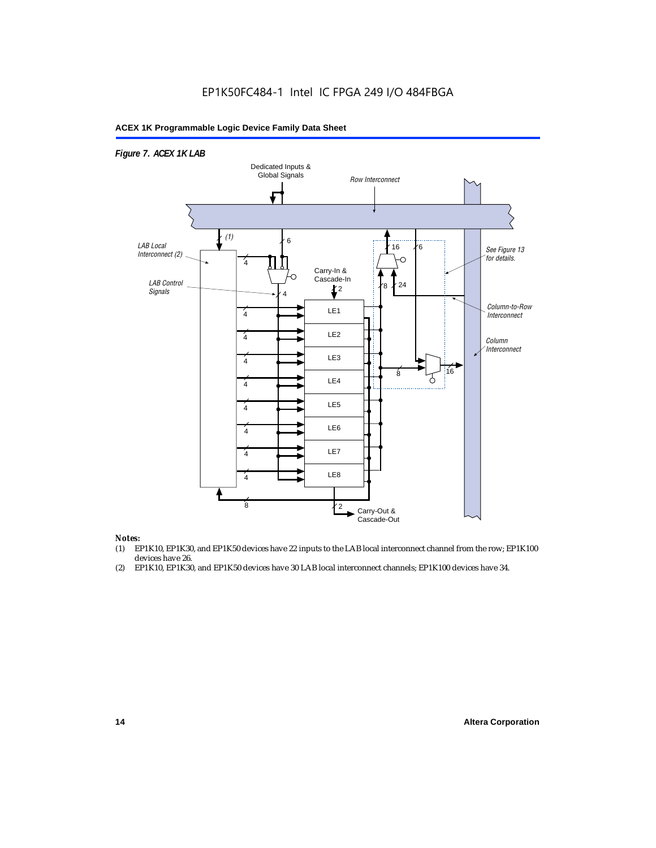### EP1K50FC484-1 Intel IC FPGA 249 I/O 484FBGA

#### **ACEX 1K Programmable Logic Device Family Data Sheet**



#### *Notes:*

- (1) EP1K10, EP1K30, and EP1K50 devices have 22 inputs to the LAB local interconnect channel from the row; EP1K100 devices have 26.
- (2) EP1K10, EP1K30, and EP1K50 devices have 30 LAB local interconnect channels; EP1K100 devices have 34.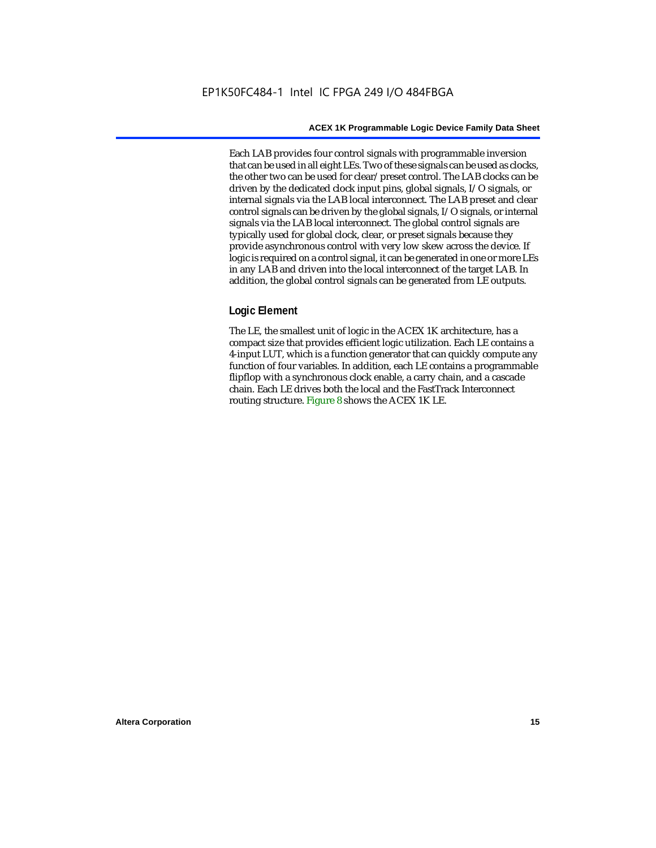Each LAB provides four control signals with programmable inversion that can be used in all eight LEs. Two of these signals can be used as clocks, the other two can be used for clear/preset control. The LAB clocks can be driven by the dedicated clock input pins, global signals, I/O signals, or internal signals via the LAB local interconnect. The LAB preset and clear control signals can be driven by the global signals, I/O signals, or internal signals via the LAB local interconnect. The global control signals are typically used for global clock, clear, or preset signals because they provide asynchronous control with very low skew across the device. If logic is required on a control signal, it can be generated in one or more LEs in any LAB and driven into the local interconnect of the target LAB. In addition, the global control signals can be generated from LE outputs.

#### **Logic Element**

The LE, the smallest unit of logic in the ACEX 1K architecture, has a compact size that provides efficient logic utilization. Each LE contains a 4-input LUT, which is a function generator that can quickly compute any function of four variables. In addition, each LE contains a programmable flipflop with a synchronous clock enable, a carry chain, and a cascade chain. Each LE drives both the local and the FastTrack Interconnect routing structure. Figure 8 shows the ACEX 1K LE.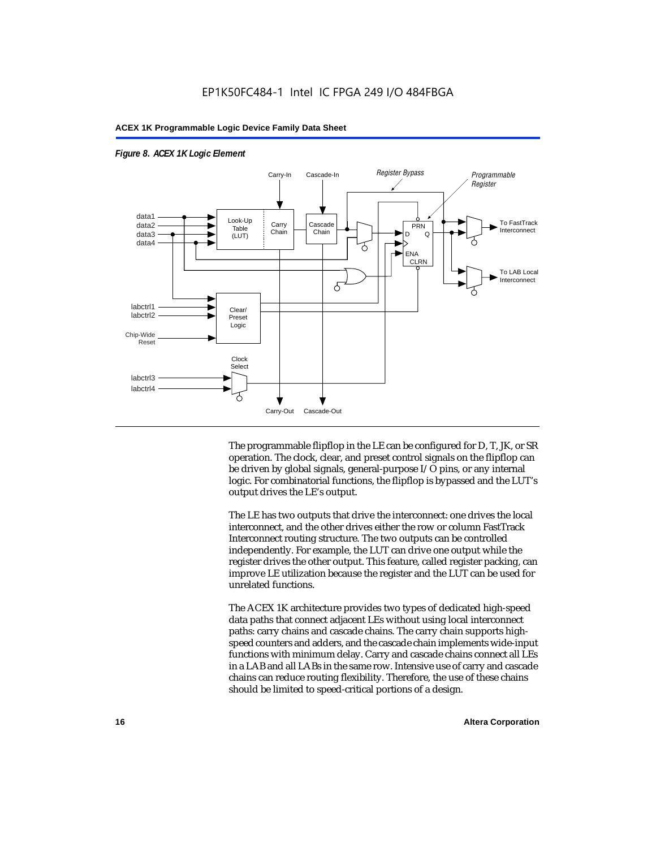

#### *Figure 8. ACEX 1K Logic Element*

The programmable flipflop in the LE can be configured for D, T, JK, or SR operation. The clock, clear, and preset control signals on the flipflop can be driven by global signals, general-purpose I/O pins, or any internal logic. For combinatorial functions, the flipflop is bypassed and the LUT's output drives the LE's output.

The LE has two outputs that drive the interconnect: one drives the local interconnect, and the other drives either the row or column FastTrack Interconnect routing structure. The two outputs can be controlled independently. For example, the LUT can drive one output while the register drives the other output. This feature, called register packing, can improve LE utilization because the register and the LUT can be used for unrelated functions.

The ACEX 1K architecture provides two types of dedicated high-speed data paths that connect adjacent LEs without using local interconnect paths: carry chains and cascade chains. The carry chain supports highspeed counters and adders, and the cascade chain implements wide-input functions with minimum delay. Carry and cascade chains connect all LEs in a LAB and all LABs in the same row. Intensive use of carry and cascade chains can reduce routing flexibility. Therefore, the use of these chains should be limited to speed-critical portions of a design.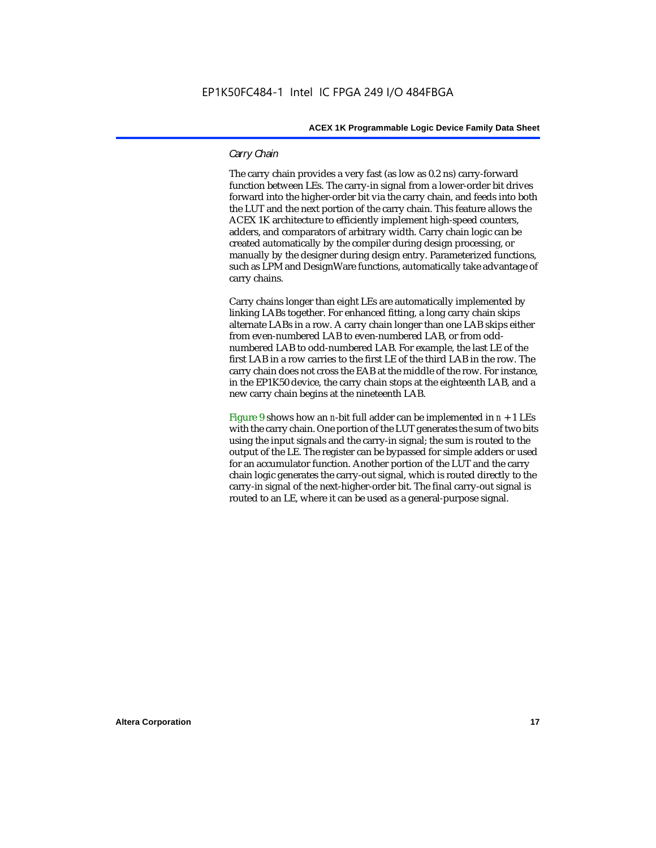#### *Carry Chain*

The carry chain provides a very fast (as low as 0.2 ns) carry-forward function between LEs. The carry-in signal from a lower-order bit drives forward into the higher-order bit via the carry chain, and feeds into both the LUT and the next portion of the carry chain. This feature allows the ACEX 1K architecture to efficiently implement high-speed counters, adders, and comparators of arbitrary width. Carry chain logic can be created automatically by the compiler during design processing, or manually by the designer during design entry. Parameterized functions, such as LPM and DesignWare functions, automatically take advantage of carry chains.

Carry chains longer than eight LEs are automatically implemented by linking LABs together. For enhanced fitting, a long carry chain skips alternate LABs in a row. A carry chain longer than one LAB skips either from even-numbered LAB to even-numbered LAB, or from oddnumbered LAB to odd-numbered LAB. For example, the last LE of the first LAB in a row carries to the first LE of the third LAB in the row. The carry chain does not cross the EAB at the middle of the row. For instance, in the EP1K50 device, the carry chain stops at the eighteenth LAB, and a new carry chain begins at the nineteenth LAB.

Figure 9 shows how an *n*-bit full adder can be implemented in  $n + 1$  LEs with the carry chain. One portion of the LUT generates the sum of two bits using the input signals and the carry-in signal; the sum is routed to the output of the LE. The register can be bypassed for simple adders or used for an accumulator function. Another portion of the LUT and the carry chain logic generates the carry-out signal, which is routed directly to the carry-in signal of the next-higher-order bit. The final carry-out signal is routed to an LE, where it can be used as a general-purpose signal.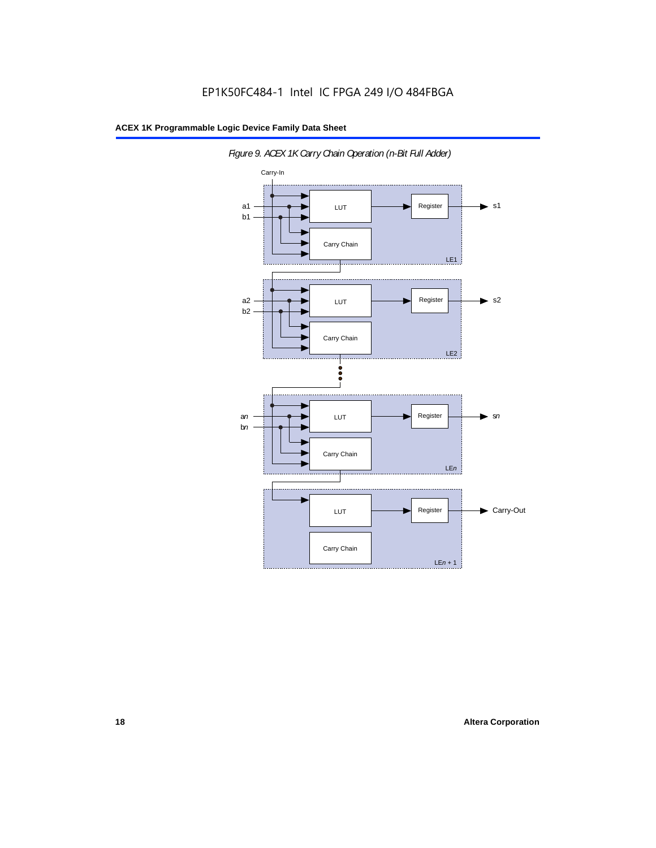

*Figure 9. ACEX 1K Carry Chain Operation (n-Bit Full Adder)*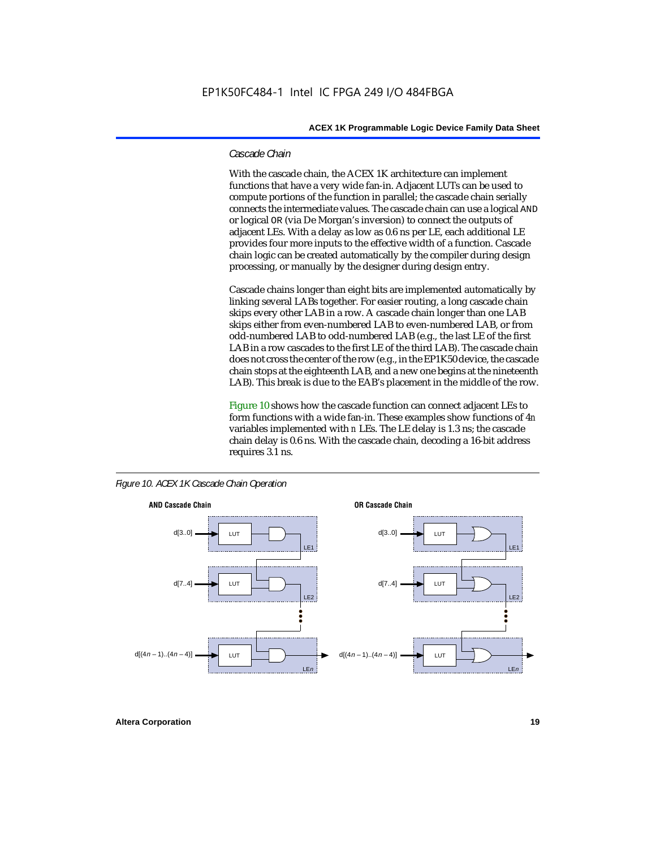#### *Cascade Chain*

With the cascade chain, the ACEX 1K architecture can implement functions that have a very wide fan-in. Adjacent LUTs can be used to compute portions of the function in parallel; the cascade chain serially connects the intermediate values. The cascade chain can use a logical AND or logical OR (via De Morgan's inversion) to connect the outputs of adjacent LEs. With a delay as low as 0.6 ns per LE, each additional LE provides four more inputs to the effective width of a function. Cascade chain logic can be created automatically by the compiler during design processing, or manually by the designer during design entry.

Cascade chains longer than eight bits are implemented automatically by linking several LABs together. For easier routing, a long cascade chain skips every other LAB in a row. A cascade chain longer than one LAB skips either from even-numbered LAB to even-numbered LAB, or from odd-numbered LAB to odd-numbered LAB (e.g., the last LE of the first LAB in a row cascades to the first LE of the third LAB). The cascade chain does not cross the center of the row (e.g., in the EP1K50 device, the cascade chain stops at the eighteenth LAB, and a new one begins at the nineteenth LAB). This break is due to the EAB's placement in the middle of the row.

Figure 10 shows how the cascade function can connect adjacent LEs to form functions with a wide fan-in. These examples show functions of 4*n* variables implemented with *n* LEs. The LE delay is 1.3 ns; the cascade chain delay is 0.6 ns. With the cascade chain, decoding a 16-bit address requires 3.1 ns.





**Altera Corporation 19**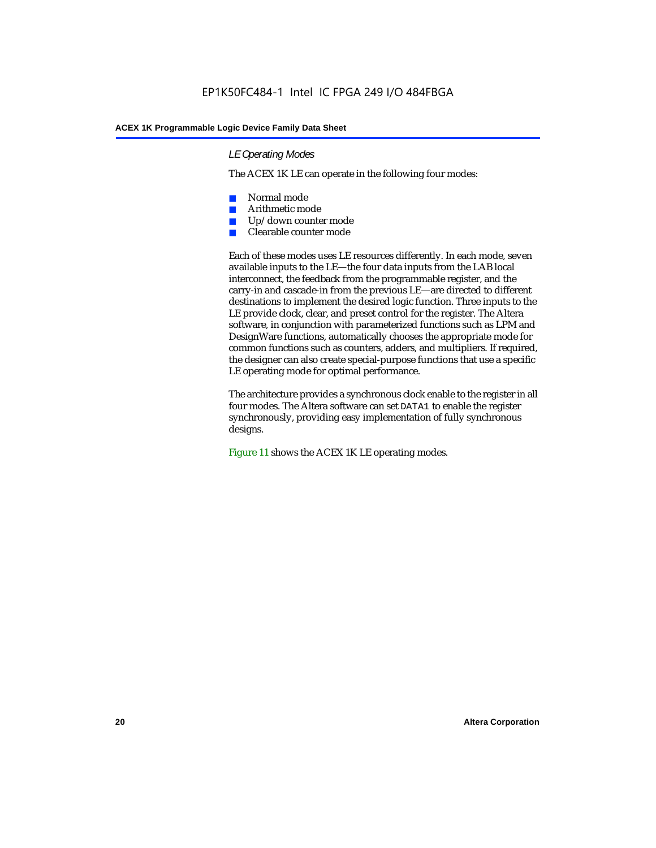#### *LE Operating Modes*

The ACEX 1K LE can operate in the following four modes:

- Normal mode
- Arithmetic mode
- Up/down counter mode
- Clearable counter mode

Each of these modes uses LE resources differently. In each mode, seven available inputs to the LE—the four data inputs from the LAB local interconnect, the feedback from the programmable register, and the carry-in and cascade-in from the previous LE—are directed to different destinations to implement the desired logic function. Three inputs to the LE provide clock, clear, and preset control for the register. The Altera software, in conjunction with parameterized functions such as LPM and DesignWare functions, automatically chooses the appropriate mode for common functions such as counters, adders, and multipliers. If required, the designer can also create special-purpose functions that use a specific LE operating mode for optimal performance.

The architecture provides a synchronous clock enable to the register in all four modes. The Altera software can set DATA1 to enable the register synchronously, providing easy implementation of fully synchronous designs.

Figure 11 shows the ACEX 1K LE operating modes.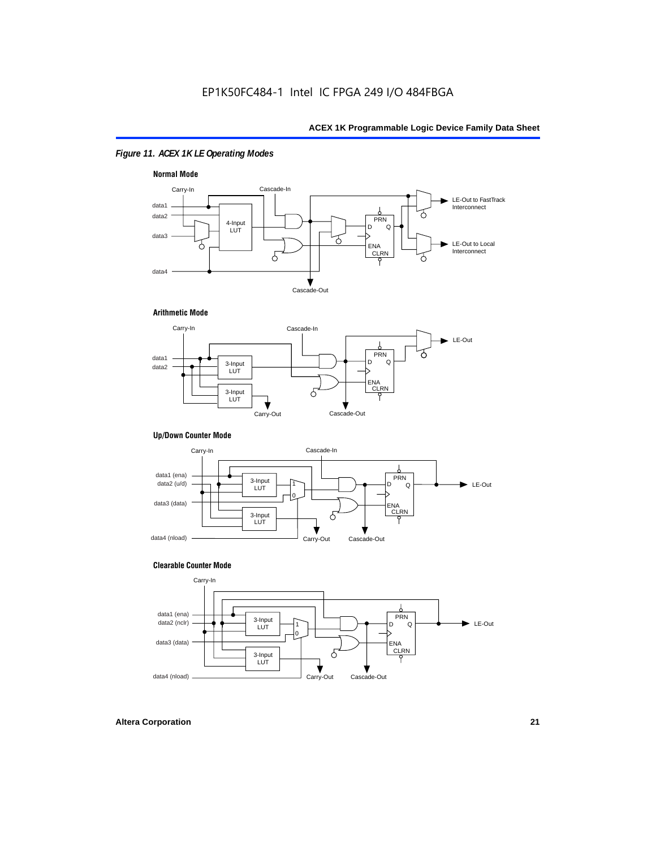### *Figure 11. ACEX 1K LE Operating Modes*



#### **Arithmetic Mode**



#### **Up/Down Counter Mode**



#### **Clearable Counter Mode**

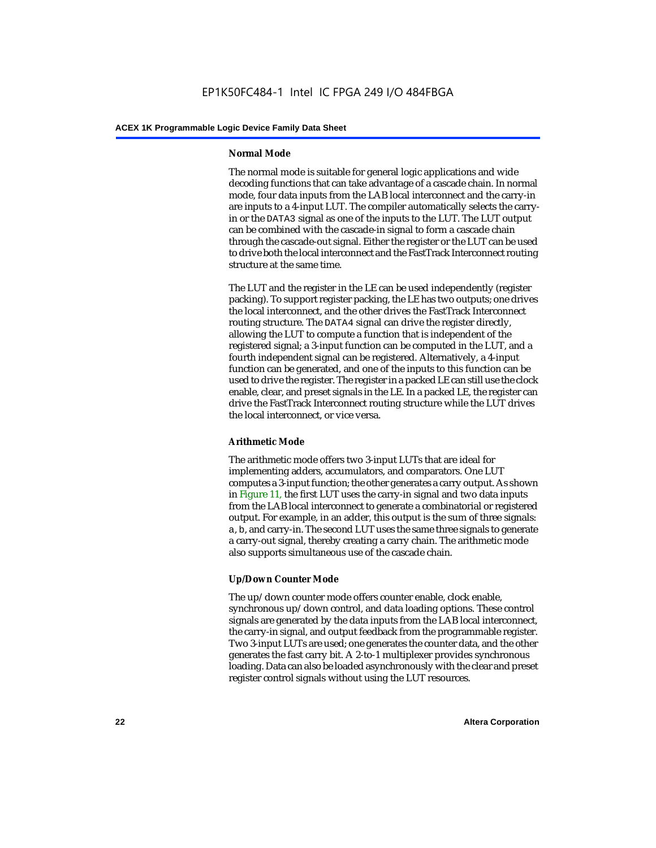#### **Normal Mode**

The normal mode is suitable for general logic applications and wide decoding functions that can take advantage of a cascade chain. In normal mode, four data inputs from the LAB local interconnect and the carry-in are inputs to a 4-input LUT. The compiler automatically selects the carryin or the DATA3 signal as one of the inputs to the LUT. The LUT output can be combined with the cascade-in signal to form a cascade chain through the cascade-out signal. Either the register or the LUT can be used to drive both the local interconnect and the FastTrack Interconnect routing structure at the same time.

The LUT and the register in the LE can be used independently (register packing). To support register packing, the LE has two outputs; one drives the local interconnect, and the other drives the FastTrack Interconnect routing structure. The DATA4 signal can drive the register directly, allowing the LUT to compute a function that is independent of the registered signal; a 3-input function can be computed in the LUT, and a fourth independent signal can be registered. Alternatively, a 4-input function can be generated, and one of the inputs to this function can be used to drive the register. The register in a packed LE can still use the clock enable, clear, and preset signals in the LE. In a packed LE, the register can drive the FastTrack Interconnect routing structure while the LUT drives the local interconnect, or vice versa.

#### **Arithmetic Mode**

The arithmetic mode offers two 3-input LUTs that are ideal for implementing adders, accumulators, and comparators. One LUT computes a 3-input function; the other generates a carry output. As shown in Figure 11, the first LUT uses the carry-in signal and two data inputs from the LAB local interconnect to generate a combinatorial or registered output. For example, in an adder, this output is the sum of three signals: a, b, and carry-in. The second LUT uses the same three signals to generate a carry-out signal, thereby creating a carry chain. The arithmetic mode also supports simultaneous use of the cascade chain.

#### **Up/Down Counter Mode**

The up/down counter mode offers counter enable, clock enable, synchronous up/down control, and data loading options. These control signals are generated by the data inputs from the LAB local interconnect, the carry-in signal, and output feedback from the programmable register. Two 3-input LUTs are used; one generates the counter data, and the other generates the fast carry bit. A 2-to-1 multiplexer provides synchronous loading. Data can also be loaded asynchronously with the clear and preset register control signals without using the LUT resources.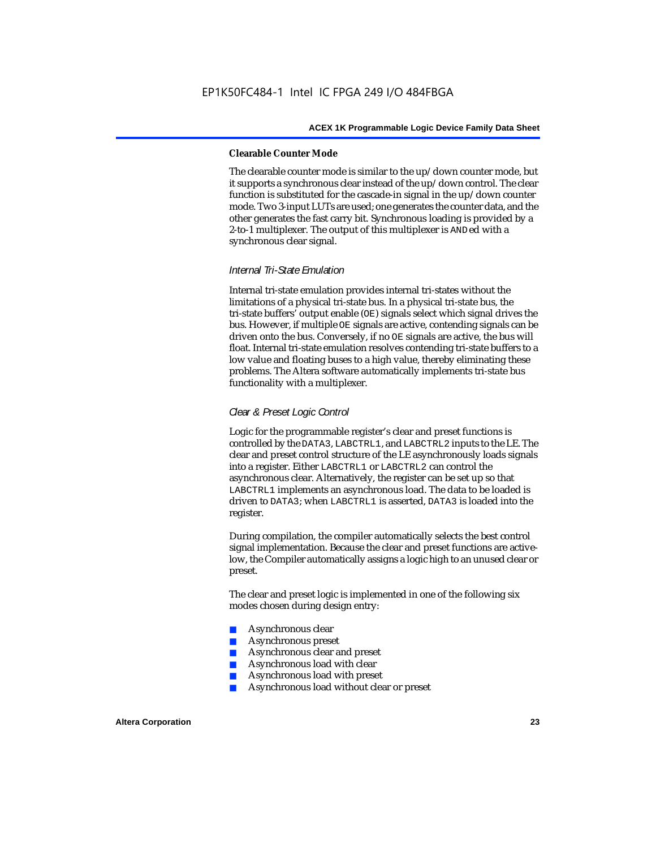#### **Clearable Counter Mode**

The clearable counter mode is similar to the up/down counter mode, but it supports a synchronous clear instead of the up/down control. The clear function is substituted for the cascade-in signal in the up/down counter mode. Two 3-input LUTs are used; one generates the counter data, and the other generates the fast carry bit. Synchronous loading is provided by a 2-to-1 multiplexer. The output of this multiplexer is ANDed with a synchronous clear signal.

#### *Internal Tri-State Emulation*

Internal tri-state emulation provides internal tri-states without the limitations of a physical tri-state bus. In a physical tri-state bus, the tri-state buffers' output enable (OE) signals select which signal drives the bus. However, if multiple OE signals are active, contending signals can be driven onto the bus. Conversely, if no OE signals are active, the bus will float. Internal tri-state emulation resolves contending tri-state buffers to a low value and floating buses to a high value, thereby eliminating these problems. The Altera software automatically implements tri-state bus functionality with a multiplexer.

#### *Clear & Preset Logic Control*

Logic for the programmable register's clear and preset functions is controlled by the DATA3, LABCTRL1, and LABCTRL2 inputs to the LE. The clear and preset control structure of the LE asynchronously loads signals into a register. Either LABCTRL1 or LABCTRL2 can control the asynchronous clear. Alternatively, the register can be set up so that LABCTRL1 implements an asynchronous load. The data to be loaded is driven to DATA3; when LABCTRL1 is asserted, DATA3 is loaded into the register.

During compilation, the compiler automatically selects the best control signal implementation. Because the clear and preset functions are activelow, the Compiler automatically assigns a logic high to an unused clear or preset.

The clear and preset logic is implemented in one of the following six modes chosen during design entry:

- Asynchronous clear
- Asynchronous preset
- Asynchronous clear and preset
- Asynchronous load with clear
- Asynchronous load with preset
- Asynchronous load without clear or preset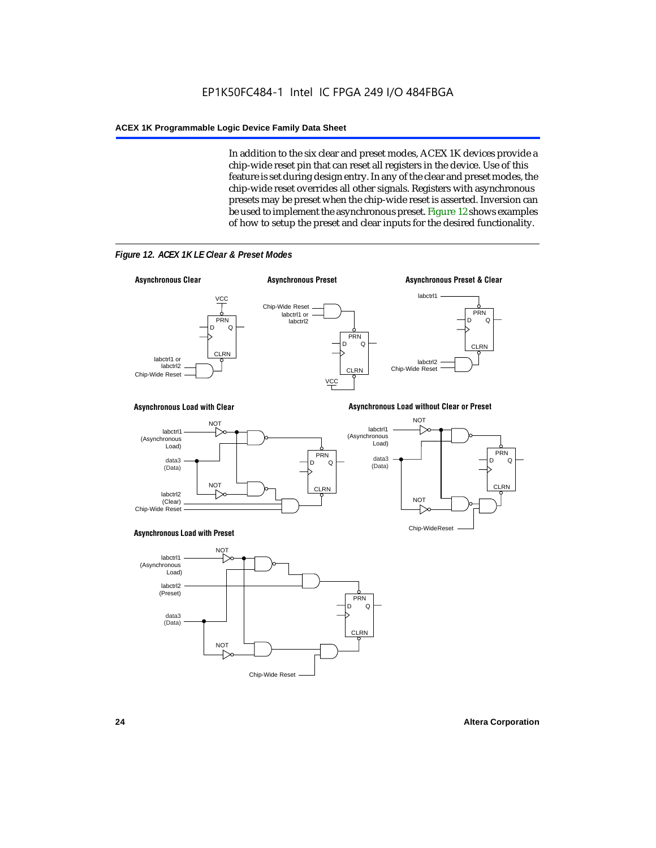In addition to the six clear and preset modes, ACEX 1K devices provide a chip-wide reset pin that can reset all registers in the device. Use of this feature is set during design entry. In any of the clear and preset modes, the chip-wide reset overrides all other signals. Registers with asynchronous presets may be preset when the chip-wide reset is asserted. Inversion can be used to implement the asynchronous preset. Figure 12 shows examples of how to setup the preset and clear inputs for the desired functionality.



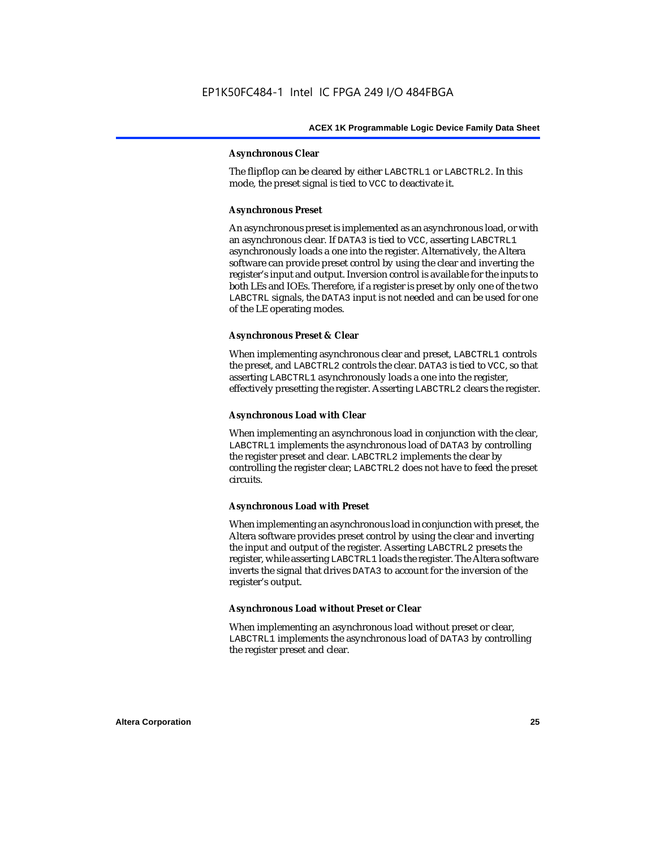#### **Asynchronous Clear**

The flipflop can be cleared by either LABCTRL1 or LABCTRL2. In this mode, the preset signal is tied to VCC to deactivate it.

#### **Asynchronous Preset**

An asynchronous preset is implemented as an asynchronous load, or with an asynchronous clear. If DATA3 is tied to VCC, asserting LABCTRL1 asynchronously loads a one into the register. Alternatively, the Altera software can provide preset control by using the clear and inverting the register's input and output. Inversion control is available for the inputs to both LEs and IOEs. Therefore, if a register is preset by only one of the two LABCTRL signals, the DATA3 input is not needed and can be used for one of the LE operating modes.

#### **Asynchronous Preset & Clear**

When implementing asynchronous clear and preset, LABCTRL1 controls the preset, and LABCTRL2 controls the clear. DATA3 is tied to VCC, so that asserting LABCTRL1 asynchronously loads a one into the register, effectively presetting the register. Asserting LABCTRL2 clears the register.

#### **Asynchronous Load with Clear**

When implementing an asynchronous load in conjunction with the clear, LABCTRL1 implements the asynchronous load of DATA3 by controlling the register preset and clear. LABCTRL2 implements the clear by controlling the register clear; LABCTRL2 does not have to feed the preset circuits.

#### **Asynchronous Load with Preset**

When implementing an asynchronous load in conjunction with preset, the Altera software provides preset control by using the clear and inverting the input and output of the register. Asserting LABCTRL2 presets the register, while asserting LABCTRL1 loads the register. The Altera software inverts the signal that drives DATA3 to account for the inversion of the register's output.

#### **Asynchronous Load without Preset or Clear**

When implementing an asynchronous load without preset or clear, LABCTRL1 implements the asynchronous load of DATA3 by controlling the register preset and clear.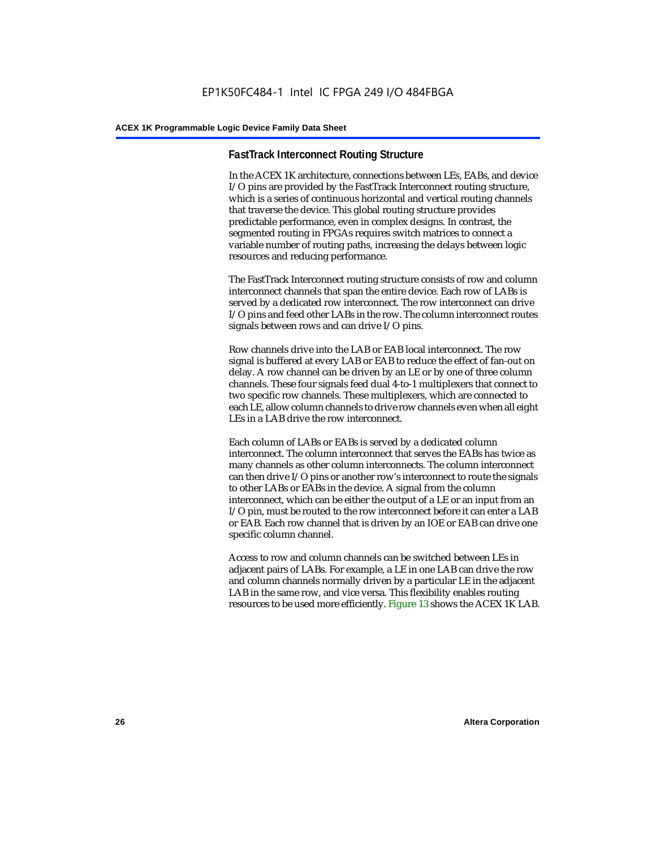#### **FastTrack Interconnect Routing Structure**

In the ACEX 1K architecture, connections between LEs, EABs, and device I/O pins are provided by the FastTrack Interconnect routing structure, which is a series of continuous horizontal and vertical routing channels that traverse the device. This global routing structure provides predictable performance, even in complex designs. In contrast, the segmented routing in FPGAs requires switch matrices to connect a variable number of routing paths, increasing the delays between logic resources and reducing performance.

The FastTrack Interconnect routing structure consists of row and column interconnect channels that span the entire device. Each row of LABs is served by a dedicated row interconnect. The row interconnect can drive I/O pins and feed other LABs in the row. The column interconnect routes signals between rows and can drive I/O pins.

Row channels drive into the LAB or EAB local interconnect. The row signal is buffered at every LAB or EAB to reduce the effect of fan-out on delay. A row channel can be driven by an LE or by one of three column channels. These four signals feed dual 4-to-1 multiplexers that connect to two specific row channels. These multiplexers, which are connected to each LE, allow column channels to drive row channels even when all eight LEs in a LAB drive the row interconnect.

Each column of LABs or EABs is served by a dedicated column interconnect. The column interconnect that serves the EABs has twice as many channels as other column interconnects. The column interconnect can then drive I/O pins or another row's interconnect to route the signals to other LABs or EABs in the device. A signal from the column interconnect, which can be either the output of a LE or an input from an I/O pin, must be routed to the row interconnect before it can enter a LAB or EAB. Each row channel that is driven by an IOE or EAB can drive one specific column channel.

Access to row and column channels can be switched between LEs in adjacent pairs of LABs. For example, a LE in one LAB can drive the row and column channels normally driven by a particular LE in the adjacent LAB in the same row, and vice versa. This flexibility enables routing resources to be used more efficiently. Figure 13 shows the ACEX 1K LAB.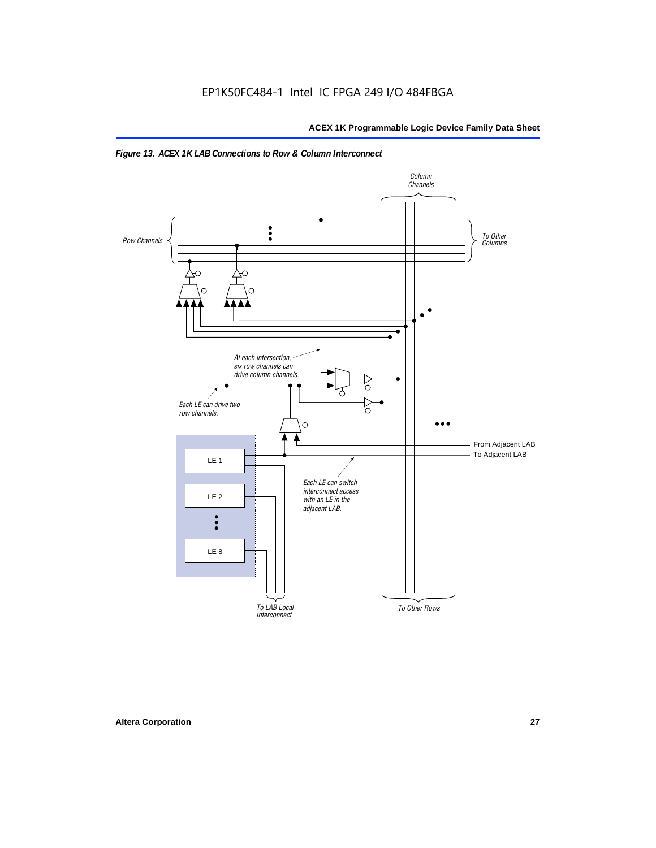

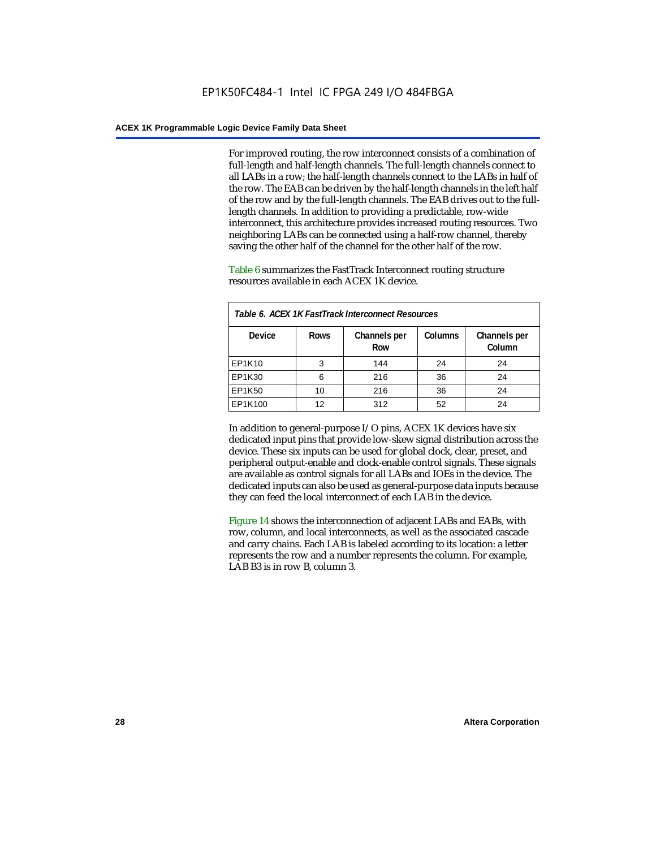For improved routing, the row interconnect consists of a combination of full-length and half-length channels. The full-length channels connect to all LABs in a row; the half-length channels connect to the LABs in half of the row. The EAB can be driven by the half-length channels in the left half of the row and by the full-length channels. The EAB drives out to the fulllength channels. In addition to providing a predictable, row-wide interconnect, this architecture provides increased routing resources. Two neighboring LABs can be connected using a half-row channel, thereby saving the other half of the channel for the other half of the row.

Table 6 summarizes the FastTrack Interconnect routing structure resources available in each ACEX 1K device.

| Table 6. ACEX 1K FastTrack Interconnect Resources |             |                     |                |                        |  |
|---------------------------------------------------|-------------|---------------------|----------------|------------------------|--|
| <b>Device</b>                                     | <b>Rows</b> | Channels per<br>Row | <b>Columns</b> | Channels per<br>Column |  |
| EP1K10                                            | 3           | 144                 | 24             | 24                     |  |
| EP1K30                                            | 6           | 216                 | 36             | 24                     |  |
| EP1K50                                            | 10          | 216                 | 36             | 24                     |  |
| EP1K100                                           | 12          | 312                 | 52             | 24                     |  |

In addition to general-purpose I/O pins, ACEX 1K devices have six dedicated input pins that provide low-skew signal distribution across the device. These six inputs can be used for global clock, clear, preset, and peripheral output-enable and clock-enable control signals. These signals are available as control signals for all LABs and IOEs in the device. The dedicated inputs can also be used as general-purpose data inputs because they can feed the local interconnect of each LAB in the device.

Figure 14 shows the interconnection of adjacent LABs and EABs, with row, column, and local interconnects, as well as the associated cascade and carry chains. Each LAB is labeled according to its location: a letter represents the row and a number represents the column. For example, LAB B3 is in row B, column 3.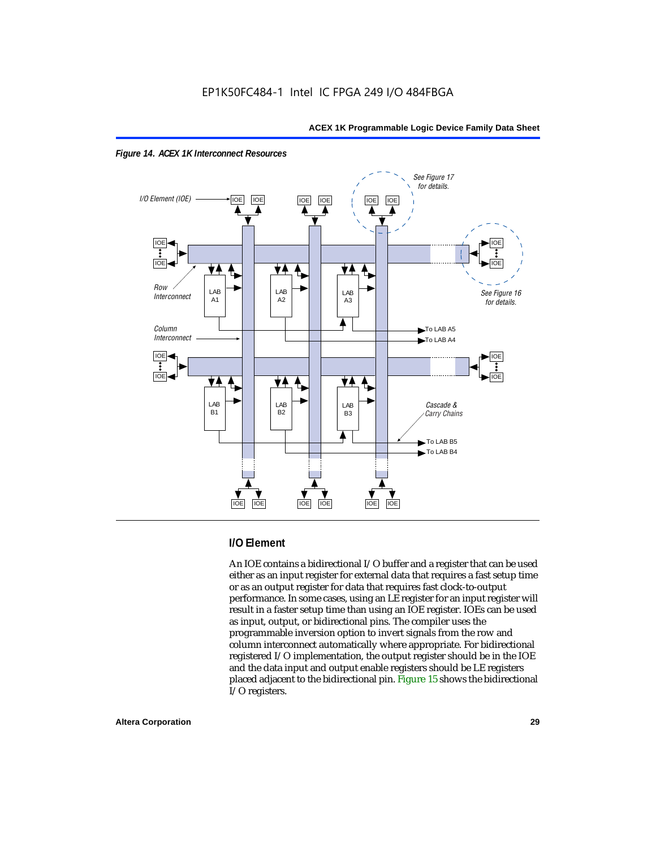



#### **I/O Element**

An IOE contains a bidirectional I/O buffer and a register that can be used either as an input register for external data that requires a fast setup time or as an output register for data that requires fast clock-to-output performance. In some cases, using an LE register for an input register will result in a faster setup time than using an IOE register. IOEs can be used as input, output, or bidirectional pins. The compiler uses the programmable inversion option to invert signals from the row and column interconnect automatically where appropriate. For bidirectional registered I/O implementation, the output register should be in the IOE and the data input and output enable registers should be LE registers placed adjacent to the bidirectional pin. Figure 15 shows the bidirectional I/O registers.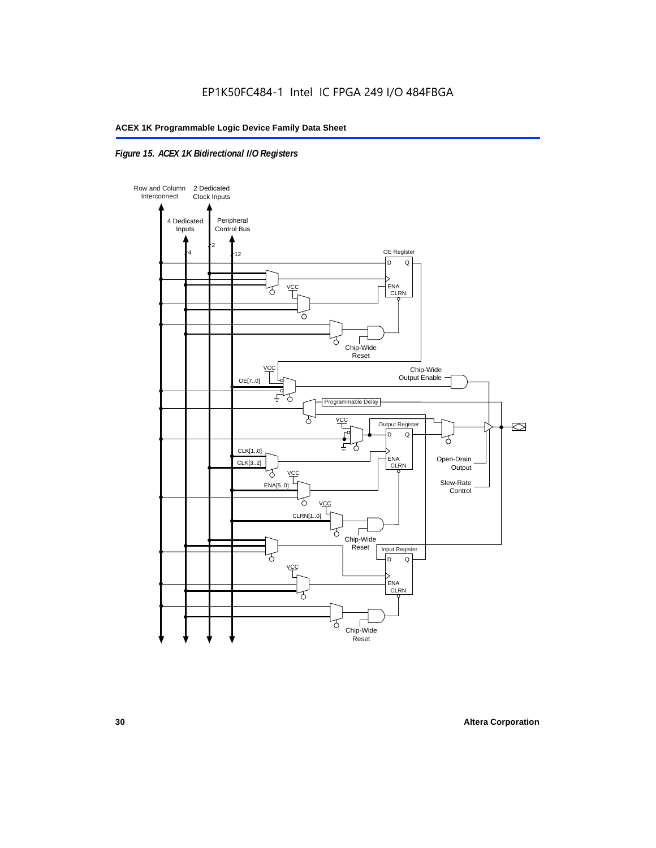#### *Figure 15. ACEX 1K Bidirectional I/O Registers*

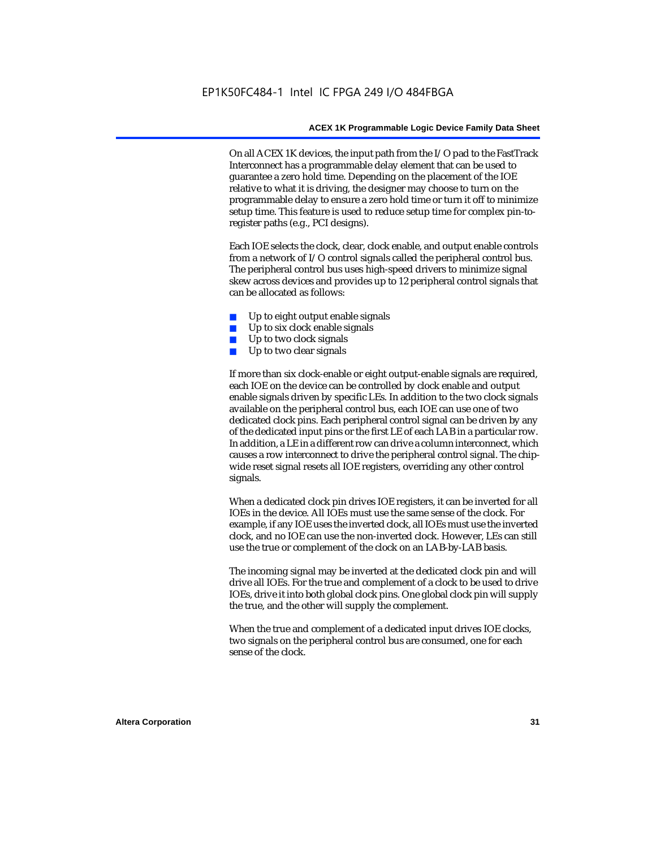On all ACEX 1K devices, the input path from the I/O pad to the FastTrack Interconnect has a programmable delay element that can be used to guarantee a zero hold time. Depending on the placement of the IOE relative to what it is driving, the designer may choose to turn on the programmable delay to ensure a zero hold time or turn it off to minimize setup time. This feature is used to reduce setup time for complex pin-toregister paths (e.g., PCI designs).

Each IOE selects the clock, clear, clock enable, and output enable controls from a network of I/O control signals called the peripheral control bus. The peripheral control bus uses high-speed drivers to minimize signal skew across devices and provides up to 12 peripheral control signals that can be allocated as follows:

- Up to eight output enable signals
- Up to six clock enable signals
- Up to two clock signals
- Up to two clear signals

If more than six clock-enable or eight output-enable signals are required, each IOE on the device can be controlled by clock enable and output enable signals driven by specific LEs. In addition to the two clock signals available on the peripheral control bus, each IOE can use one of two dedicated clock pins. Each peripheral control signal can be driven by any of the dedicated input pins or the first LE of each LAB in a particular row. In addition, a LE in a different row can drive a column interconnect, which causes a row interconnect to drive the peripheral control signal. The chipwide reset signal resets all IOE registers, overriding any other control signals.

When a dedicated clock pin drives IOE registers, it can be inverted for all IOEs in the device. All IOEs must use the same sense of the clock. For example, if any IOE uses the inverted clock, all IOEs must use the inverted clock, and no IOE can use the non-inverted clock. However, LEs can still use the true or complement of the clock on an LAB-by-LAB basis.

The incoming signal may be inverted at the dedicated clock pin and will drive all IOEs. For the true and complement of a clock to be used to drive IOEs, drive it into both global clock pins. One global clock pin will supply the true, and the other will supply the complement.

When the true and complement of a dedicated input drives IOE clocks, two signals on the peripheral control bus are consumed, one for each sense of the clock.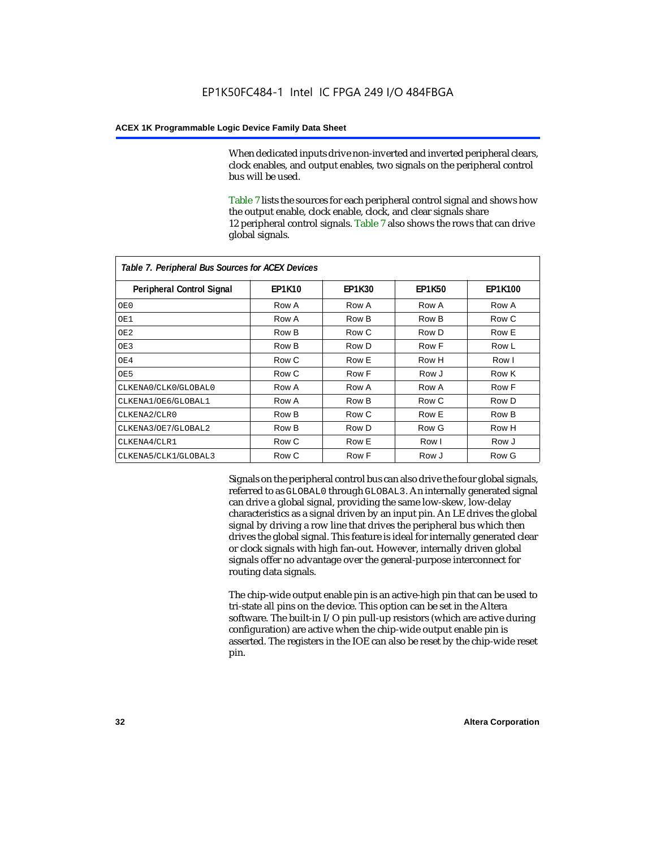When dedicated inputs drive non-inverted and inverted peripheral clears, clock enables, and output enables, two signals on the peripheral control bus will be used.

Table 7 lists the sources for each peripheral control signal and shows how the output enable, clock enable, clock, and clear signals share 12 peripheral control signals. Table 7 also shows the rows that can drive global signals.

| Table 7. Peripheral Bus Sources for ACEX Devices |               |               |               |                |  |  |  |
|--------------------------------------------------|---------------|---------------|---------------|----------------|--|--|--|
| <b>Peripheral Control Signal</b>                 | <b>EP1K10</b> | <b>EP1K30</b> | <b>EP1K50</b> | <b>EP1K100</b> |  |  |  |
| OE0                                              | Row A         | Row A         | Row A         | Row A          |  |  |  |
| OE1                                              | Row A         | Row B         | Row B         | Row C          |  |  |  |
| OE <sub>2</sub>                                  | Row B         | Row C         | Row D         | Row E          |  |  |  |
| OE3                                              | Row B         | Row D         | Row F         | Row L          |  |  |  |
| OE4                                              | Row C         | Row E         | Row H         | Row I          |  |  |  |
| OE5                                              | Row C         | Row F         | Row J         | Row K          |  |  |  |
| CLKENA0/CLK0/GLOBAL0                             | Row A         | Row A         | Row A         | Row F          |  |  |  |
| CLKENA1/OE6/GLOBAL1                              | Row A         | Row B         | Row C         | Row D          |  |  |  |
| CLKENA2/CLR0                                     | Row B         | Row C         | Row E         | Row B          |  |  |  |
| CLKENA3/OE7/GLOBAL2                              | Row B         | Row D         | Row G         | Row H          |  |  |  |
| CLKENA4/CLR1                                     | Row C         | Row E         | Row I         | Row J          |  |  |  |
| CLKENA5/CLK1/GLOBAL3                             | Row C         | Row F         | Row J         | Row G          |  |  |  |

Signals on the peripheral control bus can also drive the four global signals, referred to as GLOBAL0 through GLOBAL3. An internally generated signal can drive a global signal, providing the same low-skew, low-delay characteristics as a signal driven by an input pin. An LE drives the global signal by driving a row line that drives the peripheral bus which then drives the global signal. This feature is ideal for internally generated clear or clock signals with high fan-out. However, internally driven global signals offer no advantage over the general-purpose interconnect for routing data signals.

The chip-wide output enable pin is an active-high pin that can be used to tri-state all pins on the device. This option can be set in the Altera software. The built-in I/O pin pull-up resistors (which are active during configuration) are active when the chip-wide output enable pin is asserted. The registers in the IOE can also be reset by the chip-wide reset pin.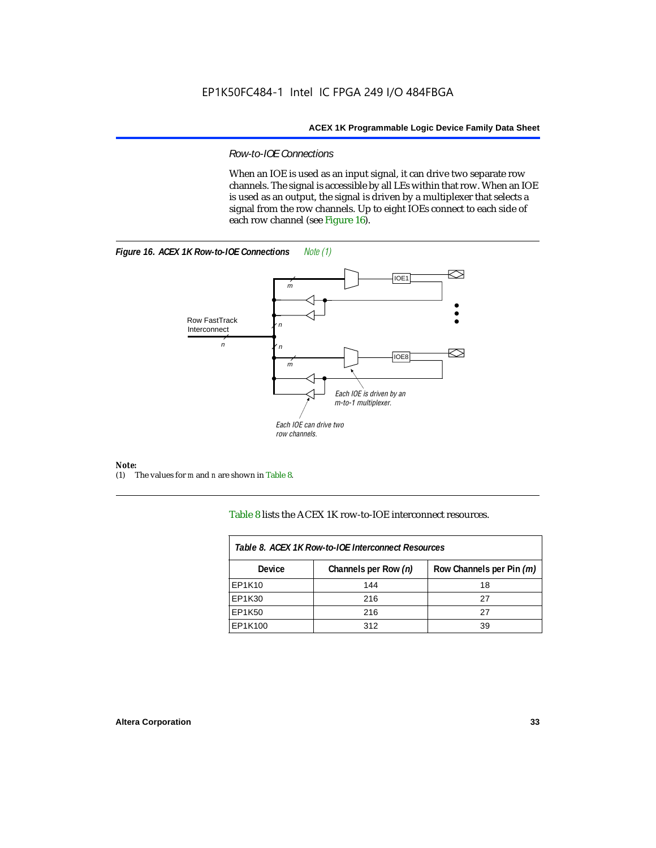#### *Row-to-IOE Connections*

When an IOE is used as an input signal, it can drive two separate row channels. The signal is accessible by all LEs within that row. When an IOE is used as an output, the signal is driven by a multiplexer that selects a signal from the row channels. Up to eight IOEs connect to each side of each row channel (see Figure 16).





*Note:*<br>(1) 7 (1) The values for *m* and *n* are shown in Table 8.

Table 8 lists the ACEX 1K row-to-IOE interconnect resources.

| Table 8. ACEX 1K Row-to-IOE Interconnect Resources |                      |                          |  |  |  |
|----------------------------------------------------|----------------------|--------------------------|--|--|--|
| Device                                             | Channels per Row (n) | Row Channels per Pin (m) |  |  |  |
| EP1K10                                             | 144                  | 18                       |  |  |  |
| EP1K30                                             | 216                  | 27                       |  |  |  |
| EP1K50                                             | 216                  | 27                       |  |  |  |
| EP1K100                                            | 312                  | 39                       |  |  |  |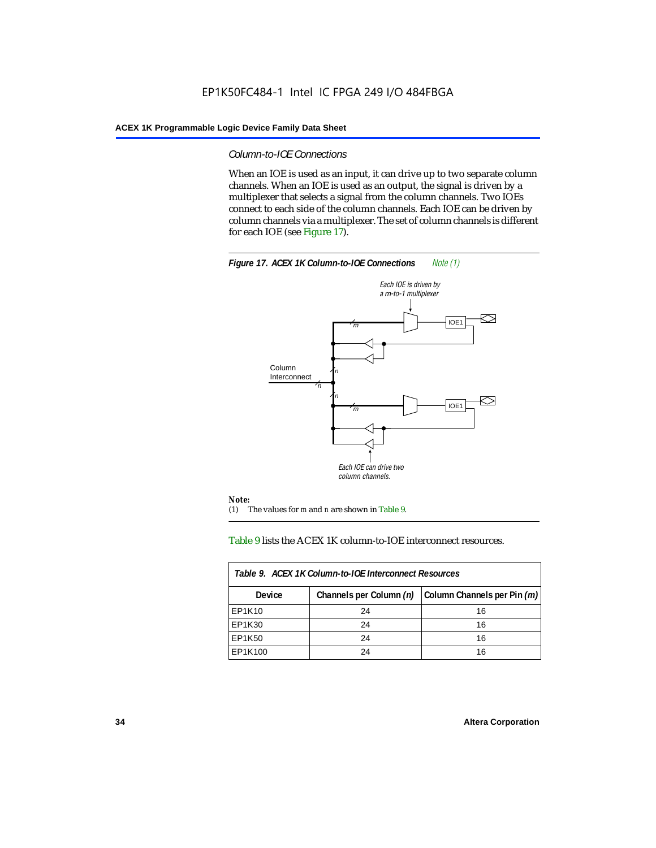#### *Column-to-IOE Connections*

When an IOE is used as an input, it can drive up to two separate column channels. When an IOE is used as an output, the signal is driven by a multiplexer that selects a signal from the column channels. Two IOEs connect to each side of the column channels. Each IOE can be driven by column channels via a multiplexer. The set of column channels is different for each IOE (see Figure 17).



#### Table 9 lists the ACEX 1K column-to-IOE interconnect resources.

| Table 9. ACEX 1K Column-to-IOE Interconnect Resources |                         |                             |  |  |  |
|-------------------------------------------------------|-------------------------|-----------------------------|--|--|--|
| <b>Device</b>                                         | Channels per Column (n) | Column Channels per Pin (m) |  |  |  |
| EP1K10                                                | 24                      | 16                          |  |  |  |
| EP1K30                                                | 24                      | 16                          |  |  |  |
| EP1K50                                                | 24                      | 16                          |  |  |  |
| EP1K100                                               | 24                      | 16                          |  |  |  |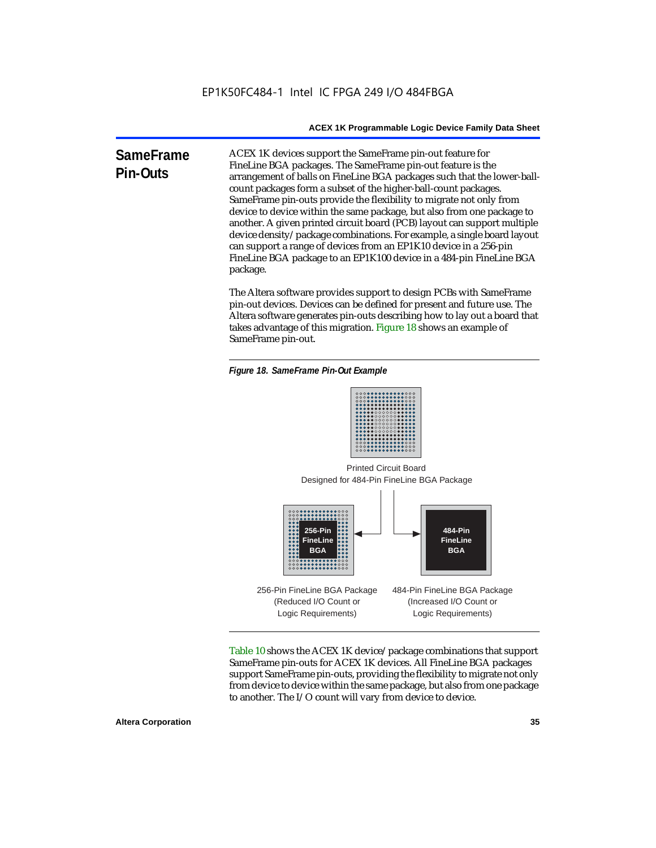**SameFrame Pin-Outs** ACEX 1K devices support the SameFrame pin-out feature for FineLine BGA packages. The SameFrame pin-out feature is the arrangement of balls on FineLine BGA packages such that the lower-ballcount packages form a subset of the higher-ball-count packages. SameFrame pin-outs provide the flexibility to migrate not only from device to device within the same package, but also from one package to another. A given printed circuit board (PCB) layout can support multiple device density/package combinations. For example, a single board layout can support a range of devices from an EP1K10 device in a 256-pin FineLine BGA package to an EP1K100 device in a 484-pin FineLine BGA package.

> The Altera software provides support to design PCBs with SameFrame pin-out devices. Devices can be defined for present and future use. The Altera software generates pin-outs describing how to lay out a board that takes advantage of this migration. Figure 18 shows an example of SameFrame pin-out.

*Figure 18. SameFrame Pin-Out Example*



Designed for 484-Pin FineLine BGA Package Printed Circuit Board



Table 10 shows the ACEX 1K device/package combinations that support SameFrame pin-outs for ACEX 1K devices. All FineLine BGA packages support SameFrame pin-outs, providing the flexibility to migrate not only from device to device within the same package, but also from one package to another. The I/O count will vary from device to device.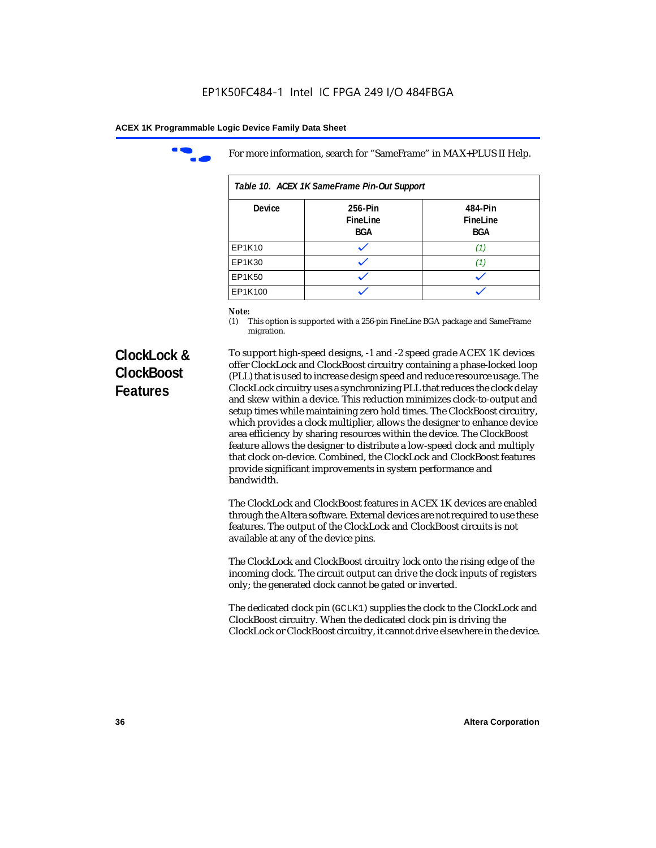

For more information, search for "SameFrame" in MAX+PLUS II Help.

| Table 10. ACEX 1K SameFrame Pin-Out Support |                            |                                   |  |  |  |
|---------------------------------------------|----------------------------|-----------------------------------|--|--|--|
| <b>Device</b>                               | 256-Pin<br>FineLine<br>BGA | 484-Pin<br>FineLine<br><b>BGA</b> |  |  |  |
| EP1K10                                      |                            | (1)                               |  |  |  |
| EP1K30                                      |                            |                                   |  |  |  |
| EP1K50                                      |                            |                                   |  |  |  |
| EP1K100                                     |                            |                                   |  |  |  |

# *Note:*<br>(1) **7**

This option is supported with a 256-pin FineLine BGA package and SameFrame migration.

# **ClockLock & ClockBoost Features**

To support high-speed designs, -1 and -2 speed grade ACEX 1K devices offer ClockLock and ClockBoost circuitry containing a phase-locked loop (PLL) that is used to increase design speed and reduce resource usage. The ClockLock circuitry uses a synchronizing PLL that reduces the clock delay and skew within a device. This reduction minimizes clock-to-output and setup times while maintaining zero hold times. The ClockBoost circuitry, which provides a clock multiplier, allows the designer to enhance device area efficiency by sharing resources within the device. The ClockBoost feature allows the designer to distribute a low-speed clock and multiply that clock on-device. Combined, the ClockLock and ClockBoost features provide significant improvements in system performance and bandwidth.

The ClockLock and ClockBoost features in ACEX 1K devices are enabled through the Altera software. External devices are not required to use these features. The output of the ClockLock and ClockBoost circuits is not available at any of the device pins.

The ClockLock and ClockBoost circuitry lock onto the rising edge of the incoming clock. The circuit output can drive the clock inputs of registers only; the generated clock cannot be gated or inverted.

The dedicated clock pin (GCLK1) supplies the clock to the ClockLock and ClockBoost circuitry. When the dedicated clock pin is driving the ClockLock or ClockBoost circuitry, it cannot drive elsewhere in the device.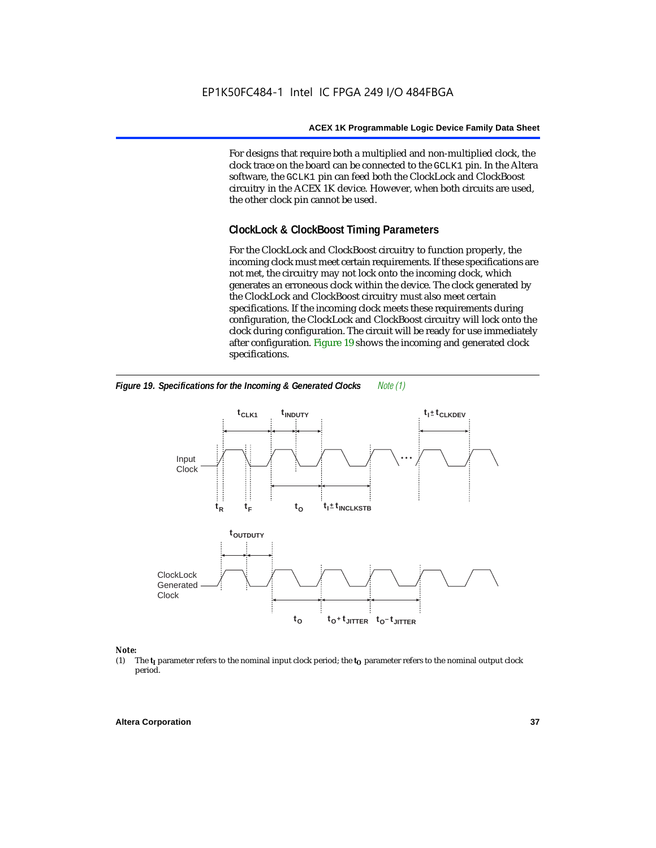For designs that require both a multiplied and non-multiplied clock, the clock trace on the board can be connected to the GCLK1 pin. In the Altera software, the GCLK1 pin can feed both the ClockLock and ClockBoost circuitry in the ACEX 1K device. However, when both circuits are used, the other clock pin cannot be used.

# **ClockLock & ClockBoost Timing Parameters**

For the ClockLock and ClockBoost circuitry to function properly, the incoming clock must meet certain requirements. If these specifications are not met, the circuitry may not lock onto the incoming clock, which generates an erroneous clock within the device. The clock generated by the ClockLock and ClockBoost circuitry must also meet certain specifications. If the incoming clock meets these requirements during configuration, the ClockLock and ClockBoost circuitry will lock onto the clock during configuration. The circuit will be ready for use immediately after configuration. Figure 19 shows the incoming and generated clock specifications.



*Figure 19. Specifications for the Incoming & Generated Clocks Note (1)*

# *Note:*<br>(1) 1

The  $t<sub>I</sub>$  parameter refers to the nominal input clock period; the  $t<sub>O</sub>$  parameter refers to the nominal output clock period.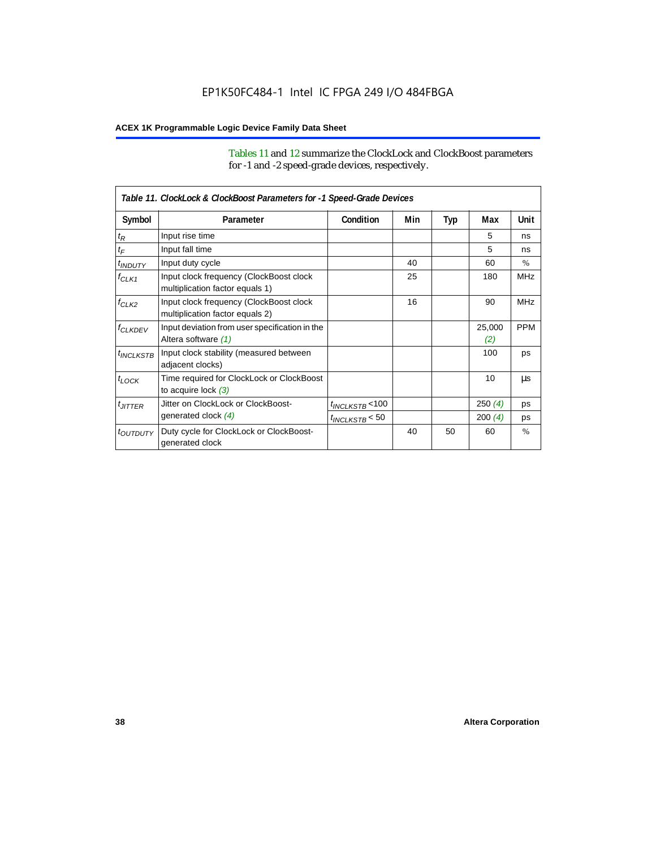Tables 11 and 12 summarize the ClockLock and ClockBoost parameters for -1 and -2 speed-grade devices, respectively.

|                       | Table 11. ClockLock & ClockBoost Parameters for -1 Speed-Grade Devices     |                      |     |     |               |               |  |
|-----------------------|----------------------------------------------------------------------------|----------------------|-----|-----|---------------|---------------|--|
| Symbol                | Parameter                                                                  | Condition            | Min | Typ | Max           | Unit          |  |
| $t_{\mathsf{R}}$      | Input rise time                                                            |                      |     |     | 5             | ns            |  |
| $t_{\mathsf{F}}$      | Input fall time                                                            |                      |     |     | 5             | ns            |  |
| $t_{INDUTY}$          | Input duty cycle                                                           |                      | 40  |     | 60            | $\frac{0}{0}$ |  |
| $f_{CLK1}$            | Input clock frequency (ClockBoost clock<br>multiplication factor equals 1) |                      | 25  |     | 180           | <b>MHz</b>    |  |
| $f_{CLK2}$            | Input clock frequency (ClockBoost clock<br>multiplication factor equals 2) |                      | 16  |     | 90            | <b>MHz</b>    |  |
| <b><i>fCLKDEV</i></b> | Input deviation from user specification in the<br>Altera software (1)      |                      |     |     | 25,000<br>(2) | <b>PPM</b>    |  |
| <sup>t</sup> INCLKSTB | Input clock stability (measured between<br>adjacent clocks)                |                      |     |     | 100           | ps            |  |
| $t_{LOCK}$            | Time required for ClockLock or ClockBoost<br>to acquire lock $(3)$         |                      |     |     | 10            | μs            |  |
| $t_{JITTER}$          | Jitter on ClockLock or ClockBoost-                                         | $t_{INCLKSTB}$ < 100 |     |     | 250(4)        | ps            |  |
|                       | generated clock (4)                                                        | $t_{INCLKSTB}$ < 50  |     |     | 200(4)        | ps            |  |
| <i>toutputy</i>       | Duty cycle for ClockLock or ClockBoost-<br>generated clock                 |                      | 40  | 50  | 60            | $\frac{0}{0}$ |  |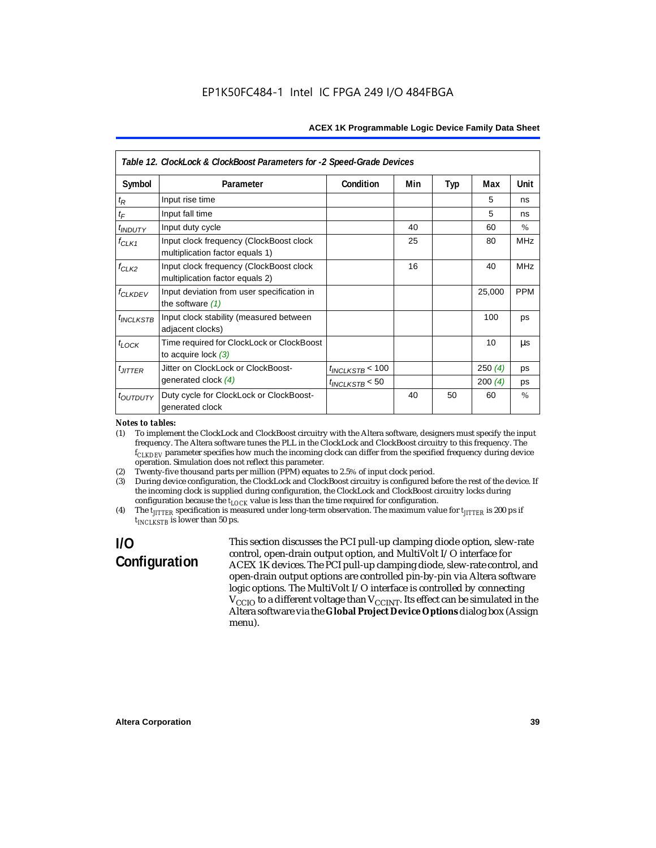|                                  | Table 12. ClockLock & ClockBoost Parameters for -2 Speed-Grade Devices     |                      |     |     |        |            |
|----------------------------------|----------------------------------------------------------------------------|----------------------|-----|-----|--------|------------|
| Symbol                           | Parameter                                                                  | Condition            | Min | Typ | Max    | Unit       |
| $t_{\mathsf{R}}$                 | Input rise time                                                            |                      |     |     | 5      | ns         |
| $t_{\digamma}$                   | Input fall time                                                            |                      |     |     | 5      | ns         |
| <i><b>t<sub>INDUTY</sub></b></i> | Input duty cycle                                                           |                      | 40  |     | 60     | $\%$       |
| $f_{CLK1}$                       | Input clock frequency (ClockBoost clock<br>multiplication factor equals 1) |                      | 25  |     | 80     | <b>MHz</b> |
| $f_{CLK2}$                       | Input clock frequency (ClockBoost clock<br>multiplication factor equals 2) |                      | 16  |     | 40     | <b>MHz</b> |
| $f_{CLKDEV}$                     | Input deviation from user specification in<br>the software $(1)$           |                      |     |     | 25,000 | <b>PPM</b> |
| $t_{INCLKSTB}$                   | Input clock stability (measured between<br>adjacent clocks)                |                      |     |     | 100    | ps         |
| $t$ <sub>LOCK</sub>              | Time required for ClockLock or ClockBoost<br>to acquire lock $(3)$         |                      |     |     | 10     | μs         |
| $t_{JITTER}$                     | Jitter on ClockLock or ClockBoost-                                         | $t_{INCLKSTB}$ < 100 |     |     | 250(4) | ps         |
|                                  | generated clock $(4)$                                                      | $t_{INCLKSTB}$ < 50  |     |     | 200(4) | ps         |
| t <sub>OUTDUTY</sub>             | Duty cycle for ClockLock or ClockBoost-<br>generated clock                 |                      | 40  | 50  | 60     | $\%$       |

#### *Notes to tables:*

(1) To implement the ClockLock and ClockBoost circuitry with the Altera software, designers must specify the input frequency. The Altera software tunes the PLL in the ClockLock and ClockBoost circuitry to this frequency. The *fCLKDEV* parameter specifies how much the incoming clock can differ from the specified frequency during device operation. Simulation does not reflect this parameter.

- (2) Twenty-five thousand parts per million (PPM) equates to 2.5% of input clock period.
- (3) During device configuration, the ClockLock and ClockBoost circuitry is configured before the rest of the device. If the incoming clock is supplied during configuration, the ClockLock and ClockBoost circuitry locks during configuration because the  $t_{LOCK}$  value is less than the time required for configuration.
- (4) The  $t_{\text{ITTTER}}$  specification is measured under long-term observation. The maximum value for  $t_{\text{ITTTER}}$  is 200 ps if *tINCLKSTB* is lower than 50 ps.

# **I/O Configuration**

This section discusses the PCI pull-up clamping diode option, slew-rate control, open-drain output option, and MultiVolt I/O interface for ACEX 1K devices. The PCI pull-up clamping diode, slew-rate control, and open-drain output options are controlled pin-by-pin via Altera software logic options. The MultiVolt I/O interface is controlled by connecting  $V_{\rm CCD}$  to a different voltage than  $V_{\rm CCINT}$ . Its effect can be simulated in the Altera software via the **Global Project Device Options** dialog box (Assign menu).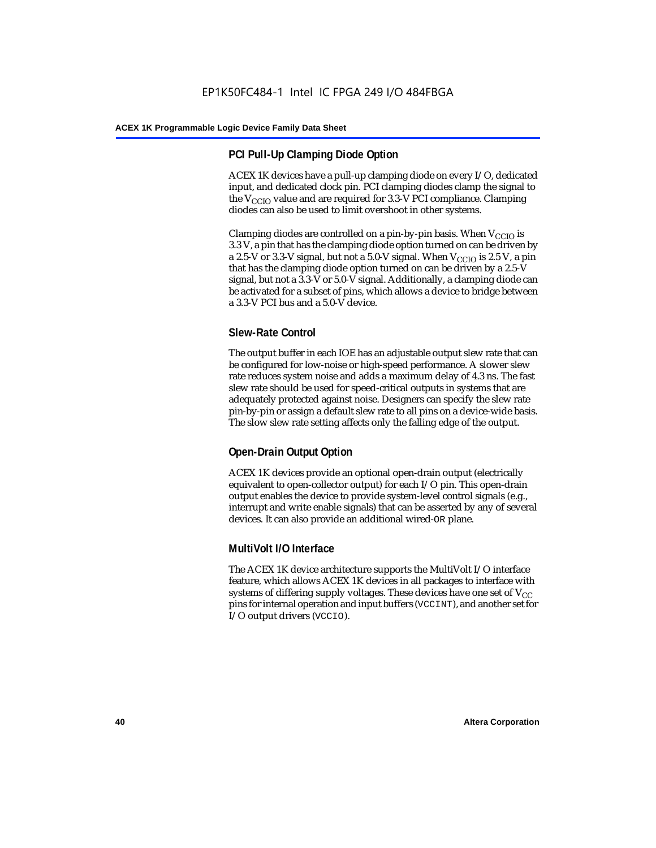# **PCI Pull-Up Clamping Diode Option**

ACEX 1K devices have a pull-up clamping diode on every I/O, dedicated input, and dedicated clock pin. PCI clamping diodes clamp the signal to the  $V_{\text{CCIO}}$  value and are required for 3.3-V PCI compliance. Clamping diodes can also be used to limit overshoot in other systems.

Clamping diodes are controlled on a pin-by-pin basis. When  $V_{CCIO}$  is 3.3 V, a pin that has the clamping diode option turned on can be driven by a 2.5-V or 3.3-V signal, but not a 5.0-V signal. When  $V_{CCIO}$  is 2.5 V, a pin that has the clamping diode option turned on can be driven by a 2.5-V signal, but not a 3.3-V or 5.0-V signal. Additionally, a clamping diode can be activated for a subset of pins, which allows a device to bridge between a 3.3-V PCI bus and a 5.0-V device.

# **Slew-Rate Control**

The output buffer in each IOE has an adjustable output slew rate that can be configured for low-noise or high-speed performance. A slower slew rate reduces system noise and adds a maximum delay of 4.3 ns. The fast slew rate should be used for speed-critical outputs in systems that are adequately protected against noise. Designers can specify the slew rate pin-by-pin or assign a default slew rate to all pins on a device-wide basis. The slow slew rate setting affects only the falling edge of the output.

# **Open-Drain Output Option**

ACEX 1K devices provide an optional open-drain output (electrically equivalent to open-collector output) for each I/O pin. This open-drain output enables the device to provide system-level control signals (e.g., interrupt and write enable signals) that can be asserted by any of several devices. It can also provide an additional wired-OR plane.

### **MultiVolt I/O Interface**

The ACEX 1K device architecture supports the MultiVolt I/O interface feature, which allows ACEX 1K devices in all packages to interface with systems of differing supply voltages. These devices have one set of  $V_{CC}$ pins for internal operation and input buffers (VCCINT), and another set for I/O output drivers (VCCIO).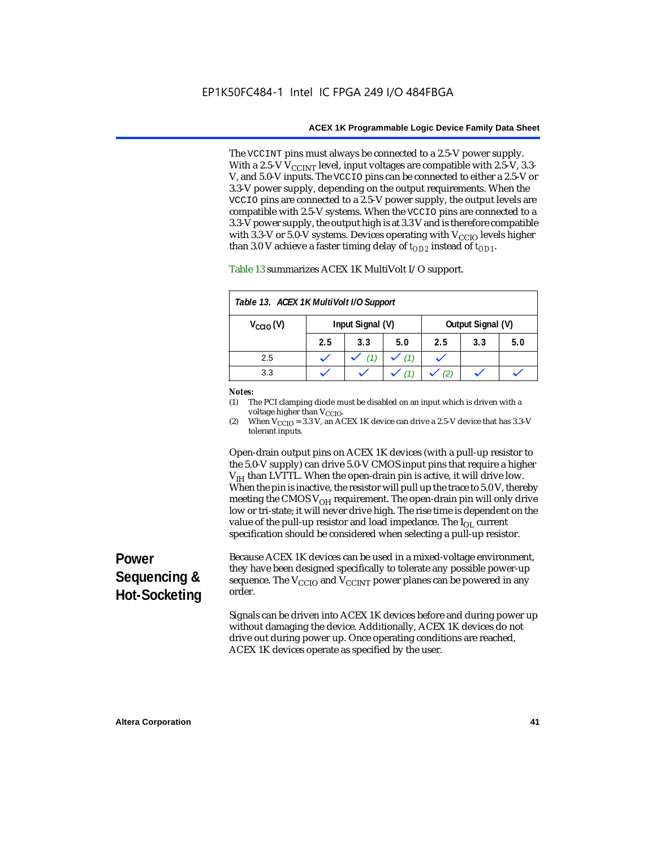The VCCINT pins must always be connected to a 2.5-V power supply. With a 2.5-V  $V_{CCMT}$  level, input voltages are compatible with 2.5-V, 3.3-V, and 5.0-V inputs. The VCCIO pins can be connected to either a 2.5-V or 3.3-V power supply, depending on the output requirements. When the VCCIO pins are connected to a 2.5-V power supply, the output levels are compatible with 2.5-V systems. When the VCCIO pins are connected to a 3.3-V power supply, the output high is at 3.3 V and is therefore compatible with 3.3-V or 5.0-V systems. Devices operating with  $V_{\text{CCIO}}$  levels higher than 3.0 V achieve a faster timing delay of  $t_{OD2}$  instead of  $t_{OD1}$ .

| Table 13. ACEX 1K MultiVolt I/O Support                       |     |     |     |     |     |     |
|---------------------------------------------------------------|-----|-----|-----|-----|-----|-----|
| Input Signal (V)<br>Output Signal (V)<br>$V_{\text{CCIO}}(V)$ |     |     |     |     |     |     |
|                                                               | 2.5 | 3.3 | 5.0 | 2.5 | 3.3 | 5.0 |
| 2.5                                                           |     |     | (1) |     |     |     |
| 3.3                                                           |     |     |     |     |     |     |

Table 13 summarizes ACEX 1K MultiVolt I/O support.

#### *Notes:*

(1) The PCI clamping diode must be disabled on an input which is driven with a voltage higher than V<sub>CCIO</sub>.

(2) When  $V_{\text{CCIO}} = 3.3$  V, an ACEX 1K device can drive a 2.5-V device that has 3.3-V tolerant inputs.

Open-drain output pins on ACEX 1K devices (with a pull-up resistor to the 5.0-V supply) can drive 5.0-V CMOS input pins that require a higher  $V<sub>IH</sub>$  than LVTTL. When the open-drain pin is active, it will drive low. When the pin is inactive, the resistor will pull up the trace to 5.0 V, thereby meeting the CMOS  $V_{OH}$  requirement. The open-drain pin will only drive low or tri-state; it will never drive high. The rise time is dependent on the value of the pull-up resistor and load impedance. The  $I_{OL}$  current specification should be considered when selecting a pull-up resistor.

# **Power Sequencing & Hot-Socketing**

Because ACEX 1K devices can be used in a mixed-voltage environment, they have been designed specifically to tolerate any possible power-up sequence. The  $V_{\text{CCIO}}$  and  $V_{\text{CCINT}}$  power planes can be powered in any order.

Signals can be driven into ACEX 1K devices before and during power up without damaging the device. Additionally, ACEX 1K devices do not drive out during power up. Once operating conditions are reached, ACEX 1K devices operate as specified by the user.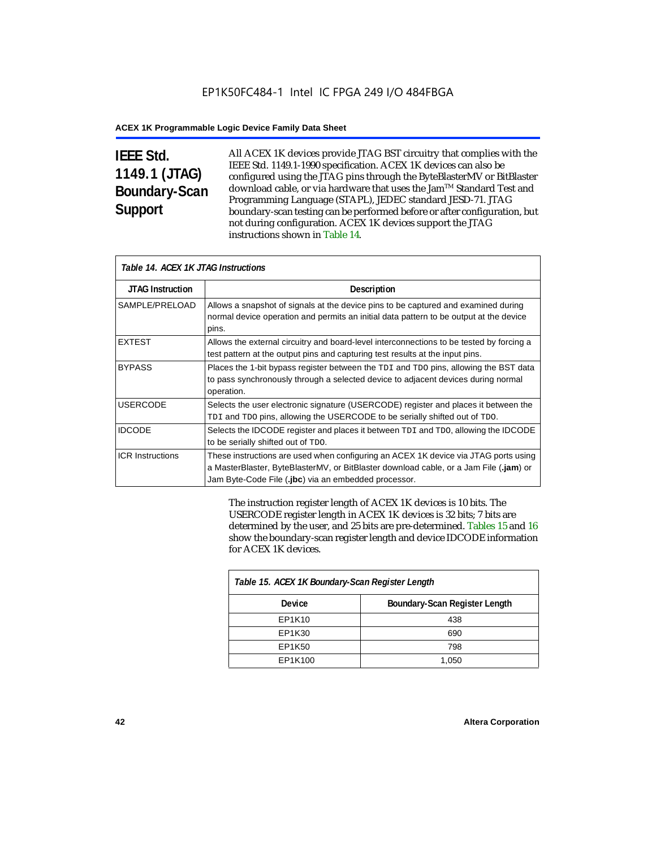# **IEEE Std. 1149.1 (JTAG) Boundary-Scan Support**

All ACEX 1K devices provide JTAG BST circuitry that complies with the IEEE Std. 1149.1-1990 specification. ACEX 1K devices can also be configured using the JTAG pins through the ByteBlasterMV or BitBlaster download cable, or via hardware that uses the Jam™ Standard Test and Programming Language (STAPL), JEDEC standard JESD-71. JTAG boundary-scan testing can be performed before or after configuration, but not during configuration. ACEX 1K devices support the JTAG instructions shown in Table 14.

| Table 14. ACEX 1K JTAG Instructions |                                                                                                                                                                                                                                      |  |  |  |
|-------------------------------------|--------------------------------------------------------------------------------------------------------------------------------------------------------------------------------------------------------------------------------------|--|--|--|
| <b>JTAG Instruction</b>             | <b>Description</b>                                                                                                                                                                                                                   |  |  |  |
| SAMPLE/PRELOAD                      | Allows a snapshot of signals at the device pins to be captured and examined during<br>normal device operation and permits an initial data pattern to be output at the device<br>pins.                                                |  |  |  |
| <b>EXTEST</b>                       | Allows the external circuitry and board-level interconnections to be tested by forcing a<br>test pattern at the output pins and capturing test results at the input pins.                                                            |  |  |  |
| <b>BYPASS</b>                       | Places the 1-bit bypass register between the TDI and TDO pins, allowing the BST data<br>to pass synchronously through a selected device to adjacent devices during normal<br>operation.                                              |  |  |  |
| <b>USERCODE</b>                     | Selects the user electronic signature (USERCODE) register and places it between the<br>TDI and TDO pins, allowing the USERCODE to be serially shifted out of TDO.                                                                    |  |  |  |
| <b>IDCODE</b>                       | Selects the IDCODE register and places it between TDI and TDO, allowing the IDCODE<br>to be serially shifted out of TDO.                                                                                                             |  |  |  |
| <b>ICR Instructions</b>             | These instructions are used when configuring an ACEX 1K device via JTAG ports using<br>a MasterBlaster, ByteBlasterMV, or BitBlaster download cable, or a Jam File (.jam) or<br>Jam Byte-Code File (.jbc) via an embedded processor. |  |  |  |

The instruction register length of ACEX 1K devices is 10 bits. The USERCODE register length in ACEX 1K devices is 32 bits; 7 bits are determined by the user, and 25 bits are pre-determined. Tables 15 and 16 show the boundary-scan register length and device IDCODE information for ACEX 1K devices.

| Table 15. ACEX 1K Boundary-Scan Register Length |                               |  |  |  |
|-------------------------------------------------|-------------------------------|--|--|--|
| Device                                          | Boundary-Scan Register Length |  |  |  |
| EP1K10                                          | 438                           |  |  |  |
| EP1K30                                          | 690                           |  |  |  |
| EP1K50                                          | 798                           |  |  |  |
| EP1K100                                         | 1,050                         |  |  |  |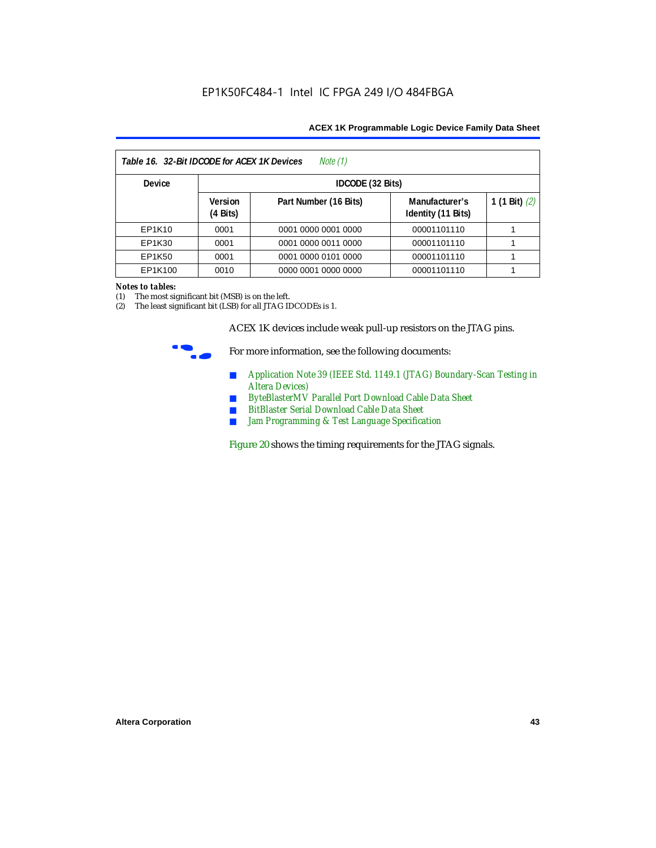| Note (1)<br>Table 16. 32-Bit IDCODE for ACEX 1K Devices |                                      |                       |                                      |                 |  |  |
|---------------------------------------------------------|--------------------------------------|-----------------------|--------------------------------------|-----------------|--|--|
| <b>Device</b>                                           |                                      | IDCODE (32 Bits)      |                                      |                 |  |  |
|                                                         | <b>Version</b><br>$(4 \text{ Bits})$ | Part Number (16 Bits) | Manufacturer's<br>Identity (11 Bits) | 1 (1 Bit) $(2)$ |  |  |
| EP1K10                                                  | 0001                                 | 0001 0000 0001 0000   | 00001101110                          |                 |  |  |
| EP1K30                                                  | 0001                                 | 0001 0000 0011 0000   | 00001101110                          |                 |  |  |
| EP1K50                                                  | 0001                                 | 0001 0000 0101 0000   | 00001101110                          |                 |  |  |
| EP1K100                                                 | 0010                                 | 0000 0001 0000 0000   | 00001101110                          |                 |  |  |

#### *Notes to tables:*

(1) The most significant bit (MSB) is on the left.

(2) The least significant bit (LSB) for all JTAG IDCODEs is 1.

ACEX 1K devices include weak pull-up resistors on the JTAG pins.



For more information, see the following documents:

- *Application Note 39 (IEEE Std. 1149.1 (JTAG) Boundary-Scan Testing in Altera Devices)*
- *ByteBlasterMV Parallel Port Download Cable Data Sheet*
- *BitBlaster Serial Download Cable Data Sheet*
- *Jam Programming & Test Language Specification*

Figure 20 shows the timing requirements for the JTAG signals.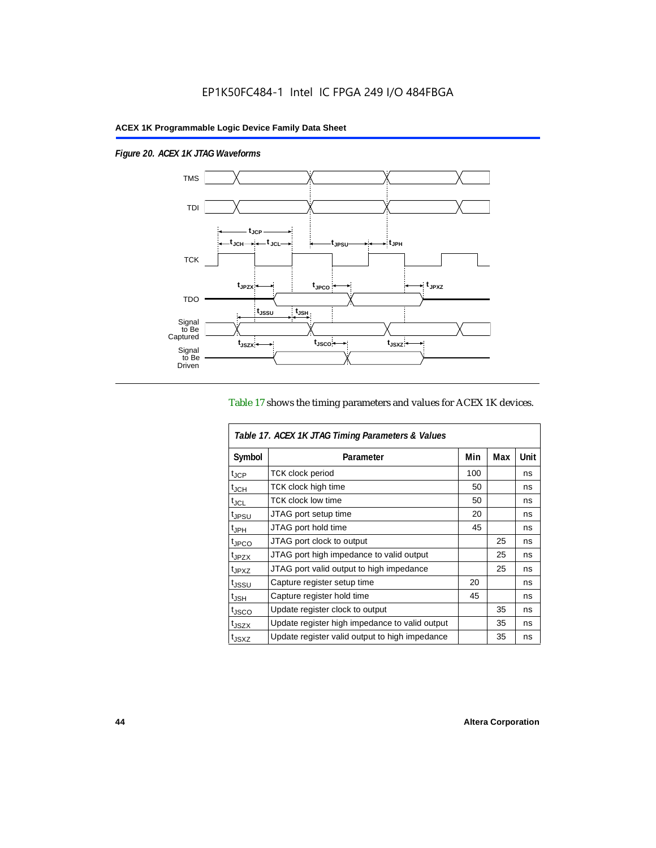$\overline{1}$ 

*Figure 20. ACEX 1K JTAG Waveforms*



### Table 17 shows the timing parameters and values for ACEX 1K devices.

| Table 17. ACEX 1K JTAG Timing Parameters & Values |                                                |     |     |      |  |  |
|---------------------------------------------------|------------------------------------------------|-----|-----|------|--|--|
| Symbol                                            | Parameter                                      | Min | Max | Unit |  |  |
| t <sub>JCP</sub>                                  | <b>TCK clock period</b>                        | 100 |     | ns   |  |  |
| $t_{JCH}$                                         | TCK clock high time                            | 50  |     | ns   |  |  |
| t <sub>JCL</sub>                                  | <b>TCK clock low time</b>                      | 50  |     | ns   |  |  |
| <sup>t</sup> JPSU                                 | JTAG port setup time                           | 20  |     | ns   |  |  |
| $t_{\rm JPH}$                                     | JTAG port hold time                            | 45  |     | ns   |  |  |
| t <sub>JPCO</sub>                                 | JTAG port clock to output                      |     | 25  | ns   |  |  |
| t <sub>JPZX</sub>                                 | JTAG port high impedance to valid output       |     | 25  | ns   |  |  |
| t <sub>JPXZ</sub>                                 | JTAG port valid output to high impedance       |     | 25  | ns   |  |  |
| tjssu                                             | Capture register setup time                    | 20  |     | ns   |  |  |
| $t_{JSH}$                                         | Capture register hold time                     | 45  |     | ns   |  |  |
| t <sub>JSCO</sub>                                 | Update register clock to output                |     | 35  | ns   |  |  |
| t <sub>JSZX</sub>                                 | Update register high impedance to valid output |     | 35  | ns   |  |  |
| t <sub>JSXZ</sub>                                 | Update register valid output to high impedance |     | 35  | ns   |  |  |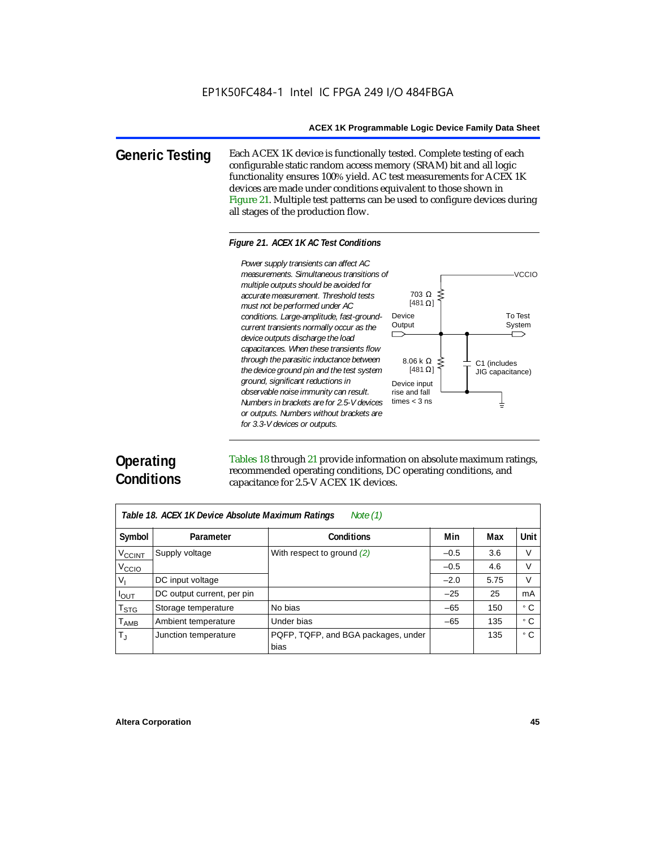**Generic Testing** Each ACEX 1K device is functionally tested. Complete testing of each configurable static random access memory (SRAM) bit and all logic functionality ensures 100% yield. AC test measurements for ACEX 1K devices are made under conditions equivalent to those shown in Figure 21. Multiple test patterns can be used to configure devices during all stages of the production flow.

#### *Figure 21. ACEX 1K AC Test Conditions*



# **Operating Conditions**

Tables 18 through 21 provide information on absolute maximum ratings, recommended operating conditions, DC operating conditions, and capacitance for 2.5-V ACEX 1K devices.

| Note $(1)$<br>Table 18. ACEX 1K Device Absolute Maximum Ratings |                            |                                             |        |      |      |  |  |
|-----------------------------------------------------------------|----------------------------|---------------------------------------------|--------|------|------|--|--|
| Symbol                                                          | Parameter                  | <b>Conditions</b>                           | Min    | Max  | Unit |  |  |
| <b>V<sub>CCINT</sub></b>                                        | Supply voltage             | With respect to ground $(2)$                | $-0.5$ | 3.6  | V    |  |  |
| V <sub>CCIO</sub>                                               |                            |                                             | $-0.5$ | 4.6  | V    |  |  |
| $V_{1}$                                                         | DC input voltage           |                                             | $-2.0$ | 5.75 | V    |  |  |
| $I_{OUT}$                                                       | DC output current, per pin |                                             | $-25$  | 25   | mA   |  |  |
| $T_{\text{STG}}$                                                | Storage temperature        | No bias                                     | $-65$  | 150  | ۰c   |  |  |
| <b>TAMB</b>                                                     | Ambient temperature        | Under bias                                  | $-65$  | 135  | ۰c   |  |  |
| $T_{\rm J}$                                                     | Junction temperature       | PQFP, TQFP, and BGA packages, under<br>bias |        | 135  | ۰c   |  |  |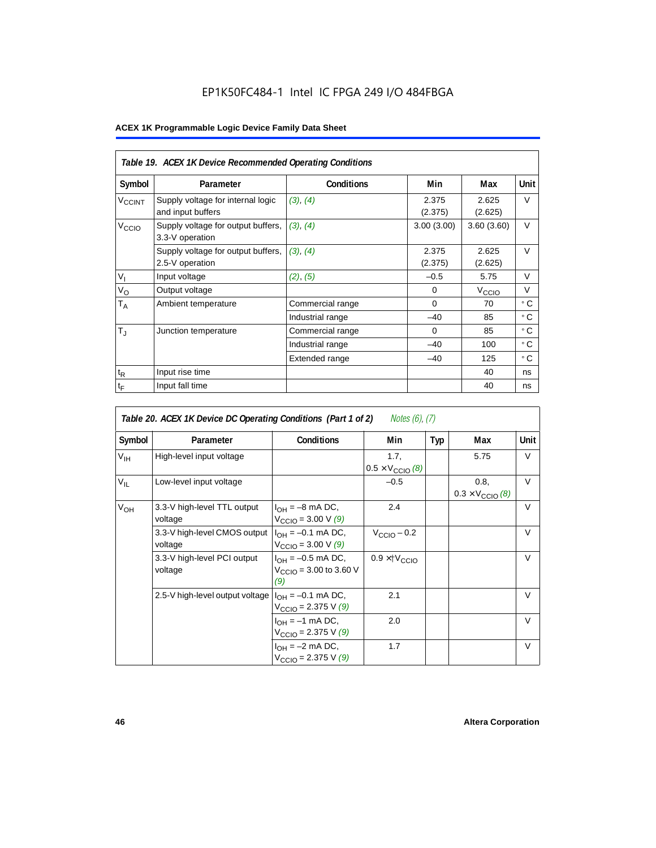# EP1K50FC484-1 Intel IC FPGA 249 I/O 484FBGA

|                    | Table 19. ACEX 1K Device Recommended Operating Conditions |                   |                  |                   |           |  |  |  |
|--------------------|-----------------------------------------------------------|-------------------|------------------|-------------------|-----------|--|--|--|
| Symbol             | Parameter                                                 | <b>Conditions</b> | Min              | Max               | Unit      |  |  |  |
| V <sub>CCINT</sub> | Supply voltage for internal logic<br>and input buffers    | (3), (4)          | 2.375<br>(2.375) | 2.625<br>(2.625)  | V         |  |  |  |
| V <sub>CCIO</sub>  | Supply voltage for output buffers,<br>3.3-V operation     | (3), (4)          | 3.00(3.00)       | 3.60(3.60)        | $\vee$    |  |  |  |
|                    | Supply voltage for output buffers,<br>2.5-V operation     | (3), (4)          | 2.375<br>(2.375) | 2.625<br>(2.625)  | $\vee$    |  |  |  |
| $V_{I}$            | Input voltage                                             | (2), (5)          | $-0.5$           | 5.75              | $\vee$    |  |  |  |
| $V_{\rm O}$        | Output voltage                                            |                   | $\Omega$         | V <sub>ccio</sub> | V         |  |  |  |
| $T_A$              | Ambient temperature                                       | Commercial range  | $\Omega$         | 70                | ۰c        |  |  |  |
|                    |                                                           | Industrial range  | $-40$            | 85                | $\circ$ C |  |  |  |
| $T_{\rm J}$        | Junction temperature                                      | Commercial range  | $\Omega$         | 85                | $\circ$ C |  |  |  |
|                    |                                                           | Industrial range  | $-40$            | 100               | $\circ$ C |  |  |  |
|                    |                                                           | Extended range    | $-40$            | 125               | ° C       |  |  |  |
| $t_{R}$            | Input rise time                                           |                   |                  | 40                | ns        |  |  |  |
| $t_{\mathsf{F}}$   | Input fall time                                           |                   |                  | 40                | ns        |  |  |  |

| Notes (6), (7)<br>Table 20. ACEX 1K Device DC Operating Conditions (Part 1 of 2) |                                         |                                                                     |                                           |     |                                          |        |  |  |
|----------------------------------------------------------------------------------|-----------------------------------------|---------------------------------------------------------------------|-------------------------------------------|-----|------------------------------------------|--------|--|--|
| Symbol                                                                           | Parameter                               | <b>Conditions</b>                                                   | Min                                       | Typ | Max                                      | Unit   |  |  |
| $V_{\text{IH}}$                                                                  | High-level input voltage                |                                                                     | 1.7.<br>$0.5 \times V_{\text{CCIO}}$ (8)  |     | 5.75                                     | V      |  |  |
| $V_{IL}$                                                                         | Low-level input voltage                 |                                                                     | $-0.5$                                    |     | 0.8,<br>$0.3 \times V_{\text{CCIO}}$ (8) | $\vee$ |  |  |
| $V_{OH}$                                                                         | 3.3-V high-level TTL output<br>voltage  | $I_{OH} = -8$ mA DC,<br>$V_{\text{CCIO}} = 3.00 \text{ V } (9)$     | 2.4                                       |     |                                          | $\vee$ |  |  |
|                                                                                  | 3.3-V high-level CMOS output<br>voltage | $I_{OH} = -0.1$ mA DC,<br>$V_{\text{CCIO}} = 3.00 \text{ V} (9)$    | $V_{CClO}$ – 0.2                          |     |                                          | $\vee$ |  |  |
|                                                                                  | 3.3-V high-level PCI output<br>voltage  | $I_{OH} = -0.5$ mA DC,<br>$V_{\text{CCIO}} = 3.00$ to 3.60 V<br>(9) | $0.9 \times$ $\uparrow$ $V_{\text{CCIO}}$ |     |                                          | $\vee$ |  |  |
|                                                                                  | 2.5-V high-level output voltage         | $I_{OH} = -0.1$ mA DC,<br>$V_{\text{CCIO}} = 2.375 \text{ V} (9)$   | 2.1                                       |     |                                          | $\vee$ |  |  |
|                                                                                  |                                         | $I_{OH} = -1$ mA DC,<br>$V_{\text{CCIO}} = 2.375 \text{ V} (9)$     | 2.0                                       |     |                                          | $\vee$ |  |  |
|                                                                                  |                                         | $I_{OH} = -2$ mA DC,<br>$V_{\text{CCIO}} = 2.375 \text{ V} (9)$     | 1.7                                       |     |                                          | $\vee$ |  |  |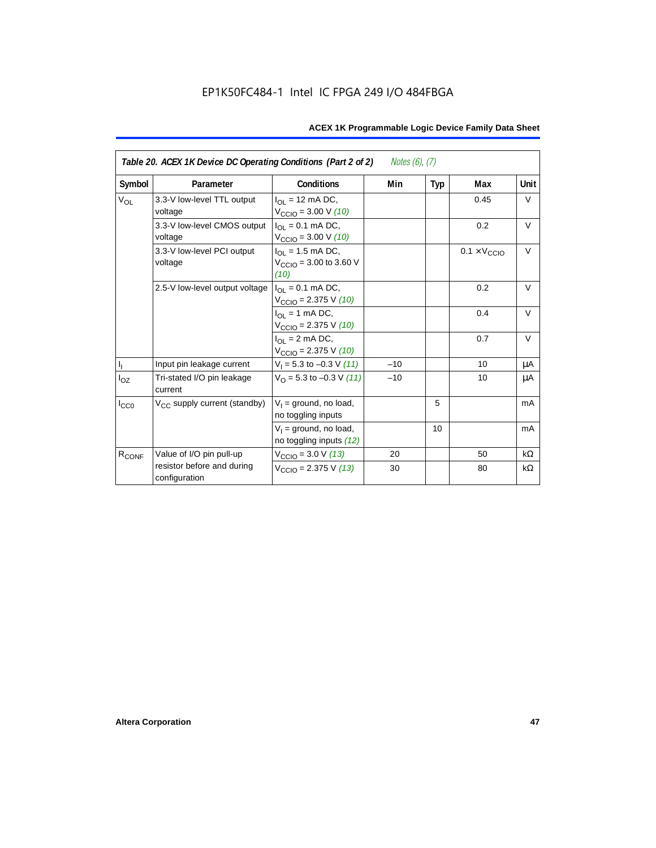| Table 20. ACEX 1K Device DC Operating Conditions (Part 2 of 2)<br><i>Notes (6), (7)</i> |                                             |                                                                         |       |     |                              |           |  |
|-----------------------------------------------------------------------------------------|---------------------------------------------|-------------------------------------------------------------------------|-------|-----|------------------------------|-----------|--|
| Symbol                                                                                  | Parameter                                   | <b>Conditions</b>                                                       | Min   | Typ | Max                          | Unit      |  |
| <b>V<sub>OL</sub></b>                                                                   | 3.3-V low-level TTL output<br>voltage       | $I_{\Omega}$ = 12 mA DC,<br>$V_{\text{CCIO}} = 3.00 \text{ V} (10)$     |       |     | 0.45                         | V         |  |
|                                                                                         | 3.3-V low-level CMOS output<br>voltage      | $I_{\Omega} = 0.1$ mA DC,<br>$V_{\text{CCIO}} = 3.00 \text{ V} (10)$    |       |     | 0.2                          | $\vee$    |  |
|                                                                                         | 3.3-V low-level PCI output<br>voltage       | $I_{OL}$ = 1.5 mA DC,<br>$V_{\text{CCIO}} = 3.00$ to 3.60 V<br>(10)     |       |     | $0.1 \times V_{\text{CCIO}}$ | $\vee$    |  |
|                                                                                         | 2.5-V low-level output voltage              | $I_{\Omega I} = 0.1$ mA DC,<br>$V_{\text{CCIO}} = 2.375 \text{ V} (10)$ |       |     | 0.2                          | $\vee$    |  |
|                                                                                         |                                             | $I_{OL}$ = 1 mA DC,<br>$V_{\text{CCIO}} = 2.375 \text{ V} (10)$         |       |     | 0.4                          | $\vee$    |  |
|                                                                                         |                                             | $I_{\Omega}$ = 2 mA DC,<br>$V_{\text{CCIO}} = 2.375 \text{ V} (10)$     |       |     | 0.7                          | V         |  |
| $\mathbf{I}_\mathrm{I}$                                                                 | Input pin leakage current                   | $V_1 = 5.3$ to $-0.3$ V (11)                                            | $-10$ |     | 10                           | μA        |  |
| $I_{OZ}$                                                                                | Tri-stated I/O pin leakage<br>current       | $V_O$ = 5.3 to -0.3 V (11)                                              | $-10$ |     | 10                           | μA        |  |
| $I_{CC0}$                                                                               | V <sub>CC</sub> supply current (standby)    | $V_1$ = ground, no load,<br>no toggling inputs                          |       | 5   |                              | mA        |  |
|                                                                                         |                                             | $V_1$ = ground, no load,<br>no toggling inputs (12)                     |       | 10  |                              | mA        |  |
| R <sub>CONF</sub>                                                                       | Value of I/O pin pull-up                    | $V_{\text{CCIO}} = 3.0 \text{ V} (13)$                                  | 20    |     | 50                           | $k\Omega$ |  |
|                                                                                         | resistor before and during<br>configuration | $V_{\text{CCIO}}$ = 2.375 V (13)                                        | 30    |     | 80                           | kΩ        |  |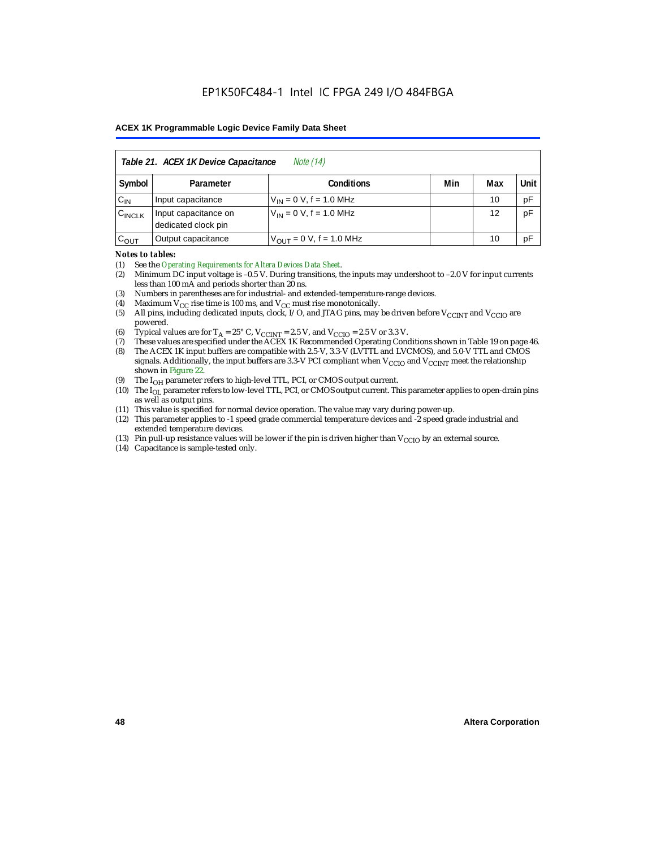| Table 21. ACEX 1K Device Capacitance<br><i>Note</i> (14) |                                                      |                                     |  |    |    |  |  |
|----------------------------------------------------------|------------------------------------------------------|-------------------------------------|--|----|----|--|--|
| Symbol                                                   | Min<br>Unit<br>Max<br><b>Conditions</b><br>Parameter |                                     |  |    |    |  |  |
| $C_{IN}$                                                 | Input capacitance                                    | $V_{IN} = 0 V$ , f = 1.0 MHz        |  | 10 | pF |  |  |
| $C_{\text{INCLK}}$                                       | Input capacitance on<br>dedicated clock pin          | $V_{1N} = 0 V$ , f = 1.0 MHz        |  | 12 | pF |  |  |
| $C_{OUT}$                                                | Output capacitance                                   | $V_{\text{OUT}} = 0$ V, f = 1.0 MHz |  | 10 | рF |  |  |

#### *Notes to tables:*

(1) See the *Operating Requirements for Altera Devices Data Sheet*.

- (2) Minimum DC input voltage is –0.5 V. During transitions, the inputs may undershoot to –2.0 V for input currents less than 100 mA and periods shorter than 20 ns.
- (3) Numbers in parentheses are for industrial- and extended-temperature-range devices.
- (4) Maximum  $V_{CC}$  rise time is 100 ms, and  $V_{CC}$  must rise monotonically.<br>(5) All pins, including dedicated inputs, clock, I/O, and JTAG pins, may
- All pins, including dedicated inputs, clock, I/O, and JTAG pins, may be driven before  $V_{\text{CCINT}}$  and  $V_{\text{CCIO}}$  are powered.
- (6) Typical values are for  $T_A = 25^\circ$  C,  $V_{CClNT} = 2.5$  V, and  $V_{CClO} = 2.5$  V or 3.3 V.<br>(7) These values are specified under the ACEX 1K Recommended Operating Cone
- (7) These values are specified under the ACEX 1K Recommended Operating Conditions shown in Table 19 on page 46.<br>(8) The ACEX 1K input buffers are compatible with 2.5-V. 3.3-V (LVTTL and LVCMOS), and 5.0-V TTL and CMOS
- The ACEX 1K input buffers are compatible with 2.5-V, 3.3-V (LVTTL and LVCMOS), and 5.0-V TTL and CMOS signals. Additionally, the input buffers are 3.3-V PCI compliant when  $V_{CCIO}$  and  $V_{CCINT}$  meet the relationship shown in Figure 22.
- (9) The  $I_{OH}$  parameter refers to high-level TTL, PCI, or CMOS output current.
- (10) The I<sub>OL</sub> parameter refers to low-level TTL, PCI, or CMOS output current. This parameter applies to open-drain pins as well as output pins.
- (11) This value is specified for normal device operation. The value may vary during power-up.
- (12) This parameter applies to -1 speed grade commercial temperature devices and -2 speed grade industrial and extended temperature devices.
- (13) Pin pull-up resistance values will be lower if the pin is driven higher than  $V_{\text{CCIO}}$  by an external source.
- (14) Capacitance is sample-tested only.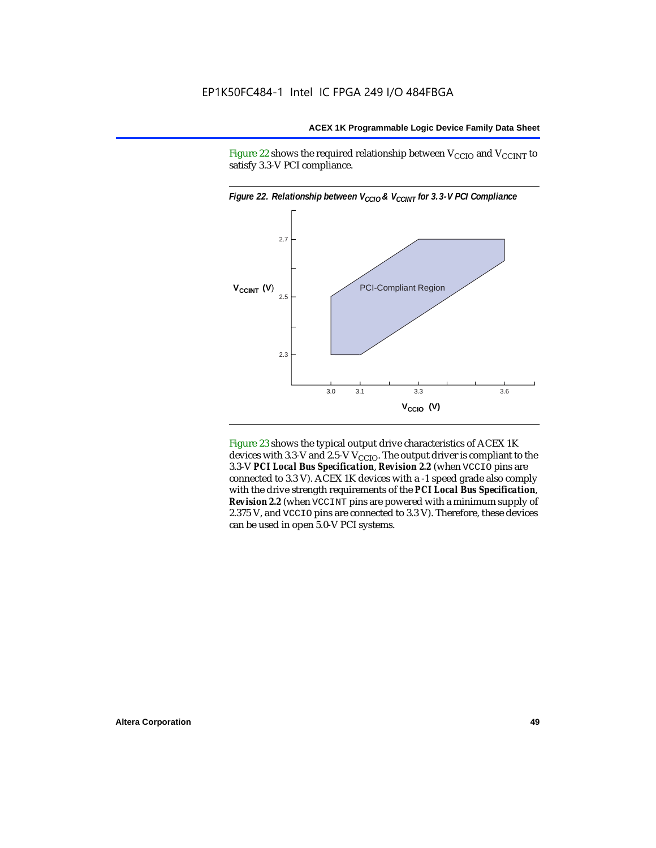Figure 22 shows the required relationship between  $V_{\text{CCIO}}$  and  $V_{\text{CCINT}}$  to satisfy 3.3-V PCI compliance.



Figure 23 shows the typical output drive characteristics of ACEX 1K devices with 3.3-V and 2.5-V  $V_{\text{CCIO}}$ . The output driver is compliant to the 3.3-V *PCI Local Bus Specification*, *Revision 2.2* (when VCCIO pins are connected to 3.3 V). ACEX 1K devices with a -1 speed grade also comply with the drive strength requirements of the *PCI Local Bus Specification*, *Revision 2.2* (when VCCINT pins are powered with a minimum supply of 2.375 V, and VCCIO pins are connected to 3.3 V). Therefore, these devices can be used in open 5.0-V PCI systems.

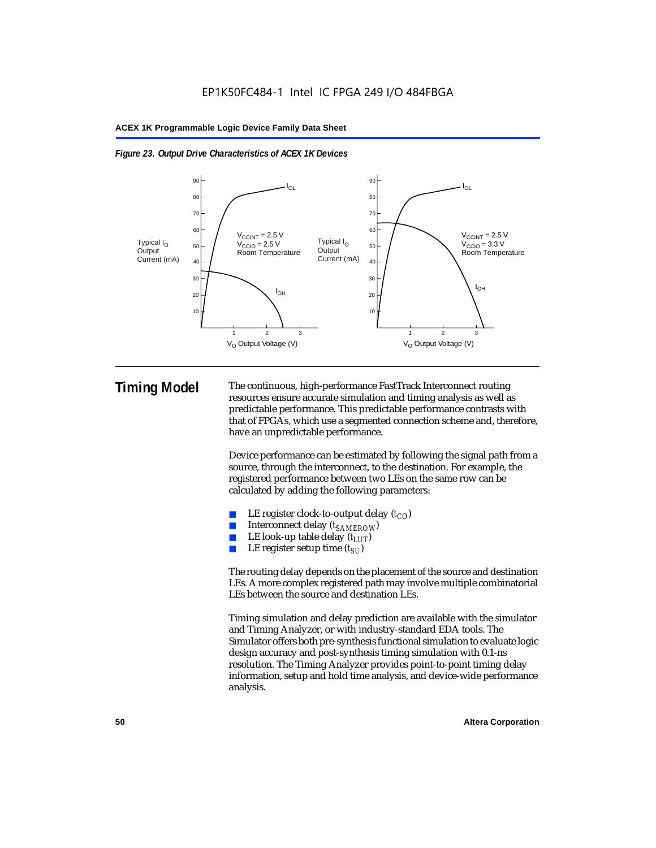



**Timing Model** The continuous, high-performance FastTrack Interconnect routing resources ensure accurate simulation and timing analysis as well as predictable performance. This predictable performance contrasts with that of FPGAs, which use a segmented connection scheme and, therefore, have an unpredictable performance.

> Device performance can be estimated by following the signal path from a source, through the interconnect, to the destination. For example, the registered performance between two LEs on the same row can be calculated by adding the following parameters:

- LE register clock-to-output delay  $(t_{CO})$
- Interconnect delay ( $t_{SAMFROW}$ )
- **■** LE look-up table delay  $(t_{LUT})$ <br>
 LE register setup time  $(t_{ST})$
- LE register setup time  $(t_{SI})$

The routing delay depends on the placement of the source and destination LEs. A more complex registered path may involve multiple combinatorial LEs between the source and destination LEs.

Timing simulation and delay prediction are available with the simulator and Timing Analyzer, or with industry-standard EDA tools. The Simulator offers both pre-synthesis functional simulation to evaluate logic design accuracy and post-synthesis timing simulation with 0.1-ns resolution. The Timing Analyzer provides point-to-point timing delay information, setup and hold time analysis, and device-wide performance analysis.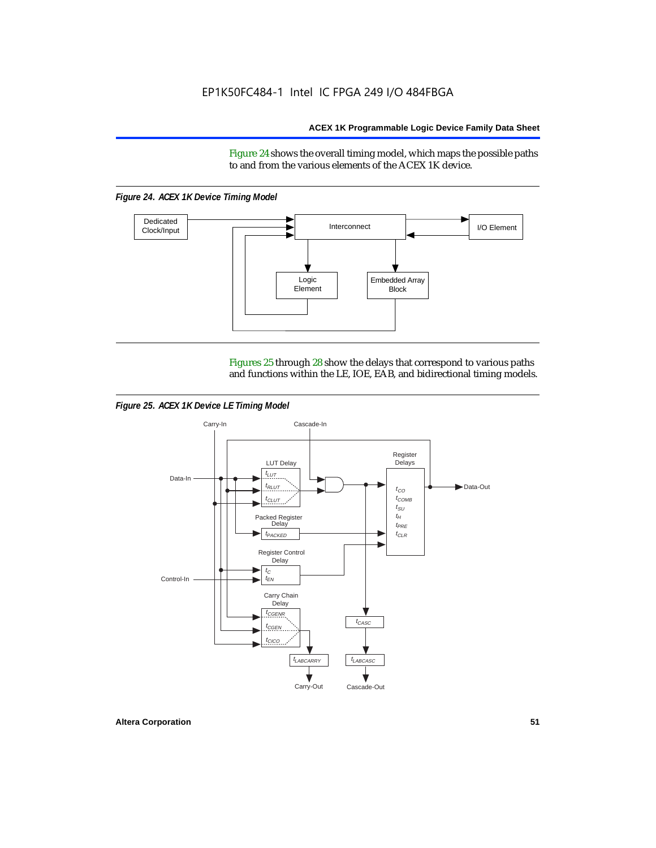Figure 24 shows the overall timing model, which maps the possible paths to and from the various elements of the ACEX 1K device.

*Figure 24. ACEX 1K Device Timing Model*



Figures 25 through 28 show the delays that correspond to various paths and functions within the LE, IOE, EAB, and bidirectional timing models.

*Figure 25. ACEX 1K Device LE Timing Model*

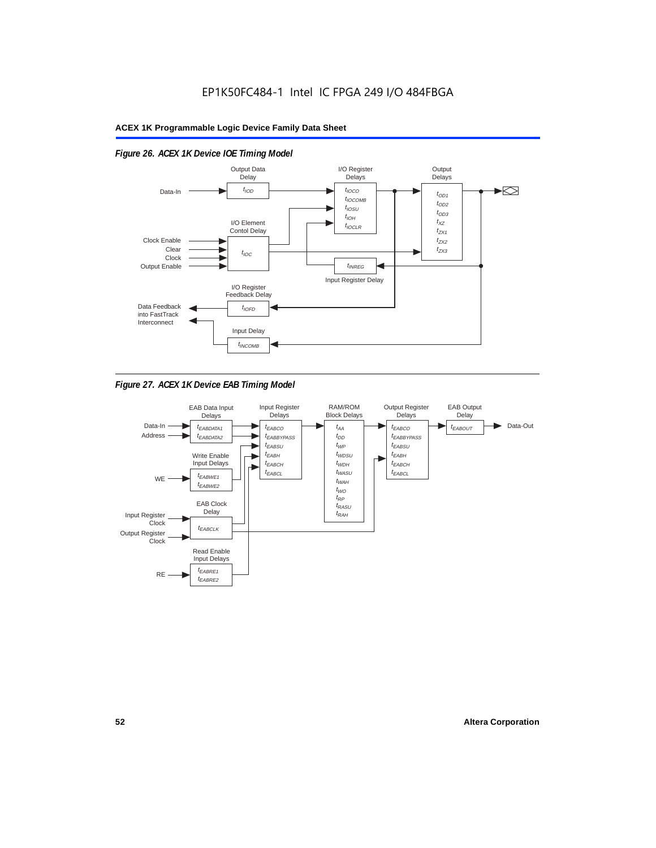

# *Figure 26. ACEX 1K Device IOE Timing Model*

*Figure 27. ACEX 1K Device EAB Timing Model*

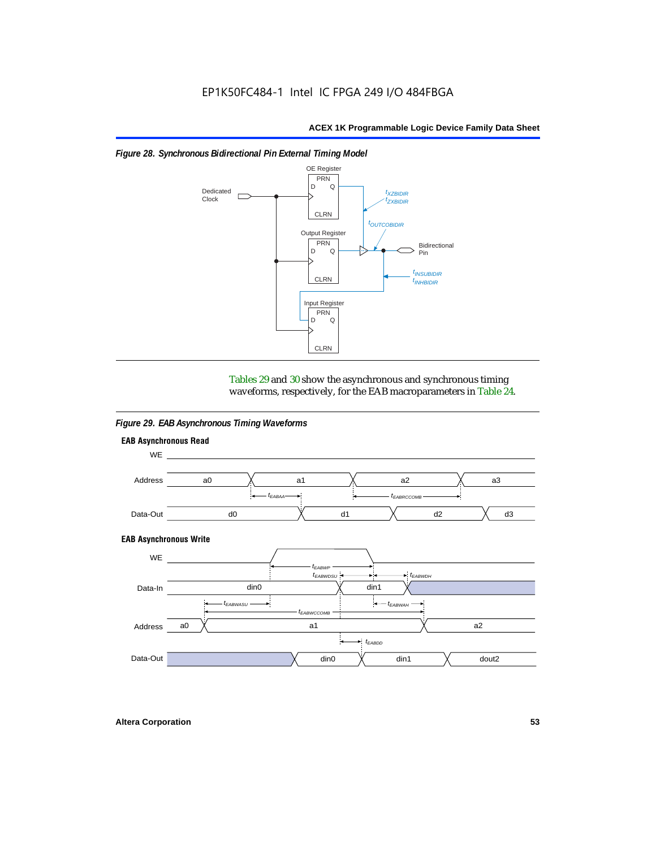

### *Figure 28. Synchronous Bidirectional Pin External Timing Model*

Tables 29 and 30 show the asynchronous and synchronous timing waveforms, respectively, for the EAB macroparameters in Table 24.

*Figure 29. EAB Asynchronous Timing Waveforms*

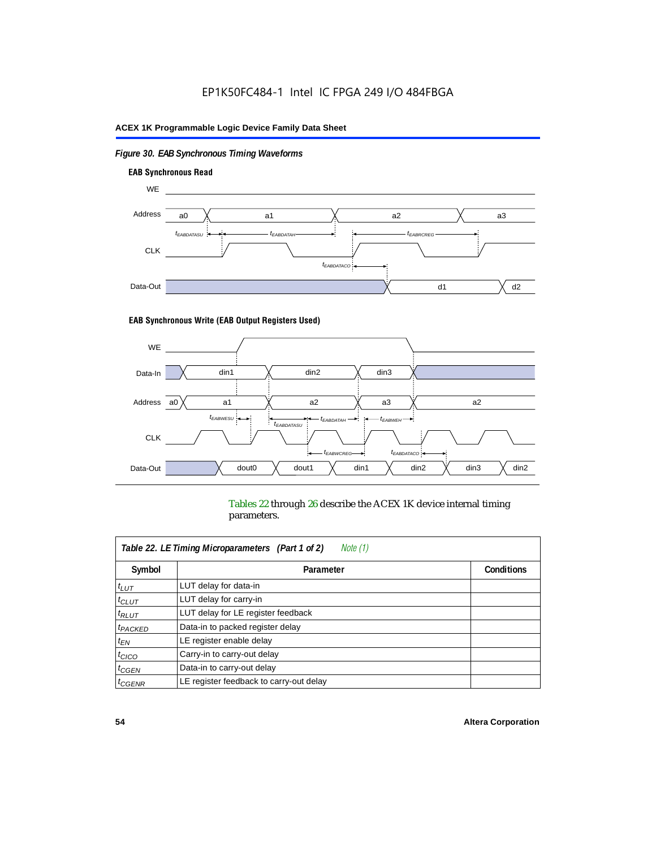# *Figure 30. EAB Synchronous Timing Waveforms*



### **EAB Synchronous Write (EAB Output Registers Used)**



Tables 22 through 26 describe the ACEX 1K device internal timing parameters.

| Note (1)<br>Table 22. LE Timing Microparameters (Part 1 of 2) |                                         |                   |  |  |  |
|---------------------------------------------------------------|-----------------------------------------|-------------------|--|--|--|
| Symbol                                                        | Parameter                               | <b>Conditions</b> |  |  |  |
| $t_{LUT}$                                                     | LUT delay for data-in                   |                   |  |  |  |
| $t_{CLUT}$                                                    | LUT delay for carry-in                  |                   |  |  |  |
| $t_{RLUT}$                                                    | LUT delay for LE register feedback      |                   |  |  |  |
| <sup>t</sup> PACKED                                           | Data-in to packed register delay        |                   |  |  |  |
| $t_{EN}$                                                      | LE register enable delay                |                   |  |  |  |
| $t_{CICO}$                                                    | Carry-in to carry-out delay             |                   |  |  |  |
| $t_{G\text{E}\text{N}}$                                       | Data-in to carry-out delay              |                   |  |  |  |
| ${}^t$ CGENR                                                  | LE register feedback to carry-out delay |                   |  |  |  |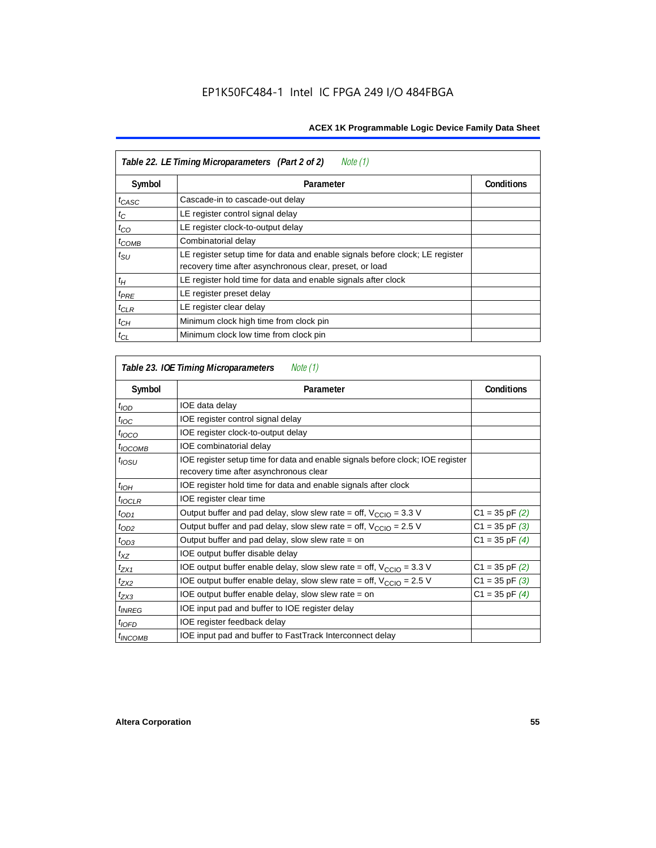| Table 22. LE Timing Microparameters (Part 2 of 2)<br>Note (1) |                                                                                                                                         |                   |  |  |  |
|---------------------------------------------------------------|-----------------------------------------------------------------------------------------------------------------------------------------|-------------------|--|--|--|
| Symbol                                                        | Parameter                                                                                                                               | <b>Conditions</b> |  |  |  |
| $t_{CASC}$                                                    | Cascade-in to cascade-out delay                                                                                                         |                   |  |  |  |
| $t_C$                                                         | LE register control signal delay                                                                                                        |                   |  |  |  |
| $t_{CO}$                                                      | LE register clock-to-output delay                                                                                                       |                   |  |  |  |
| $t_{COMB}$                                                    | Combinatorial delay                                                                                                                     |                   |  |  |  |
| $t_{\scriptstyle\text{SU}}$                                   | LE register setup time for data and enable signals before clock; LE register<br>recovery time after asynchronous clear, preset, or load |                   |  |  |  |
| $t_H$                                                         | LE register hold time for data and enable signals after clock                                                                           |                   |  |  |  |
| $t_{PRE}$                                                     | LE register preset delay                                                                                                                |                   |  |  |  |
| $t_{CLR}$                                                     | LE register clear delay                                                                                                                 |                   |  |  |  |
| $t_{CH}$                                                      | Minimum clock high time from clock pin                                                                                                  |                   |  |  |  |
| $t_{CL}$                                                      | Minimum clock low time from clock pin                                                                                                   |                   |  |  |  |

| Table 23. IOE Timing Microparameters<br>Note (1) |                                                                                                                          |                    |  |  |  |
|--------------------------------------------------|--------------------------------------------------------------------------------------------------------------------------|--------------------|--|--|--|
| Symbol                                           | Parameter                                                                                                                | <b>Conditions</b>  |  |  |  |
| $t_{\textit{IOD}}$                               | IOE data delay                                                                                                           |                    |  |  |  |
| $t_{\text{IOC}}$                                 | IOE register control signal delay                                                                                        |                    |  |  |  |
| $t_{\text{IOCO}}$                                | IOE register clock-to-output delay                                                                                       |                    |  |  |  |
| $t_{IOCOMB}$                                     | IOE combinatorial delay                                                                                                  |                    |  |  |  |
| t <sub>iosu</sub>                                | IOE register setup time for data and enable signals before clock; IOE register<br>recovery time after asynchronous clear |                    |  |  |  |
| $t_{IOH}$                                        | IOE register hold time for data and enable signals after clock                                                           |                    |  |  |  |
| $t_{IOCLR}$                                      | IOE register clear time                                                                                                  |                    |  |  |  |
| $t_{OD1}$                                        | Output buffer and pad delay, slow slew rate = off, $V_{\text{CCIO}} = 3.3 \text{ V}$                                     | $C1 = 35$ pF $(2)$ |  |  |  |
| $t_{OD2}$                                        | Output buffer and pad delay, slow slew rate = off, $V_{\text{CCIO}} = 2.5$ V                                             | $C1 = 35$ pF $(3)$ |  |  |  |
| $t_{OD3}$                                        | Output buffer and pad delay, slow slew rate = on                                                                         | $C1 = 35$ pF $(4)$ |  |  |  |
| $t_{XZ}$                                         | IOE output buffer disable delay                                                                                          |                    |  |  |  |
| $t_{ZX1}$                                        | IOE output buffer enable delay, slow slew rate = off, $V_{\text{CCIO}} = 3.3$ V                                          | $C1 = 35$ pF $(2)$ |  |  |  |
| t <sub>ZX2</sub>                                 | IOE output buffer enable delay, slow slew rate = off, $V_{\text{CCIO}} = 2.5$ V                                          | $C1 = 35$ pF $(3)$ |  |  |  |
| $t_{ZX3}$                                        | IOE output buffer enable delay, slow slew rate $=$ on                                                                    | $C1 = 35$ pF $(4)$ |  |  |  |
| <i>t<sub>INREG</sub></i>                         | IOE input pad and buffer to IOE register delay                                                                           |                    |  |  |  |
| $t_{IOFD}$                                       | IOE register feedback delay                                                                                              |                    |  |  |  |
| <sup>t</sup> INCOMB                              | IOE input pad and buffer to FastTrack Interconnect delay                                                                 |                    |  |  |  |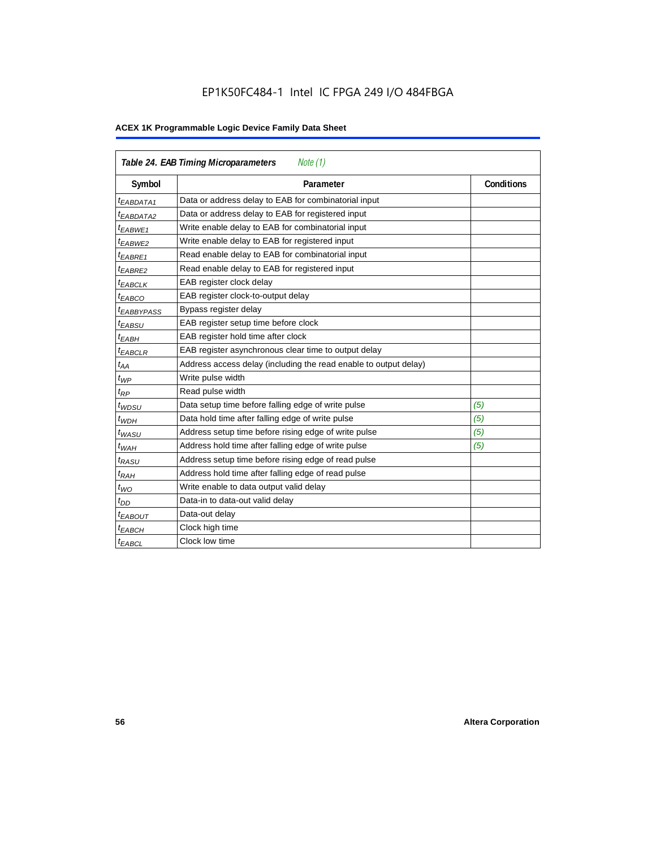# EP1K50FC484-1 Intel IC FPGA 249 I/O 484FBGA

| <b>Table 24. EAB Timing Microparameters</b><br>Note (1) |                                                                  |                   |  |  |  |
|---------------------------------------------------------|------------------------------------------------------------------|-------------------|--|--|--|
| Symbol                                                  | Parameter                                                        | <b>Conditions</b> |  |  |  |
| <sup>t</sup> EABDATA1                                   | Data or address delay to EAB for combinatorial input             |                   |  |  |  |
| <sup>t</sup> EABDATA2                                   | Data or address delay to EAB for registered input                |                   |  |  |  |
| <sup>t</sup> EABWE1                                     | Write enable delay to EAB for combinatorial input                |                   |  |  |  |
| t <sub>EABWE2</sub>                                     | Write enable delay to EAB for registered input                   |                   |  |  |  |
| $t_{EABRE1}$                                            | Read enable delay to EAB for combinatorial input                 |                   |  |  |  |
| $t_{EABRE2}$                                            | Read enable delay to EAB for registered input                    |                   |  |  |  |
| $t_{EABCLK}$                                            | EAB register clock delay                                         |                   |  |  |  |
| $t_{EABCO}$                                             | EAB register clock-to-output delay                               |                   |  |  |  |
| <sup>t</sup> EABBYPASS                                  | Bypass register delay                                            |                   |  |  |  |
| t <sub>EABSU</sub>                                      | EAB register setup time before clock                             |                   |  |  |  |
| t <sub>EABH</sub>                                       | EAB register hold time after clock                               |                   |  |  |  |
| $t_{EABCLR}$                                            | EAB register asynchronous clear time to output delay             |                   |  |  |  |
| $t_{AA}$                                                | Address access delay (including the read enable to output delay) |                   |  |  |  |
| $t_{WP}$                                                | Write pulse width                                                |                   |  |  |  |
| $t_{RP}$                                                | Read pulse width                                                 |                   |  |  |  |
| $t_{WDSU}$                                              | Data setup time before falling edge of write pulse               | (5)               |  |  |  |
| $t_{WDH}$                                               | Data hold time after falling edge of write pulse                 | (5)               |  |  |  |
| $t_{WASU}$                                              | Address setup time before rising edge of write pulse             | (5)               |  |  |  |
| $t_{WAH}$                                               | Address hold time after falling edge of write pulse              | (5)               |  |  |  |
| t <sub>RASU</sub>                                       | Address setup time before rising edge of read pulse              |                   |  |  |  |
| $t_{RAH}$                                               | Address hold time after falling edge of read pulse               |                   |  |  |  |
| $t_{WO}$                                                | Write enable to data output valid delay                          |                   |  |  |  |
| $t_{DD}$                                                | Data-in to data-out valid delay                                  |                   |  |  |  |
| $t_{EABOUT}$                                            | Data-out delay                                                   |                   |  |  |  |
| <sup>t</sup> ЕАВСН                                      | Clock high time                                                  |                   |  |  |  |
| <sup>t</sup> EABCL                                      | Clock low time                                                   |                   |  |  |  |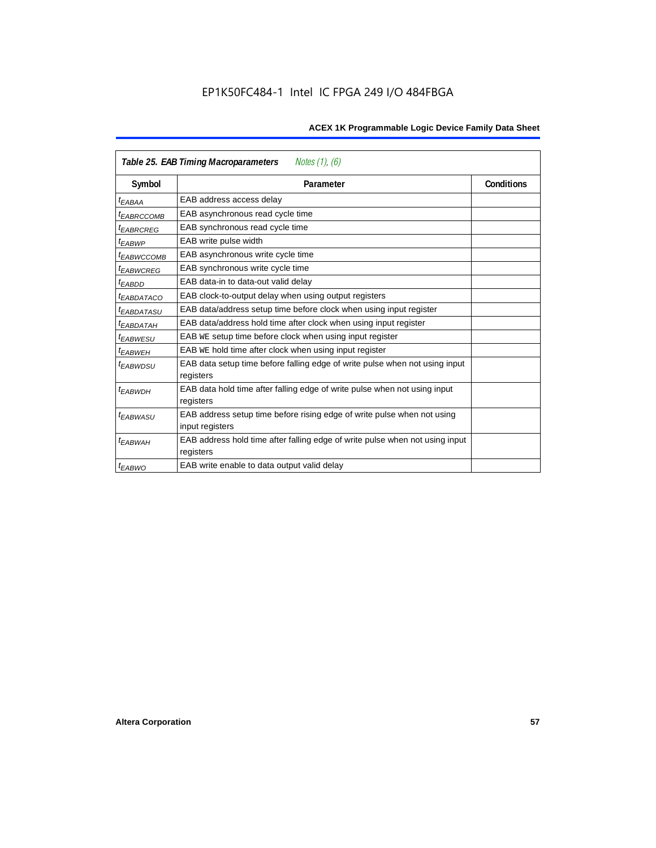| Table 25. EAB Timing Macroparameters<br>Notes (1), (6) |                                                                                          |                   |  |  |  |
|--------------------------------------------------------|------------------------------------------------------------------------------------------|-------------------|--|--|--|
| Symbol                                                 | Parameter                                                                                | <b>Conditions</b> |  |  |  |
| t <sub>EABAA</sub>                                     | EAB address access delay                                                                 |                   |  |  |  |
| <sup>t</sup> EABRCCOMB                                 | EAB asynchronous read cycle time                                                         |                   |  |  |  |
| <sup>t</sup> EABRCREG                                  | EAB synchronous read cycle time                                                          |                   |  |  |  |
| <sup>t</sup> EABWP                                     | EAB write pulse width                                                                    |                   |  |  |  |
| <sup>t</sup> ЕАВWССОМВ                                 | EAB asynchronous write cycle time                                                        |                   |  |  |  |
| <sup>t</sup> EABWCREG                                  | EAB synchronous write cycle time                                                         |                   |  |  |  |
| <sup>t</sup> EABDD                                     | EAB data-in to data-out valid delay                                                      |                   |  |  |  |
| <sup>t</sup> EABDATACO                                 | EAB clock-to-output delay when using output registers                                    |                   |  |  |  |
| <sup>t</sup> EABDATASU                                 | EAB data/address setup time before clock when using input register                       |                   |  |  |  |
| <sup>t</sup> EABDATAH                                  | EAB data/address hold time after clock when using input register                         |                   |  |  |  |
| <sup>t</sup> EABWESU                                   | EAB WE setup time before clock when using input register                                 |                   |  |  |  |
| <sup>t</sup> EABWEH                                    | EAB WE hold time after clock when using input register                                   |                   |  |  |  |
| <sup>t</sup> EABWDSU                                   | EAB data setup time before falling edge of write pulse when not using input<br>registers |                   |  |  |  |
| t <sub>EABWDH</sub>                                    | EAB data hold time after falling edge of write pulse when not using input                |                   |  |  |  |
|                                                        | registers                                                                                |                   |  |  |  |
| t <sub>EABWASU</sub>                                   | EAB address setup time before rising edge of write pulse when not using                  |                   |  |  |  |
|                                                        | input registers                                                                          |                   |  |  |  |
| <sup>t</sup> EABWAH                                    | EAB address hold time after falling edge of write pulse when not using input             |                   |  |  |  |
|                                                        | registers                                                                                |                   |  |  |  |
| $t_{EABWO}$                                            | EAB write enable to data output valid delay                                              |                   |  |  |  |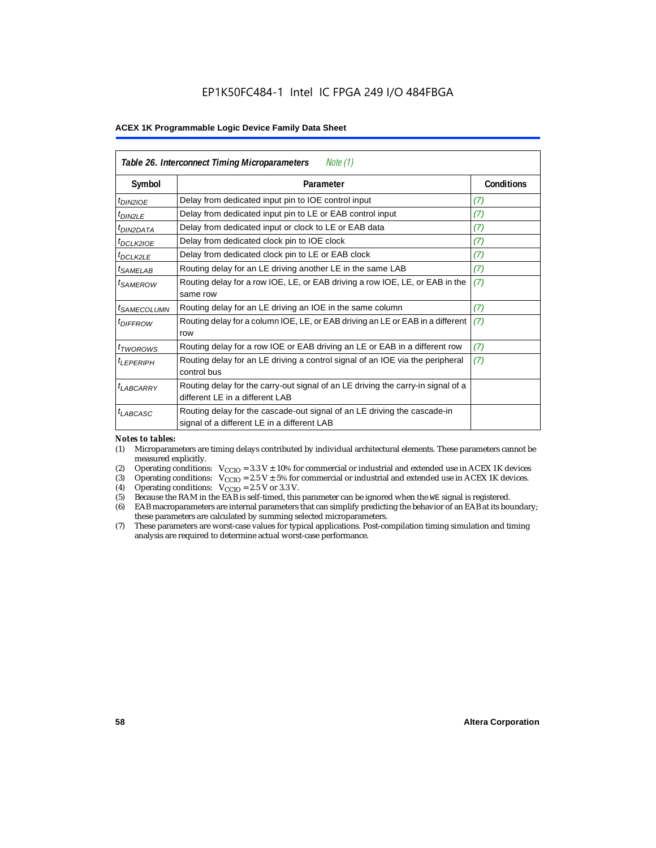| Table 26. Interconnect Timing Microparameters<br>Note $(1)$ |                                                                                                                         |            |  |  |  |
|-------------------------------------------------------------|-------------------------------------------------------------------------------------------------------------------------|------------|--|--|--|
| Symbol                                                      | Parameter                                                                                                               | Conditions |  |  |  |
| $t_{DIN2IOE}$                                               | Delay from dedicated input pin to IOE control input                                                                     | (7)        |  |  |  |
| t <sub>DIN2LE</sub>                                         | Delay from dedicated input pin to LE or EAB control input                                                               | (7)        |  |  |  |
| <sup>t</sup> DIN2DATA                                       | Delay from dedicated input or clock to LE or EAB data                                                                   | (7)        |  |  |  |
| <sup>t</sup> DCLK2IOE                                       | Delay from dedicated clock pin to IOE clock                                                                             | (7)        |  |  |  |
| $t_{DCLK2LE}$                                               | Delay from dedicated clock pin to LE or EAB clock                                                                       | (7)        |  |  |  |
| <sup>t</sup> SAMELAB                                        | Routing delay for an LE driving another LE in the same LAB                                                              | (7)        |  |  |  |
| <sup>t</sup> SAMEROW                                        | Routing delay for a row IOE, LE, or EAB driving a row IOE, LE, or EAB in the<br>same row                                | (7)        |  |  |  |
| <i>t<sub>SAMECOLUMN</sub></i>                               | Routing delay for an LE driving an IOE in the same column                                                               | (7)        |  |  |  |
| <i>t<sub>DIFFROW</sub></i>                                  | Routing delay for a column IOE, LE, or EAB driving an LE or EAB in a different<br>row                                   | (7)        |  |  |  |
| <i>t</i> <sub>TWOROWS</sub>                                 | Routing delay for a row IOE or EAB driving an LE or EAB in a different row                                              | (7)        |  |  |  |
| <sup>t</sup> I FPFRIPH                                      | Routing delay for an LE driving a control signal of an IOE via the peripheral<br>control bus                            | (7)        |  |  |  |
| t <sub>LABCARRY</sub>                                       | Routing delay for the carry-out signal of an LE driving the carry-in signal of a<br>different LE in a different LAB     |            |  |  |  |
| $t_{LABCASC}$                                               | Routing delay for the cascade-out signal of an LE driving the cascade-in<br>signal of a different LE in a different LAB |            |  |  |  |

#### *Notes to tables:*

- (1) Microparameters are timing delays contributed by individual architectural elements. These parameters cannot be measured explicitly.
- (2) Operating conditions:  $V_{\text{CCIO}} = 3.3 V \pm 10\%$  for commercial or industrial and extended use in ACEX 1K devices (3) Operating conditions:  $V_{\text{CCIO}} = 2.5 V \pm 5\%$  for commercial or industrial and extended use in ACEX 1K
- (3) Operating conditions:  $V_{CCIO} = 2.5 V \pm 5\%$  for commercial or industrial and extended use in ACEX 1K devices.<br>(4) Operating conditions:  $V_{CCIO} = 2.5 V$  or 3.3 V.
- (4) Operating conditions:  $V_{\text{CCIO}} = 2.5 \text{ V or } 3.3 \text{ V.}$ <br>(5) Because the RAM in the EAB is self-timed, this
- Because the RAM in the EAB is self-timed, this parameter can be ignored when the WE signal is registered.
- (6) EAB macroparameters are internal parameters that can simplify predicting the behavior of an EAB at its boundary; these parameters are calculated by summing selected microparameters.
- (7) These parameters are worst-case values for typical applications. Post-compilation timing simulation and timing analysis are required to determine actual worst-case performance.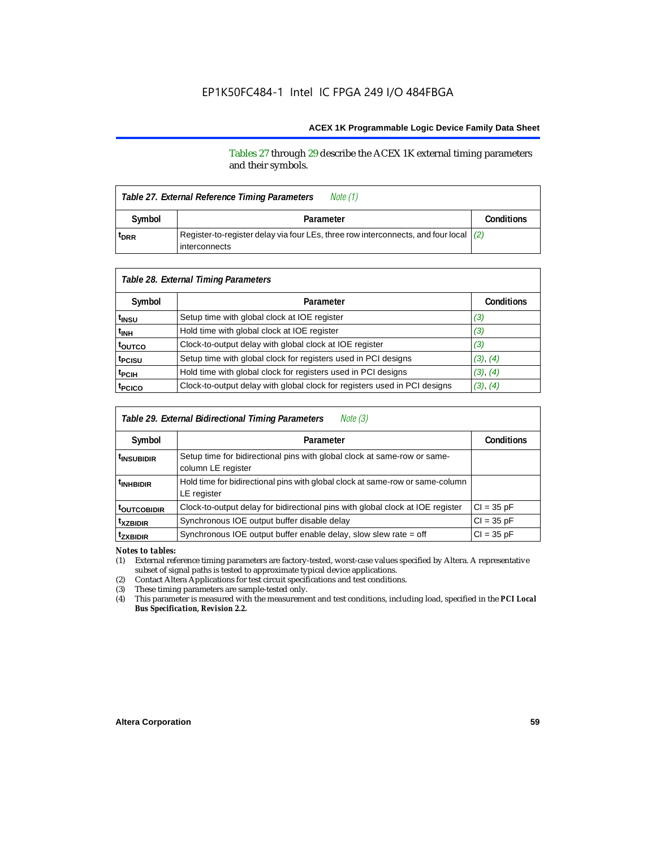Tables 27 through 29 describe the ACEX 1K external timing parameters and their symbols.

| Table 27. External Reference Timing Parameters |                                                                                                                  |                   |  |
|------------------------------------------------|------------------------------------------------------------------------------------------------------------------|-------------------|--|
| Symbol                                         | Parameter                                                                                                        | <b>Conditions</b> |  |
| t <sub>DRR</sub>                               | Register-to-register delay via four LEs, three row interconnects, and four local $(2)$<br><b>l</b> interconnects |                   |  |

| Table 28. External Timing Parameters |                                                                           |                   |  |  |  |
|--------------------------------------|---------------------------------------------------------------------------|-------------------|--|--|--|
| Symbol                               | Parameter                                                                 | <b>Conditions</b> |  |  |  |
| t <sub>insu</sub>                    | Setup time with global clock at IOE register                              | (3)               |  |  |  |
| t <sub>INH</sub>                     | Hold time with global clock at IOE register                               | (3)               |  |  |  |
| toutco                               | Clock-to-output delay with global clock at IOE register                   | (3)               |  |  |  |
| t <sub>PCISU</sub>                   | Setup time with global clock for registers used in PCI designs            | (3), (4)          |  |  |  |
| <sup>t</sup> PCIH                    | Hold time with global clock for registers used in PCI designs             | (3), (4)          |  |  |  |
| t <sub>PCICO</sub>                   | Clock-to-output delay with global clock for registers used in PCI designs | (3), (4)          |  |  |  |

| Table 29. External Bidirectional Timing Parameters<br>Note (3) |                                                                                                |                   |  |  |  |
|----------------------------------------------------------------|------------------------------------------------------------------------------------------------|-------------------|--|--|--|
| Symbol                                                         | Parameter                                                                                      | <b>Conditions</b> |  |  |  |
| <sup>t</sup> INSUBIDIR                                         | Setup time for bidirectional pins with global clock at same-row or same-<br>column LE register |                   |  |  |  |
| <sup>t</sup> INHBIDIR                                          | Hold time for bidirectional pins with global clock at same-row or same-column<br>LE register   |                   |  |  |  |
| <b>toutcobidir</b>                                             | Clock-to-output delay for bidirectional pins with global clock at IOE register                 | $Cl = 35 pF$      |  |  |  |
| <sup>t</sup> xzbidir                                           | Synchronous IOE output buffer disable delay                                                    | $CI = 35 pF$      |  |  |  |
| <sup>t</sup> zxbidir                                           | Synchronous IOE output buffer enable delay, slow slew rate = off                               | $CI = 35 pF$      |  |  |  |

*Notes to tables:*

(1) External reference timing parameters are factory-tested, worst-case values specified by Altera. A representative subset of signal paths is tested to approximate typical device applications.

(2) Contact Altera Applications for test circuit specifications and test conditions.

(3) These timing parameters are sample-tested only.

(4) This parameter is measured with the measurement and test conditions, including load, specified in the *PCI Local Bus Specification, Revision 2.2.*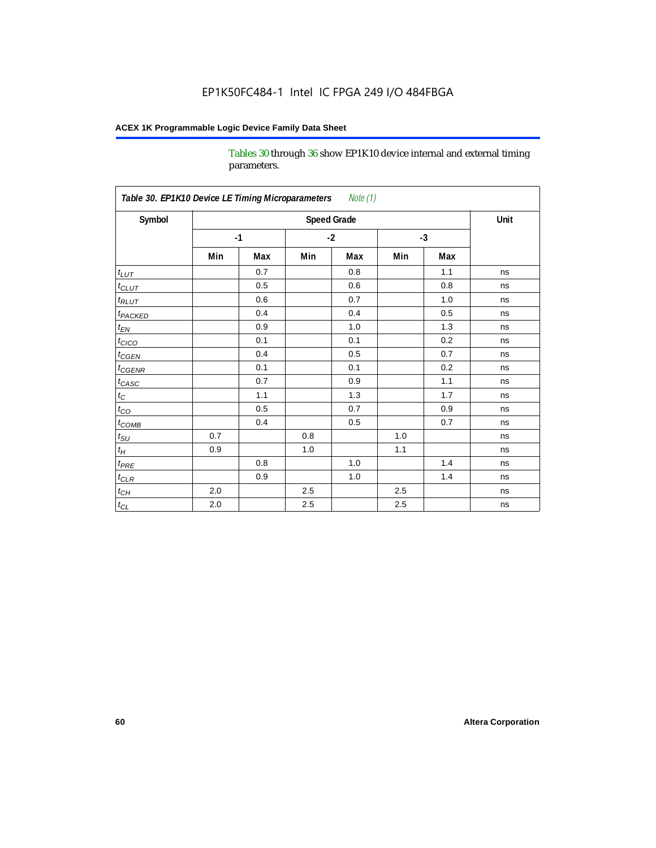Tables 30 through 36 show EP1K10 device internal and external timing parameters.

| Table 30. EP1K10 Device LE Timing Microparameters<br>Note (1) |                    |      |         |     |         |      |    |
|---------------------------------------------------------------|--------------------|------|---------|-----|---------|------|----|
| Symbol                                                        | <b>Speed Grade</b> |      |         |     |         | Unit |    |
|                                                               |                    | $-1$ | $-2$    |     | $-3$    |      |    |
|                                                               | Min                | Max  | Min     | Max | Min     | Max  |    |
| $t_{LUT}$                                                     |                    | 0.7  |         | 0.8 |         | 1.1  | ns |
| $t_{CLUT}$                                                    |                    | 0.5  |         | 0.6 |         | 0.8  | ns |
| $t_{RLUT}$                                                    |                    | 0.6  |         | 0.7 |         | 1.0  | ns |
| <b>t</b> <sub>PACKED</sub>                                    |                    | 0.4  |         | 0.4 |         | 0.5  | ns |
| $t_{EN}$                                                      |                    | 0.9  |         | 1.0 |         | 1.3  | ns |
| $t_{CICO}$                                                    |                    | 0.1  |         | 0.1 |         | 0.2  | ns |
| $t_{\text{CGEN}}$                                             |                    | 0.4  |         | 0.5 |         | 0.7  | ns |
| $t_{\text{GENR}}$                                             |                    | 0.1  |         | 0.1 |         | 0.2  | ns |
| $t_{CASC}$                                                    |                    | 0.7  |         | 0.9 |         | 1.1  | ns |
| $t_{\rm C}$                                                   |                    | 1.1  |         | 1.3 |         | 1.7  | ns |
| $t_{CO}$                                                      |                    | 0.5  |         | 0.7 |         | 0.9  | ns |
| $t_{COMB}$                                                    |                    | 0.4  |         | 0.5 |         | 0.7  | ns |
| $t_{\rm SU}$                                                  | 0.7                |      | 0.8     |     | $1.0\,$ |      | ns |
| $t_H\,$                                                       | 0.9                |      | 1.0     |     | 1.1     |      | ns |
| $t_{PRE}$                                                     |                    | 0.8  |         | 1.0 |         | 1.4  | ns |
| $t_{CLR}$                                                     |                    | 0.9  |         | 1.0 |         | 1.4  | ns |
| $t_{\mathit{CH}}$                                             | 2.0                |      | 2.5     |     | 2.5     |      | ns |
| $t_{\rm CL}$                                                  | 2.0                |      | $2.5\,$ |     | 2.5     |      | ns |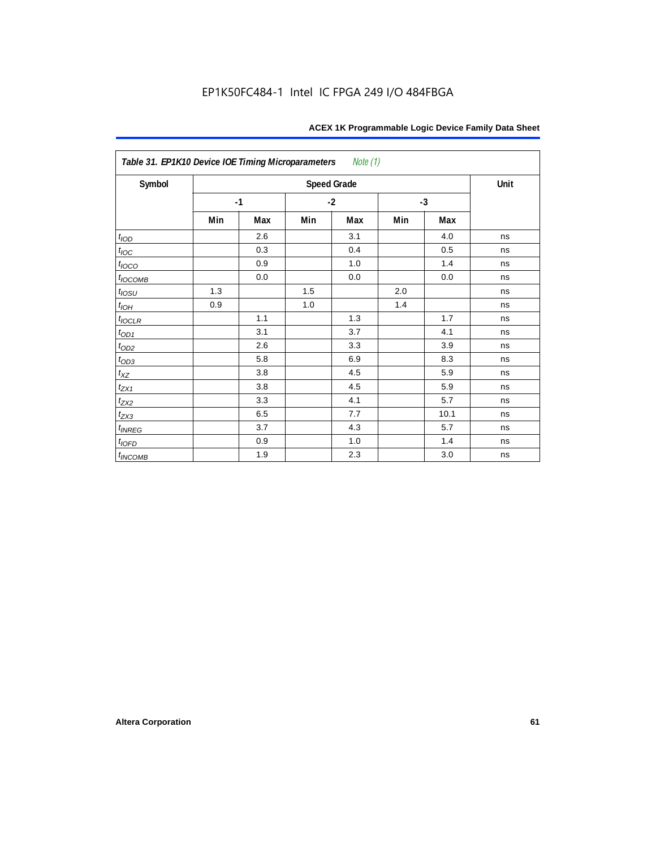| Table 31. EP1K10 Device IOE Timing Microparameters<br>Note (1) |      |     |     |                    |     |      |      |  |  |  |
|----------------------------------------------------------------|------|-----|-----|--------------------|-----|------|------|--|--|--|
| Symbol                                                         |      |     |     | <b>Speed Grade</b> |     |      | Unit |  |  |  |
|                                                                | $-1$ |     |     | $-2$               |     | $-3$ |      |  |  |  |
|                                                                | Min  | Max | Min | Max                | Min | Max  |      |  |  |  |
| t <sub>IOD</sub>                                               |      | 2.6 |     | 3.1                |     | 4.0  | ns   |  |  |  |
| $t_{\text{IOC}}$                                               |      | 0.3 |     | 0.4                |     | 0.5  | ns   |  |  |  |
| $t_{IOCO}$                                                     |      | 0.9 |     | 1.0                |     | 1.4  | ns   |  |  |  |
| $t_{IOCOMB}$                                                   |      | 0.0 |     | 0.0                |     | 0.0  | ns   |  |  |  |
| $t_{IOSU}$                                                     | 1.3  |     | 1.5 |                    | 2.0 |      | ns   |  |  |  |
| $t_{IOH}$                                                      | 0.9  |     | 1.0 |                    | 1.4 |      | ns   |  |  |  |
| $t_{IOCLR}$                                                    |      | 1.1 |     | 1.3                |     | 1.7  | ns   |  |  |  |
| $t_{OD1}$                                                      |      | 3.1 |     | 3.7                |     | 4.1  | ns   |  |  |  |
| $t_{OD2}$                                                      |      | 2.6 |     | 3.3                |     | 3.9  | ns   |  |  |  |
| $t_{OD3}$                                                      |      | 5.8 |     | 6.9                |     | 8.3  | ns   |  |  |  |
| $t_{XZ}$                                                       |      | 3.8 |     | 4.5                |     | 5.9  | ns   |  |  |  |
| $t_{ZX1}$                                                      |      | 3.8 |     | 4.5                |     | 5.9  | ns   |  |  |  |
| $t_{ZX2}$                                                      |      | 3.3 |     | 4.1                |     | 5.7  | ns   |  |  |  |
| $t_{ZX3}$                                                      |      | 6.5 |     | 7.7                |     | 10.1 | ns   |  |  |  |
| $t_{INREG}$                                                    |      | 3.7 |     | 4.3                |     | 5.7  | ns   |  |  |  |
| $t_{IOFD}$                                                     |      | 0.9 |     | 1.0                |     | 1.4  | ns   |  |  |  |
| $t_{INCOMB}$                                                   |      | 1.9 |     | 2.3                |     | 3.0  | ns   |  |  |  |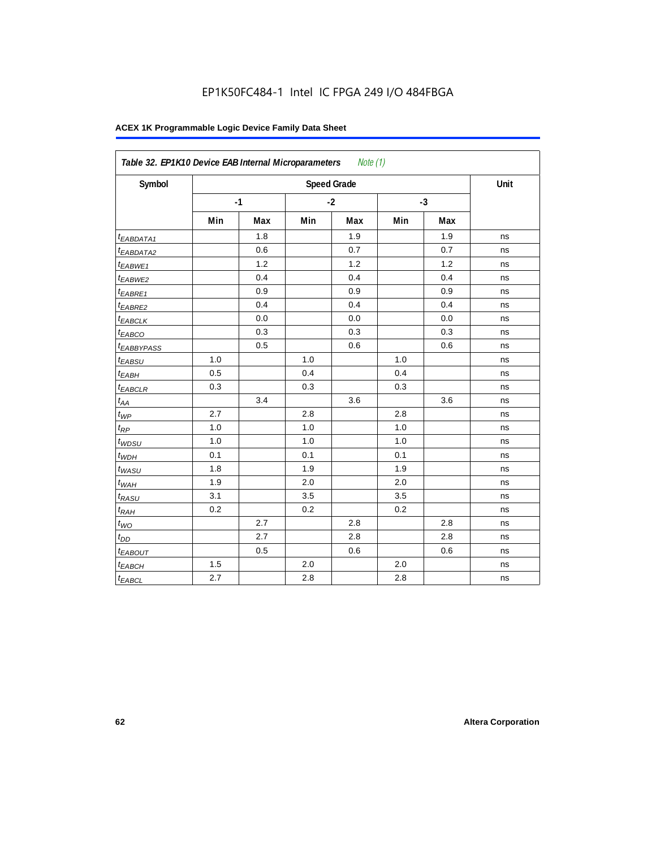| Symbol                  |     |      |     | <b>Speed Grade</b> |     |      | Unit |
|-------------------------|-----|------|-----|--------------------|-----|------|------|
|                         |     | $-1$ |     | $-2$               |     | $-3$ |      |
|                         | Min | Max  | Min | Max                | Min | Max  |      |
| <sup>t</sup> EABDATA1   |     | 1.8  |     | 1.9                |     | 1.9  | ns   |
| <sup>t</sup> EABDATA2   |     | 0.6  |     | 0.7                |     | 0.7  | ns   |
| t <sub>EABWE1</sub>     |     | 1.2  |     | 1.2                |     | 1.2  | ns   |
| <sup>t</sup> EABWE2     |     | 0.4  |     | 0.4                |     | 0.4  | ns   |
| <sup>t</sup> EABRE1     |     | 0.9  |     | 0.9                |     | 0.9  | ns   |
| <sup>t</sup> EABRE2     |     | 0.4  |     | 0.4                |     | 0.4  | ns   |
| <sup>t</sup> EABCLK     |     | 0.0  |     | 0.0                |     | 0.0  | ns   |
| t <sub>EABCO</sub>      |     | 0.3  |     | 0.3                |     | 0.3  | ns   |
| <i><b>EABBYPASS</b></i> |     | 0.5  |     | 0.6                |     | 0.6  | ns   |
| t <sub>EABSU</sub>      | 1.0 |      | 1.0 |                    | 1.0 |      | ns   |
| t <sub>EABH</sub>       | 0.5 |      | 0.4 |                    | 0.4 |      | ns   |
| <sup>t</sup> EABCLR     | 0.3 |      | 0.3 |                    | 0.3 |      | ns   |
| $t_{AA}$                |     | 3.4  |     | 3.6                |     | 3.6  | ns   |
| $t_{\mathit{WP}}$       | 2.7 |      | 2.8 |                    | 2.8 |      | ns   |
| $t_{RP}$                | 1.0 |      | 1.0 |                    | 1.0 |      | ns   |
| $t_{WDSU}$              | 1.0 |      | 1.0 |                    | 1.0 |      | ns   |
| $t_{WDH}$               | 0.1 |      | 0.1 |                    | 0.1 |      | ns   |
| $t_{WASU}$              | 1.8 |      | 1.9 |                    | 1.9 |      | ns   |
| $t_{WAH}$               | 1.9 |      | 2.0 |                    | 2.0 |      | ns   |
| t <sub>RASU</sub>       | 3.1 |      | 3.5 |                    | 3.5 |      | ns   |
| $t_{RAH}$               | 0.2 |      | 0.2 |                    | 0.2 |      | ns   |
| $t_{WQ}$                |     | 2.7  |     | 2.8                |     | 2.8  | ns   |
| $t_{DD}$                |     | 2.7  |     | 2.8                |     | 2.8  | ns   |
| t <sub>EABOUT</sub>     |     | 0.5  |     | 0.6                |     | 0.6  | ns   |
| t <sub>EABCH</sub>      | 1.5 |      | 2.0 |                    | 2.0 |      | ns   |
| $t_{EABCL}$             | 2.7 |      | 2.8 |                    | 2.8 |      | ns   |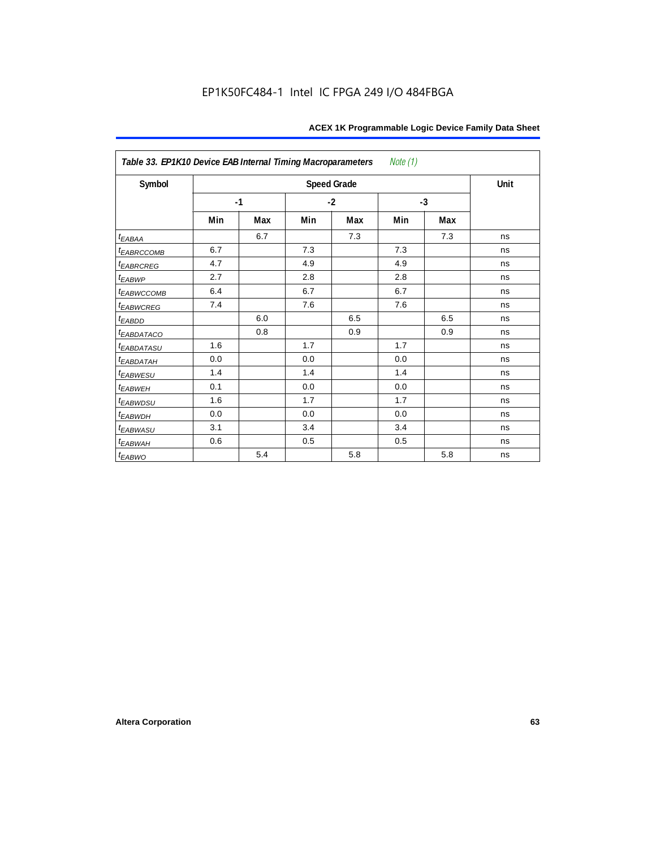| Table 33. EP1K10 Device EAB Internal Timing Macroparameters<br>Note (1) |      |     |      |                    |      |     |      |  |  |  |
|-------------------------------------------------------------------------|------|-----|------|--------------------|------|-----|------|--|--|--|
| Symbol                                                                  |      |     |      | <b>Speed Grade</b> |      |     | Unit |  |  |  |
|                                                                         | $-1$ |     | $-2$ |                    | $-3$ |     |      |  |  |  |
|                                                                         | Min  | Max | Min  | Max                | Min  | Max |      |  |  |  |
| $t_{EABA}$                                                              |      | 6.7 |      | 7.3                |      | 7.3 | ns   |  |  |  |
| t <sub>EABRCCOMB</sub>                                                  | 6.7  |     | 7.3  |                    | 7.3  |     | ns   |  |  |  |
| t <sub>EABRCREG</sub>                                                   | 4.7  |     | 4.9  |                    | 4.9  |     | ns   |  |  |  |
| $t_{EABWP}$                                                             | 2.7  |     | 2.8  |                    | 2.8  |     | ns   |  |  |  |
| <sup>t</sup> EABWCCOMB                                                  | 6.4  |     | 6.7  |                    | 6.7  |     | ns   |  |  |  |
| t <sub>EABWCREG</sub>                                                   | 7.4  |     | 7.6  |                    | 7.6  |     | ns   |  |  |  |
| t <sub>EABDD</sub>                                                      |      | 6.0 |      | 6.5                |      | 6.5 | ns   |  |  |  |
| t <sub>eabdataco</sub>                                                  |      | 0.8 |      | 0.9                |      | 0.9 | ns   |  |  |  |
| <i>EABDATASU</i>                                                        | 1.6  |     | 1.7  |                    | 1.7  |     | ns   |  |  |  |
| <sup>t</sup> EABDATAH                                                   | 0.0  |     | 0.0  |                    | 0.0  |     | ns   |  |  |  |
| t <sub>EABWESU</sub>                                                    | 1.4  |     | 1.4  |                    | 1.4  |     | ns   |  |  |  |
| <b>t</b> EABWEH                                                         | 0.1  |     | 0.0  |                    | 0.0  |     | ns   |  |  |  |
| t <sub>EABWDSU</sub>                                                    | 1.6  |     | 1.7  |                    | 1.7  |     | ns   |  |  |  |
| t <sub>EABWDH</sub>                                                     | 0.0  |     | 0.0  |                    | 0.0  |     | ns   |  |  |  |
| t <sub>EABWASU</sub>                                                    | 3.1  |     | 3.4  |                    | 3.4  |     | ns   |  |  |  |
| t <sub>EABWAH</sub>                                                     | 0.6  |     | 0.5  |                    | 0.5  |     | ns   |  |  |  |
| $t_{EABWO}$                                                             |      | 5.4 |      | 5.8                |      | 5.8 | ns   |  |  |  |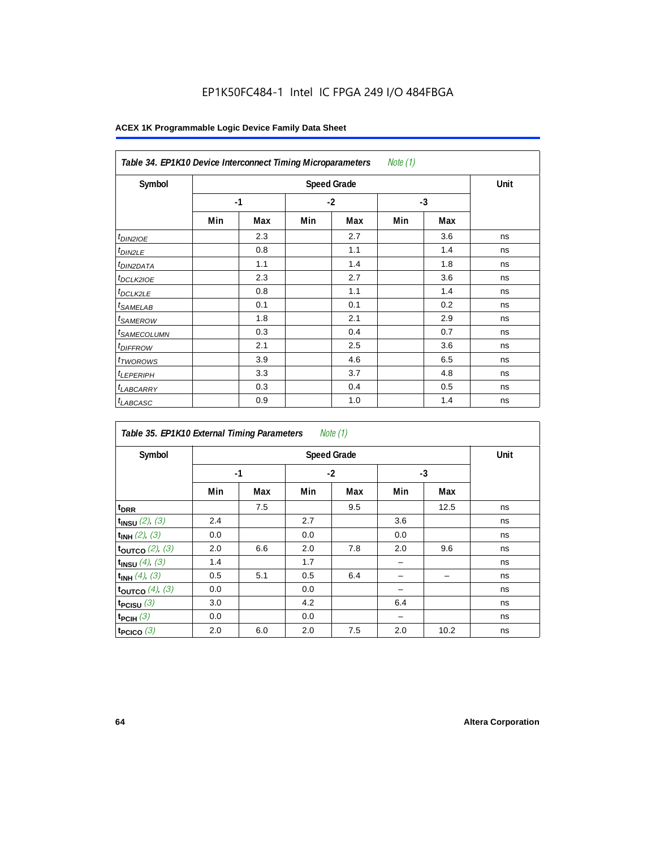| Note (1)<br>Table 34. EP1K10 Device Interconnect Timing Microparameters |     |                    |      |     |      |     |    |  |  |  |
|-------------------------------------------------------------------------|-----|--------------------|------|-----|------|-----|----|--|--|--|
| Symbol                                                                  |     | <b>Speed Grade</b> |      |     |      |     |    |  |  |  |
|                                                                         |     | $-1$               | $-2$ |     | $-3$ |     |    |  |  |  |
|                                                                         | Min | Max                | Min  | Max | Min  | Max |    |  |  |  |
| t <sub>DIN2IOE</sub>                                                    |     | 2.3                |      | 2.7 |      | 3.6 | ns |  |  |  |
| <sup>t</sup> DIN2LE                                                     |     | 0.8                |      | 1.1 |      | 1.4 | ns |  |  |  |
| <sup>t</sup> DIN2DATA                                                   |     | 1.1                |      | 1.4 |      | 1.8 | ns |  |  |  |
| <sup>t</sup> DCLK2IOE                                                   |     | 2.3                |      | 2.7 |      | 3.6 | ns |  |  |  |
| <sup>t</sup> DCLK2LE                                                    |     | 0.8                |      | 1.1 |      | 1.4 | ns |  |  |  |
| <sup>t</sup> SAMELAB                                                    |     | 0.1                |      | 0.1 |      | 0.2 | ns |  |  |  |
| <sup>t</sup> SAMEROW                                                    |     | 1.8                |      | 2.1 |      | 2.9 | ns |  |  |  |
| <sup>t</sup> SAMECOLUMN                                                 |     | 0.3                |      | 0.4 |      | 0.7 | ns |  |  |  |
| <i><b>IDIFFROW</b></i>                                                  |     | 2.1                |      | 2.5 |      | 3.6 | ns |  |  |  |
| <sup>t</sup> TWOROWS                                                    |     | 3.9                |      | 4.6 |      | 6.5 | ns |  |  |  |
| <sup>t</sup> LEPERIPH                                                   |     | 3.3                |      | 3.7 |      | 4.8 | ns |  |  |  |
| <sup>t</sup> LABCARRY                                                   |     | 0.3                |      | 0.4 |      | 0.5 | ns |  |  |  |
| <sup>t</sup> LABCASC                                                    |     | 0.9                |      | 1.0 |      | 1.4 | ns |  |  |  |

| Note $(1)$<br>Table 35. EP1K10 External Timing Parameters |      |     |     |                    |     |      |      |  |  |  |  |
|-----------------------------------------------------------|------|-----|-----|--------------------|-----|------|------|--|--|--|--|
| Symbol                                                    |      |     |     | <b>Speed Grade</b> |     |      | Unit |  |  |  |  |
|                                                           | $-1$ |     |     | $-2$               |     | $-3$ |      |  |  |  |  |
|                                                           | Min  | Max | Min | Max                | Min | Max  |      |  |  |  |  |
| t <sub>DRR</sub>                                          |      | 7.5 |     | 9.5                |     | 12.5 | ns   |  |  |  |  |
| $t_{INSU}$ (2), (3)                                       | 2.4  |     | 2.7 |                    | 3.6 |      | ns   |  |  |  |  |
| $t_{INH}$ (2), (3)                                        | 0.0  |     | 0.0 |                    | 0.0 |      | ns   |  |  |  |  |
| toutco $(2)$ , $(3)$                                      | 2.0  | 6.6 | 2.0 | 7.8                | 2.0 | 9.6  | ns   |  |  |  |  |
| $t_{INSU}$ (4), (3)                                       | 1.4  |     | 1.7 |                    |     |      | ns   |  |  |  |  |
| $t_{INH}$ (4), (3)                                        | 0.5  | 5.1 | 0.5 | 6.4                |     |      | ns   |  |  |  |  |
| toutco $(4)$ , $(3)$                                      | 0.0  |     | 0.0 |                    |     |      | ns   |  |  |  |  |
| t <sub>PCISU</sub> $(3)$                                  | 3.0  |     | 4.2 |                    | 6.4 |      | ns   |  |  |  |  |
| $t_{PCH}(3)$                                              | 0.0  |     | 0.0 |                    |     |      | ns   |  |  |  |  |
| t <sub>PCICO</sub> $(3)$                                  | 2.0  | 6.0 | 2.0 | 7.5                | 2.0 | 10.2 | ns   |  |  |  |  |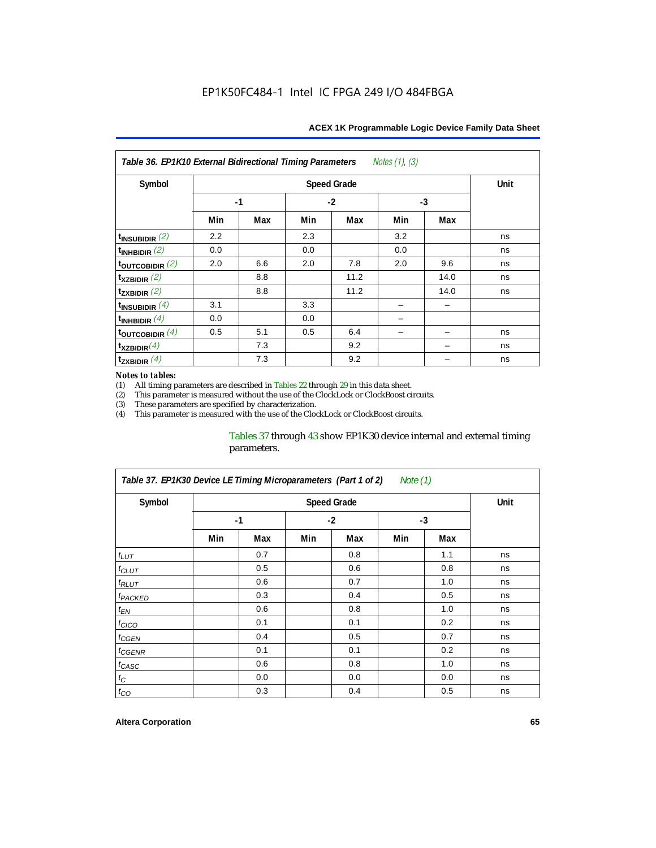| Notes $(1)$ , $(3)$<br>Table 36. EP1K10 External Bidirectional Timing Parameters |      |     |     |                    |      |      |             |  |  |  |
|----------------------------------------------------------------------------------|------|-----|-----|--------------------|------|------|-------------|--|--|--|
| Symbol                                                                           |      |     |     | <b>Speed Grade</b> |      |      | <b>Unit</b> |  |  |  |
|                                                                                  | $-1$ |     |     | $-2$               | $-3$ |      |             |  |  |  |
|                                                                                  | Min  | Max | Min | Max                | Min  | Max  |             |  |  |  |
| $t_{INSUBIDIR}(2)$                                                               | 2.2  |     | 2.3 |                    | 3.2  |      | ns          |  |  |  |
| $t_{INHBIDIR}$ (2)                                                               | 0.0  |     | 0.0 |                    | 0.0  |      | ns          |  |  |  |
| $t_{\text{OUTC}OBIDIR}$ (2)                                                      | 2.0  | 6.6 | 2.0 | 7.8                | 2.0  | 9.6  | ns          |  |  |  |
| $t_{XZBIDIR}$ (2)                                                                |      | 8.8 |     | 11.2               |      | 14.0 | ns          |  |  |  |
| $t_{ZXBIDIR}$ (2)                                                                |      | 8.8 |     | 11.2               |      | 14.0 | ns          |  |  |  |
| $t_{INSUBIDIR}(4)$                                                               | 3.1  |     | 3.3 |                    |      |      |             |  |  |  |
| $t_{INHBIDIR}(4)$                                                                | 0.0  |     | 0.0 |                    |      |      |             |  |  |  |
| $t_{\text{OUTCOBIDIR}}$ (4)                                                      | 0.5  | 5.1 | 0.5 | 6.4                |      |      | ns          |  |  |  |
| $t_{XZBIDIR}(4)$                                                                 |      | 7.3 |     | 9.2                |      |      | ns          |  |  |  |
| $t_{ZXBIDIR}$ $(4)$                                                              |      | 7.3 |     | 9.2                |      |      | ns          |  |  |  |

#### *Notes to tables:*

(1) All timing parameters are described in Tables  $22$  through  $29$  in this data sheet.<br>(2) This parameter is measured without the use of the ClockLock or ClockBoost cir (2) This parameter is measured without the use of the ClockLock or ClockBoost circuits.

These parameters are specified by characterization.

(4) This parameter is measured with the use of the ClockLock or ClockBoost circuits.

### Tables 37 through 43 show EP1K30 device internal and external timing parameters.

| Table 37. EP1K30 Device LE Timing Microparameters (Part 1 of 2)<br>Note (1) |     |                    |      |     |      |     |    |  |  |  |
|-----------------------------------------------------------------------------|-----|--------------------|------|-----|------|-----|----|--|--|--|
| Symbol                                                                      |     | <b>Speed Grade</b> |      |     |      |     |    |  |  |  |
|                                                                             |     | $-1$               | $-2$ |     | $-3$ |     |    |  |  |  |
|                                                                             | Min | Max                | Min  | Max | Min  | Max |    |  |  |  |
| $t_{LUT}$                                                                   |     | 0.7                |      | 0.8 |      | 1.1 | ns |  |  |  |
| $t_{CLUT}$                                                                  |     | 0.5                |      | 0.6 |      | 0.8 | ns |  |  |  |
| $t_{RLUT}$                                                                  |     | 0.6                |      | 0.7 |      | 1.0 | ns |  |  |  |
| <sup>t</sup> PACKED                                                         |     | 0.3                |      | 0.4 |      | 0.5 | ns |  |  |  |
| $t_{EN}$                                                                    |     | 0.6                |      | 0.8 |      | 1.0 | ns |  |  |  |
| $t_{CICO}$                                                                  |     | 0.1                |      | 0.1 |      | 0.2 | ns |  |  |  |
| t <sub>CGEN</sub>                                                           |     | 0.4                |      | 0.5 |      | 0.7 | ns |  |  |  |
| t <sub>CGENR</sub>                                                          |     | 0.1                |      | 0.1 |      | 0.2 | ns |  |  |  |
| $t_{CASC}$                                                                  |     | 0.6                |      | 0.8 |      | 1.0 | ns |  |  |  |
| $t_{\rm C}$                                                                 |     | 0.0                |      | 0.0 |      | 0.0 | ns |  |  |  |
| $t_{CO}$                                                                    |     | 0.3                |      | 0.4 |      | 0.5 | ns |  |  |  |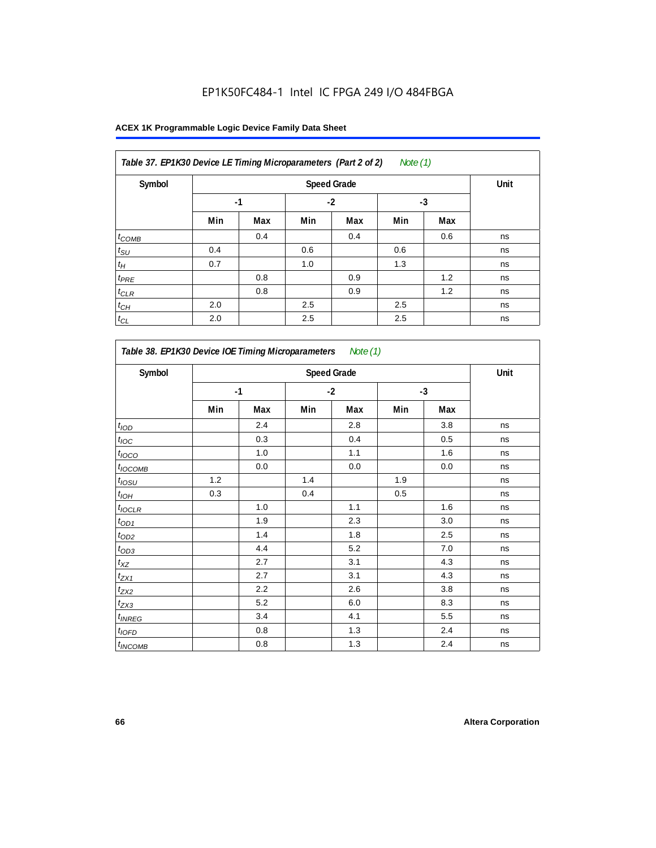| Table 37. EP1K30 Device LE Timing Microparameters (Part 2 of 2)<br>Note $(1)$ |      |      |      |     |     |     |    |  |  |  |
|-------------------------------------------------------------------------------|------|------|------|-----|-----|-----|----|--|--|--|
| Symbol                                                                        |      | Unit |      |     |     |     |    |  |  |  |
|                                                                               | $-1$ |      | $-2$ |     | -3  |     |    |  |  |  |
|                                                                               | Min  | Max  | Min  | Max | Min | Max |    |  |  |  |
| $t_{COMB}$                                                                    |      | 0.4  |      | 0.4 |     | 0.6 | ns |  |  |  |
| $t_{\text{SU}}$                                                               | 0.4  |      | 0.6  |     | 0.6 |     | ns |  |  |  |
| $t_H$                                                                         | 0.7  |      | 1.0  |     | 1.3 |     | ns |  |  |  |
| $t_{PRE}$                                                                     |      | 0.8  |      | 0.9 |     | 1.2 | ns |  |  |  |
| $t_{\text{CLR}}$                                                              |      | 0.8  |      | 0.9 |     | 1.2 | ns |  |  |  |
| $t_{CH}$                                                                      | 2.0  |      | 2.5  |     | 2.5 |     | ns |  |  |  |
| $t_{CL}$                                                                      | 2.0  |      | 2.5  |     | 2.5 |     | ns |  |  |  |

| Symbol                     | <b>Speed Grade</b> |         |     |         |     |      |    |  |
|----------------------------|--------------------|---------|-----|---------|-----|------|----|--|
|                            | $-1$               |         |     | $-2$    |     | $-3$ |    |  |
|                            | Min                | Max     | Min | Max     | Min | Max  |    |  |
| $t$ <sub>IOD</sub>         |                    | 2.4     |     | 2.8     |     | 3.8  | ns |  |
| $t_{\text{IOC}}$           |                    | 0.3     |     | 0.4     |     | 0.5  | ns |  |
| $t_{IOCO}$                 |                    | 1.0     |     | 1.1     |     | 1.6  | ns |  |
| $t_{IOCOMB}$               |                    | 0.0     |     | $0.0\,$ |     | 0.0  | ns |  |
| $t_{IOSU}$                 | 1.2                |         | 1.4 |         | 1.9 |      | ns |  |
| $t_{IOL}$                  | 0.3                |         | 0.4 |         | 0.5 |      | ns |  |
| $t_{IOCLR}$                |                    | 1.0     |     | 1.1     |     | 1.6  | ns |  |
| $t_{OD1}$                  |                    | 1.9     |     | 2.3     |     | 3.0  | ns |  |
| $t_{OD2}$                  |                    | 1.4     |     | 1.8     |     | 2.5  | ns |  |
| $t_{OD3}$                  |                    | 4.4     |     | 5.2     |     | 7.0  | ns |  |
| $t_{XZ}$                   |                    | 2.7     |     | 3.1     |     | 4.3  | ns |  |
| $t_{\underline{ZX1}}$      |                    | 2.7     |     | 3.1     |     | 4.3  | ns |  |
| $t_{ZX2}$                  |                    | 2.2     |     | 2.6     |     | 3.8  | ns |  |
| $t_{ZX3}$                  |                    | 5.2     |     | 6.0     |     | 8.3  | ns |  |
| $t_{INREG}$                |                    | 3.4     |     | 4.1     |     | 5.5  | ns |  |
| $t_{IOFD}$                 |                    | 0.8     |     | 1.3     |     | 2.4  | ns |  |
| <i>t</i> <sub>INCOMB</sub> |                    | $0.8\,$ |     | 1.3     |     | 2.4  | ns |  |

r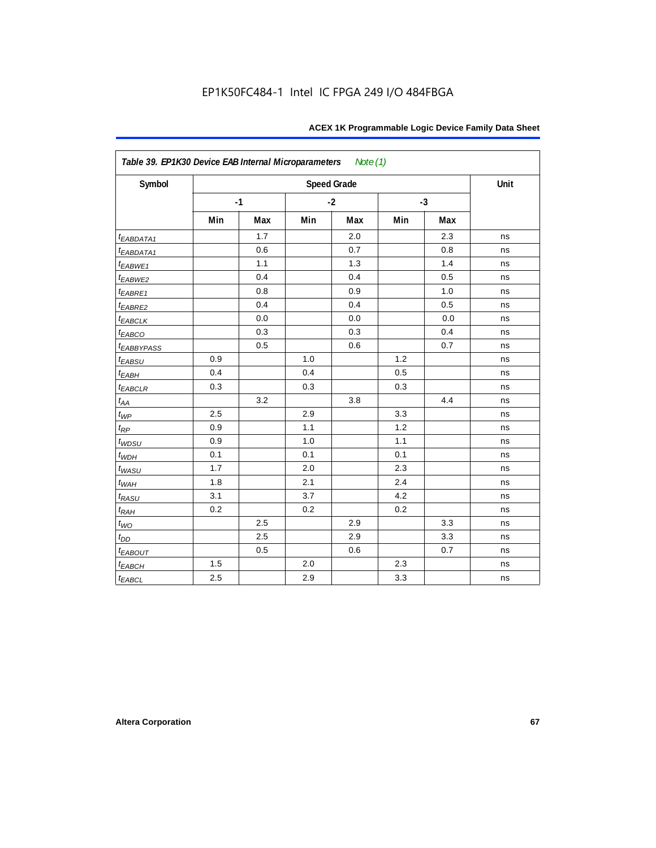| Symbol                  |     |      |     | <b>Speed Grade</b> |      |     | Unit |
|-------------------------|-----|------|-----|--------------------|------|-----|------|
|                         |     | $-1$ |     | $-2$               | $-3$ |     |      |
|                         | Min | Max  | Min | Max                | Min  | Max |      |
| t <sub>EABDATA1</sub>   |     | 1.7  |     | 2.0                |      | 2.3 | ns   |
| $t_{EABDATA1}$          |     | 0.6  |     | 0.7                |      | 0.8 | ns   |
| $t_{EABWE1}$            |     | 1.1  |     | 1.3                |      | 1.4 | ns   |
| $t_{EABWE2}$            |     | 0.4  |     | 0.4                |      | 0.5 | ns   |
| $t_{EABRE1}$            |     | 0.8  |     | 0.9                |      | 1.0 | ns   |
| $t_{EABRE2}$            |     | 0.4  |     | 0.4                |      | 0.5 | ns   |
| $t_{EABCLK}$            |     | 0.0  |     | 0.0                |      | 0.0 | ns   |
| $t_{EABCO}$             |     | 0.3  |     | 0.3                |      | 0.4 | ns   |
| <b><i>EABBYPASS</i></b> |     | 0.5  |     | 0.6                |      | 0.7 | ns   |
| $t_{EABSU}$             | 0.9 |      | 1.0 |                    | 1.2  |     | ns   |
| $t_{EABH}$              | 0.4 |      | 0.4 |                    | 0.5  |     | ns   |
| $t_{EABCLR}$            | 0.3 |      | 0.3 |                    | 0.3  |     | ns   |
| $t_{AA}$                |     | 3.2  |     | 3.8                |      | 4.4 | ns   |
| $t_{\mathit{WP}}$       | 2.5 |      | 2.9 |                    | 3.3  |     | ns   |
| $t_{RP}$                | 0.9 |      | 1.1 |                    | 1.2  |     | ns   |
| $t_{WDSU}$              | 0.9 |      | 1.0 |                    | 1.1  |     | ns   |
| $t_{WDH}$               | 0.1 |      | 0.1 |                    | 0.1  |     | ns   |
| $t_{WASU}$              | 1.7 |      | 2.0 |                    | 2.3  |     | ns   |
| $t_{WAH}$               | 1.8 |      | 2.1 |                    | 2.4  |     | ns   |
| $t_{RASU}$              | 3.1 |      | 3.7 |                    | 4.2  |     | ns   |
| $t_{RAH}$               | 0.2 |      | 0.2 |                    | 0.2  |     | ns   |
| $t_{WO}$                |     | 2.5  |     | 2.9                |      | 3.3 | ns   |
| $t_{D\underline{D}}$    |     | 2.5  |     | 2.9                |      | 3.3 | ns   |
| $t_{EABOUT}$            |     | 0.5  |     | 0.6                |      | 0.7 | ns   |
| $t_{EABCH}$             | 1.5 |      | 2.0 |                    | 2.3  |     | ns   |
| $t_{EABCL}$             | 2.5 |      | 2.9 |                    | 3.3  |     | ns   |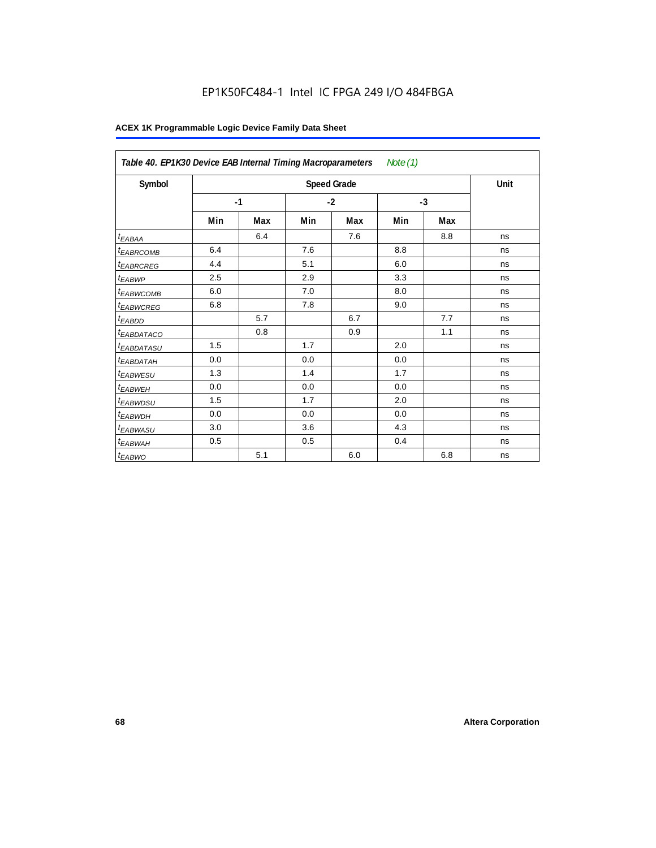|                        | Table 40. EP1K30 Device EAB Internal Timing Macroparameters<br>Note $(1)$ |     |      |                    |      |     |      |  |  |  |
|------------------------|---------------------------------------------------------------------------|-----|------|--------------------|------|-----|------|--|--|--|
| Symbol                 |                                                                           |     |      | <b>Speed Grade</b> |      |     | Unit |  |  |  |
|                        | $-1$                                                                      |     | $-2$ |                    | $-3$ |     |      |  |  |  |
|                        | Min                                                                       | Max | Min  | Max                | Min  | Max |      |  |  |  |
| t <sub>EABAA</sub>     |                                                                           | 6.4 |      | 7.6                |      | 8.8 | ns   |  |  |  |
| <sup>t</sup> EABRCOMB  | 6.4                                                                       |     | 7.6  |                    | 8.8  |     | ns   |  |  |  |
| <sup>t</sup> EABRCREG  | 4.4                                                                       |     | 5.1  |                    | 6.0  |     | ns   |  |  |  |
| <sup>t</sup> EABWP     | 2.5                                                                       |     | 2.9  |                    | 3.3  |     | ns   |  |  |  |
| <sup>t</sup> EABWCOMB  | 6.0                                                                       |     | 7.0  |                    | 8.0  |     | ns   |  |  |  |
| <sup>t</sup> EABWCREG  | 6.8                                                                       |     | 7.8  |                    | 9.0  |     | ns   |  |  |  |
| <sup>t</sup> EABDD     |                                                                           | 5.7 |      | 6.7                |      | 7.7 | ns   |  |  |  |
| <sup>t</sup> EABDATACO |                                                                           | 0.8 |      | 0.9                |      | 1.1 | ns   |  |  |  |
| <sup>t</sup> EABDATASU | 1.5                                                                       |     | 1.7  |                    | 2.0  |     | ns   |  |  |  |
| <sup>t</sup> EABDATAH  | 0.0                                                                       |     | 0.0  |                    | 0.0  |     | ns   |  |  |  |
| <sup>t</sup> EABWESU   | 1.3                                                                       |     | 1.4  |                    | 1.7  |     | ns   |  |  |  |
| <sup>t</sup> EABWEH    | 0.0                                                                       |     | 0.0  |                    | 0.0  |     | ns   |  |  |  |
| <sup>t</sup> EABWDSU   | 1.5                                                                       |     | 1.7  |                    | 2.0  |     | ns   |  |  |  |
| <sup>t</sup> EABWDH    | 0.0                                                                       |     | 0.0  |                    | 0.0  |     | ns   |  |  |  |
| <sup>t</sup> EABWASU   | 3.0                                                                       |     | 3.6  |                    | 4.3  |     | ns   |  |  |  |
| t <sub>EABWAH</sub>    | 0.5                                                                       |     | 0.5  |                    | 0.4  |     | ns   |  |  |  |
| t <sub>EABWO</sub>     |                                                                           | 5.1 |      | 6.0                |      | 6.8 | ns   |  |  |  |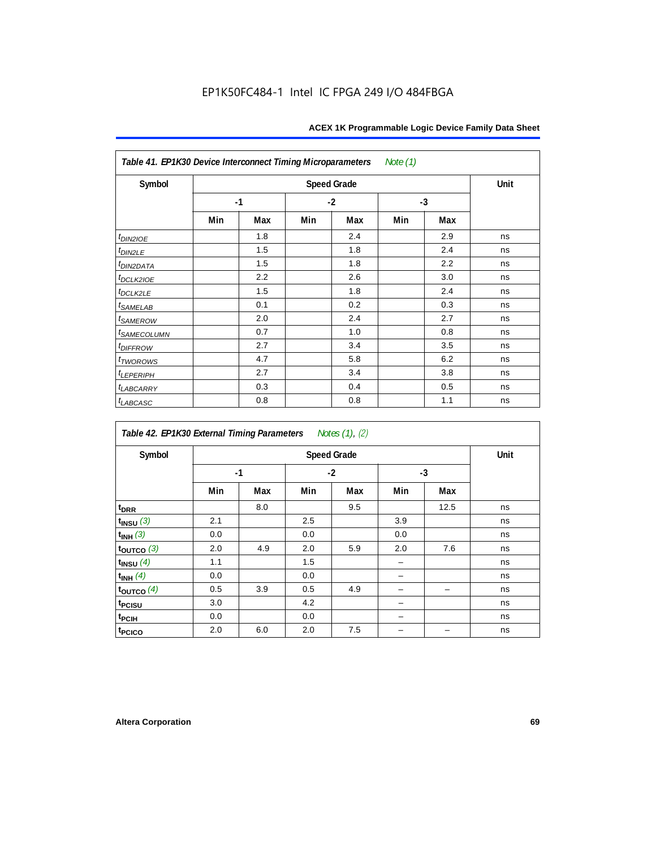| Table 41. EP1K30 Device Interconnect Timing Microparameters |     |      |     |      | Note (1) |      |    |
|-------------------------------------------------------------|-----|------|-----|------|----------|------|----|
| Symbol                                                      |     | Unit |     |      |          |      |    |
|                                                             |     | $-1$ |     | $-2$ |          | $-3$ |    |
|                                                             | Min | Max  | Min | Max  | Min      | Max  |    |
| $t_{DINZIOE}$                                               |     | 1.8  |     | 2.4  |          | 2.9  | ns |
| $t_{DIN2LE}$                                                |     | 1.5  |     | 1.8  |          | 2.4  | ns |
| t <sub>DI<u>N2DATA</u></sub>                                |     | 1.5  |     | 1.8  |          | 2.2  | ns |
| $t$ <sub>DCLK2IOE</sub>                                     |     | 2.2  |     | 2.6  |          | 3.0  | ns |
| $t_{DCLK2LE}$                                               |     | 1.5  |     | 1.8  |          | 2.4  | ns |
| $t_{SAMELAB}$                                               |     | 0.1  |     | 0.2  |          | 0.3  | ns |
| t <sub>SAMEROW</sub>                                        |     | 2.0  |     | 2.4  |          | 2.7  | ns |
| <i>t<sub>SAMECOLUMN</sub></i>                               |     | 0.7  |     | 1.0  |          | 0.8  | ns |
| <i>t<sub>DIFFROW</sub></i>                                  |     | 2.7  |     | 3.4  |          | 3.5  | ns |
| $t_{TWOROWS}$                                               |     | 4.7  |     | 5.8  |          | 6.2  | ns |
| $t_{LEPERIPH}$                                              |     | 2.7  |     | 3.4  |          | 3.8  | ns |
| <b><i>t<sub>LABCARRY</sub></i></b>                          |     | 0.3  |     | 0.4  |          | 0.5  | ns |
| $t_{LABCASC}$                                               |     | 0.8  |     | 0.8  |          | 1.1  | ns |

| Table 42. EP1K30 External Timing Parameters Notes (1), (2) |      |      |      |     |      |      |    |
|------------------------------------------------------------|------|------|------|-----|------|------|----|
| Symbol                                                     |      | Unit |      |     |      |      |    |
|                                                            | $-1$ |      | $-2$ |     | $-3$ |      |    |
|                                                            | Min  | Max  | Min  | Max | Min  | Max  |    |
| t <sub>DRR</sub>                                           |      | 8.0  |      | 9.5 |      | 12.5 | ns |
| $t_{INSU}$ (3)                                             | 2.1  |      | 2.5  |     | 3.9  |      | ns |
| $t_{INH}$ (3)                                              | 0.0  |      | 0.0  |     | 0.0  |      | ns |
| $t_{OUTCO}$ (3)                                            | 2.0  | 4.9  | 2.0  | 5.9 | 2.0  | 7.6  | ns |
| $t_{INSU}$ $(4)$                                           | 1.1  |      | 1.5  |     |      |      | ns |
| $t_{INH}$ (4)                                              | 0.0  |      | 0.0  |     |      |      | ns |
| $t_{\text{OUTCO}}(4)$                                      | 0.5  | 3.9  | 0.5  | 4.9 |      |      | ns |
| t <sub>PCISU</sub>                                         | 3.0  |      | 4.2  |     |      |      | ns |
| t <sub>PCIH</sub>                                          | 0.0  |      | 0.0  |     |      |      | ns |
| t <sub>PCICO</sub>                                         | 2.0  | 6.0  | 2.0  | 7.5 |      |      | ns |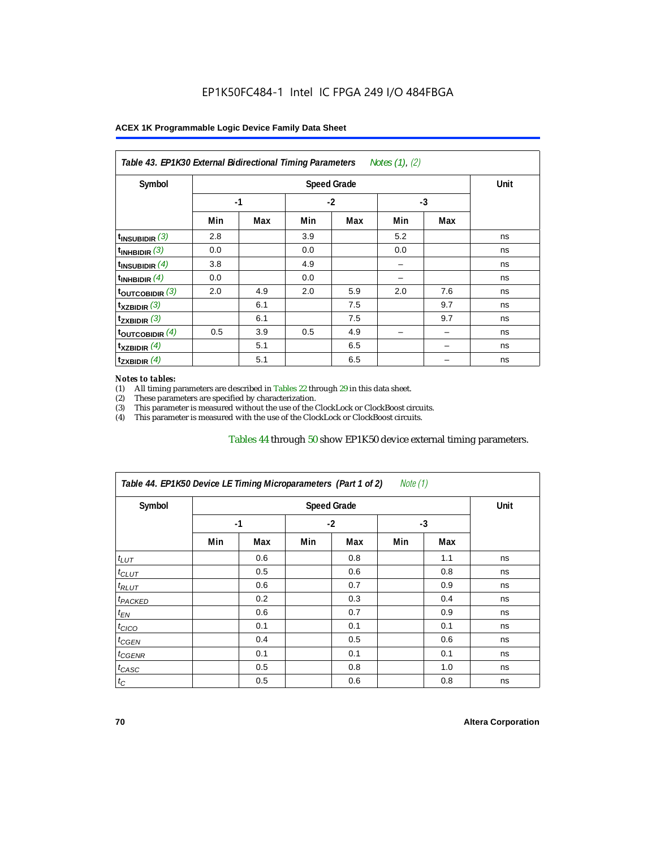| Table 43. EP1K30 External Bidirectional Timing Parameters Notes (1), (2) |      |      |      |     |      |            |    |
|--------------------------------------------------------------------------|------|------|------|-----|------|------------|----|
| Symbol                                                                   |      | Unit |      |     |      |            |    |
|                                                                          | $-1$ |      | $-2$ |     | $-3$ |            |    |
|                                                                          | Min  | Max  | Min  | Max | Min  | Max<br>7.6 |    |
| $t_{\text{INSUBIDIR}}(3)$                                                | 2.8  |      | 3.9  |     | 5.2  |            | ns |
| $t_{INHBIDIR}$ (3)                                                       | 0.0  |      | 0.0  |     | 0.0  |            | ns |
| $t_{INSUBIDIR}(4)$                                                       | 3.8  |      | 4.9  |     |      |            | ns |
| $t_{INHBIDIR}$ (4)                                                       | 0.0  |      | 0.0  |     |      |            | ns |
| $t_{\text{OUTCOBIDIR}}$ (3)                                              | 2.0  | 4.9  | 2.0  | 5.9 | 2.0  |            | ns |
| $t_{XZBIDIR}$ (3)                                                        |      | 6.1  |      | 7.5 |      | 9.7        | ns |
| $t_{ZXBIDIR}$ (3)                                                        |      | 6.1  |      | 7.5 |      | 9.7        | ns |
| toutcobidir $(4)$                                                        | 0.5  | 3.9  | 0.5  | 4.9 |      |            | ns |
| $t_{XZBIDIR}$ (4)                                                        |      | 5.1  |      | 6.5 |      |            | ns |
| $t_{ZXBIDIR}$ (4)                                                        |      | 5.1  |      | 6.5 |      |            | ns |

#### *Notes to tables:*

(1) All timing parameters are described in Tables 22 through  $29$  in this data sheet.<br>(2) These parameters are specified by characterization.

(2) These parameters are specified by characterization.<br>
(3) This parameter is measured without the use of the C This parameter is measured without the use of the ClockLock or ClockBoost circuits.

(4) This parameter is measured with the use of the ClockLock or ClockBoost circuits.

#### Tables 44 through 50 show EP1K50 device external timing parameters.

| Symbol               |      | <b>Speed Grade</b> |      |     |      |     |    |  |  |  |
|----------------------|------|--------------------|------|-----|------|-----|----|--|--|--|
|                      | $-1$ |                    | $-2$ |     | $-3$ |     |    |  |  |  |
|                      | Min  | Max                | Min  | Max | Min  | Max |    |  |  |  |
| $t_{LUT}$            |      | 0.6                |      | 0.8 |      | 1.1 | ns |  |  |  |
| $t_{CLUT}$           |      | 0.5                |      | 0.6 |      | 0.8 | ns |  |  |  |
| $t_{RLUT}$           |      | 0.6                |      | 0.7 |      | 0.9 | ns |  |  |  |
| <sup>t</sup> PACKED  |      | 0.2                |      | 0.3 |      | 0.4 | ns |  |  |  |
| $t_{EN}$             |      | 0.6                |      | 0.7 |      | 0.9 | ns |  |  |  |
| $t_{CICO}$           |      | 0.1                |      | 0.1 |      | 0.1 | ns |  |  |  |
| $t_{\overline{GEN}}$ |      | 0.4                |      | 0.5 |      | 0.6 | ns |  |  |  |
| $t_{GENR}$           |      | 0.1                |      | 0.1 |      | 0.1 | ns |  |  |  |
| $t_{CASC}$           |      | 0.5                |      | 0.8 |      | 1.0 | ns |  |  |  |
| $t_C$                |      | 0.5                |      | 0.6 |      | 0.8 | ns |  |  |  |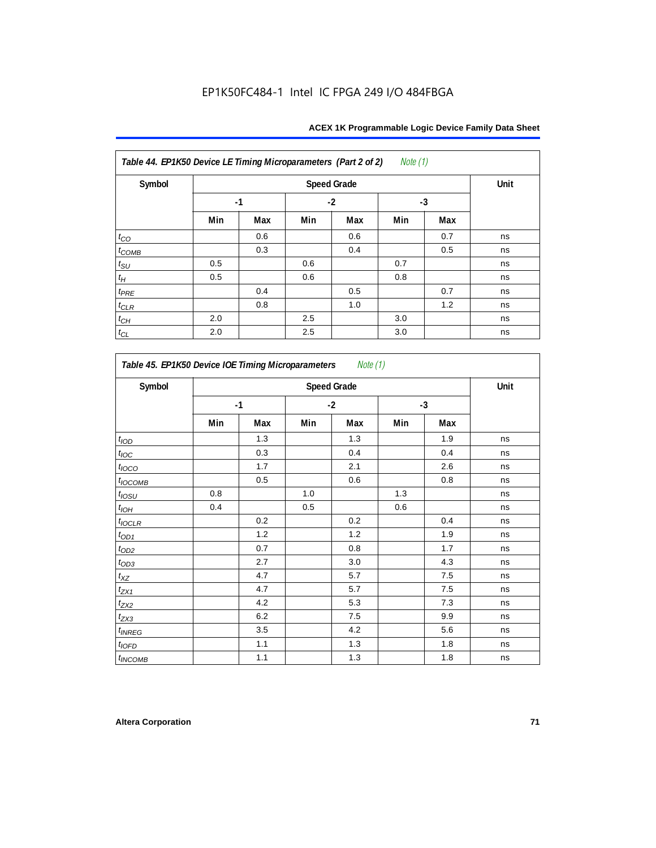| Symbol             |     | <b>Speed Grade</b> |     |      |     |      |    |  |  |
|--------------------|-----|--------------------|-----|------|-----|------|----|--|--|
|                    |     | $-1$               |     | $-2$ |     | $-3$ |    |  |  |
|                    | Min | Max                | Min | Max  | Min | Max  |    |  |  |
| $t_{CO}$           |     | 0.6                |     | 0.6  |     | 0.7  | ns |  |  |
| $t_{COMB}$         |     | 0.3                |     | 0.4  |     | 0.5  | ns |  |  |
| $t_{\rm SU}$       | 0.5 |                    | 0.6 |      | 0.7 |      | ns |  |  |
| $t_H\,$            | 0.5 |                    | 0.6 |      | 0.8 |      | ns |  |  |
| $t_{PRE}$          |     | 0.4                |     | 0.5  |     | 0.7  | ns |  |  |
| $t_{CLR}$          |     | 0.8                |     | 1.0  |     | 1.2  | ns |  |  |
| $t_{\mathbb{C} H}$ | 2.0 |                    | 2.5 |      | 3.0 |      | ns |  |  |
| $t_{CL}$           | 2.0 |                    | 2.5 |      | 3.0 |      | ns |  |  |

| Symbol           | <b>Speed Grade</b> |     |      |     |      |     |    |  |
|------------------|--------------------|-----|------|-----|------|-----|----|--|
|                  | $-1$               |     | $-2$ |     | $-3$ |     |    |  |
|                  | Min                | Max | Min  | Max | Min  | Max |    |  |
| t <sub>IOD</sub> |                    | 1.3 |      | 1.3 |      | 1.9 | ns |  |
| $t_{\text{loc}}$ |                    | 0.3 |      | 0.4 |      | 0.4 | ns |  |
| $t_{IOCO}$       |                    | 1.7 |      | 2.1 |      | 2.6 | ns |  |
| $t_{IOCOMB}$     |                    | 0.5 |      | 0.6 |      | 0.8 | ns |  |
| $t_{IOSU}$       | 0.8                |     | 1.0  |     | 1.3  |     | ns |  |
| $t_{IOH}$        | 0.4                |     | 0.5  |     | 0.6  |     | ns |  |
| $t_{IOCLR}$      |                    | 0.2 |      | 0.2 |      | 0.4 | ns |  |
| $t_{\text{OD1}}$ |                    | 1.2 |      | 1.2 |      | 1.9 | ns |  |
| $t_{OD2}$        |                    | 0.7 |      | 0.8 |      | 1.7 | ns |  |
| $t_{OD3}$        |                    | 2.7 |      | 3.0 |      | 4.3 | ns |  |
| $t_{XZ}$         |                    | 4.7 |      | 5.7 |      | 7.5 | ns |  |
| $t_{ZX1}$        |                    | 4.7 |      | 5.7 |      | 7.5 | ns |  |
| $t_{ZX2}$        |                    | 4.2 |      | 5.3 |      | 7.3 | ns |  |
| $t_{ZX3}$        |                    | 6.2 |      | 7.5 |      | 9.9 | ns |  |
| $t_{INREG}$      |                    | 3.5 |      | 4.2 |      | 5.6 | ns |  |
| $t_{IOFD}$       |                    | 1.1 |      | 1.3 |      | 1.8 | ns |  |
| $t_{INCOMB}$     |                    | 1.1 |      | 1.3 |      | 1.8 | ns |  |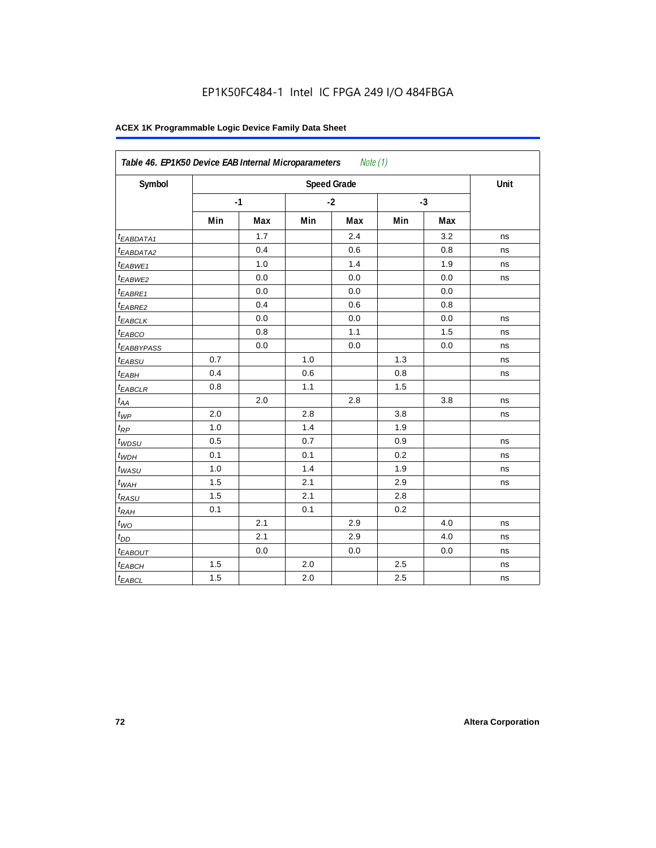| Symbol                 |     |      |     | <b>Speed Grade</b> |     |      | Unit |
|------------------------|-----|------|-----|--------------------|-----|------|------|
|                        |     | $-1$ |     | $-2$               |     | $-3$ |      |
|                        | Min | Max  | Min | Max                | Min | Max  |      |
| t <sub>EABDATA1</sub>  |     | 1.7  |     | 2.4                |     | 3.2  | ns   |
| <sup>t</sup> EABDATA2  |     | 0.4  |     | 0.6                |     | 0.8  | ns   |
| t <sub>EABWE1</sub>    |     | 1.0  |     | 1.4                |     | 1.9  | ns   |
| <sup>t</sup> EABWE2    |     | 0.0  |     | 0.0                |     | 0.0  | ns   |
| <sup>t</sup> EABRE1    |     | 0.0  |     | 0.0                |     | 0.0  |      |
| $t_{EABRE2}$           |     | 0.4  |     | 0.6                |     | 0.8  |      |
| <sup>t</sup> EABCLK    |     | 0.0  |     | 0.0                |     | 0.0  | ns   |
| t <sub>EABCO</sub>     |     | 0.8  |     | 1.1                |     | 1.5  | ns   |
| <sup>t</sup> EABBYPASS |     | 0.0  |     | 0.0                |     | 0.0  | ns   |
| $t_{EABSU}$            | 0.7 |      | 1.0 |                    | 1.3 |      | ns   |
| t <sub>EABH</sub>      | 0.4 |      | 0.6 |                    | 0.8 |      | ns   |
| $t_{EABCLR}$           | 0.8 |      | 1.1 |                    | 1.5 |      |      |
| $t_{AA}$               |     | 2.0  |     | 2.8                |     | 3.8  | ns   |
| $t_{\mathcal{WP}}$     | 2.0 |      | 2.8 |                    | 3.8 |      | ns   |
| $t_{RP}$               | 1.0 |      | 1.4 |                    | 1.9 |      |      |
| $t_{WDSU}$             | 0.5 |      | 0.7 |                    | 0.9 |      | ns   |
| $t_{WDH}$              | 0.1 |      | 0.1 |                    | 0.2 |      | ns   |
| $t_{WASU}$             | 1.0 |      | 1.4 |                    | 1.9 |      | ns   |
| $t_{WAH}$              | 1.5 |      | 2.1 |                    | 2.9 |      | ns   |
| t <sub>RASU</sub>      | 1.5 |      | 2.1 |                    | 2.8 |      |      |
| $t_{RAH}$              | 0.1 |      | 0.1 |                    | 0.2 |      |      |
| $t_{WO}$               |     | 2.1  |     | 2.9                |     | 4.0  | ns   |
| $t_{DD}$               |     | 2.1  |     | 2.9                |     | 4.0  | ns   |
| $t_{EABOUT}$           |     | 0.0  |     | 0.0                |     | 0.0  | ns   |
| t <sub>EABCH</sub>     | 1.5 |      | 2.0 |                    | 2.5 |      | ns   |
| $t_{EABCL}$            | 1.5 |      | 2.0 |                    | 2.5 |      | ns   |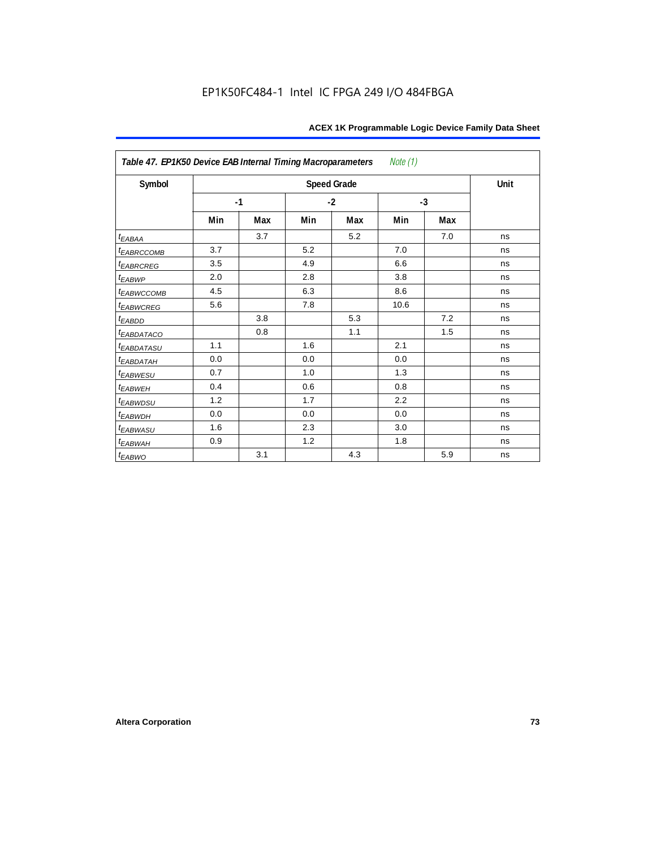| Table 47. EP1K50 Device EAB Internal Timing Macroparameters<br>Note (1) |      |     |      |                    |      |     |      |  |  |  |
|-------------------------------------------------------------------------|------|-----|------|--------------------|------|-----|------|--|--|--|
| Symbol                                                                  |      |     |      | <b>Speed Grade</b> |      |     | Unit |  |  |  |
|                                                                         | $-1$ |     | $-2$ |                    | $-3$ |     |      |  |  |  |
|                                                                         | Min  | Max | Min  | Max                | Min  | Max |      |  |  |  |
| $t_{EABA}$                                                              |      | 3.7 |      | 5.2                |      | 7.0 | ns   |  |  |  |
| t <sub>EABRCCOMB</sub>                                                  | 3.7  |     | 5.2  |                    | 7.0  |     | ns   |  |  |  |
| t <sub>EABRCREG</sub>                                                   | 3.5  |     | 4.9  |                    | 6.6  |     | ns   |  |  |  |
| $t_{EABWP}$                                                             | 2.0  |     | 2.8  |                    | 3.8  |     | ns   |  |  |  |
| <sup>t</sup> EABWCCOMB                                                  | 4.5  |     | 6.3  |                    | 8.6  |     | ns   |  |  |  |
| t <sub>EABWCREG</sub>                                                   | 5.6  |     | 7.8  |                    | 10.6 |     | ns   |  |  |  |
| t <sub>EABDD</sub>                                                      |      | 3.8 |      | 5.3                |      | 7.2 | ns   |  |  |  |
| t <sub>eabdataco</sub>                                                  |      | 0.8 |      | 1.1                |      | 1.5 | ns   |  |  |  |
| <i>EABDATASU</i>                                                        | 1.1  |     | 1.6  |                    | 2.1  |     | ns   |  |  |  |
| <sup>t</sup> EABDATAH                                                   | 0.0  |     | 0.0  |                    | 0.0  |     | ns   |  |  |  |
| t <sub>EABWESU</sub>                                                    | 0.7  |     | 1.0  |                    | 1.3  |     | ns   |  |  |  |
| <b>t</b> EABWEH                                                         | 0.4  |     | 0.6  |                    | 0.8  |     | ns   |  |  |  |
| t <sub>EABWDSU</sub>                                                    | 1.2  |     | 1.7  |                    | 2.2  |     | ns   |  |  |  |
| t <sub>EABWDH</sub>                                                     | 0.0  |     | 0.0  |                    | 0.0  |     | ns   |  |  |  |
| t <sub>EABWASU</sub>                                                    | 1.6  |     | 2.3  |                    | 3.0  |     | ns   |  |  |  |
| <sup>t</sup> EABWAH                                                     | 0.9  |     | 1.2  |                    | 1.8  |     | ns   |  |  |  |
| $t_{EABWO}$                                                             |      | 3.1 |      | 4.3                |      | 5.9 | ns   |  |  |  |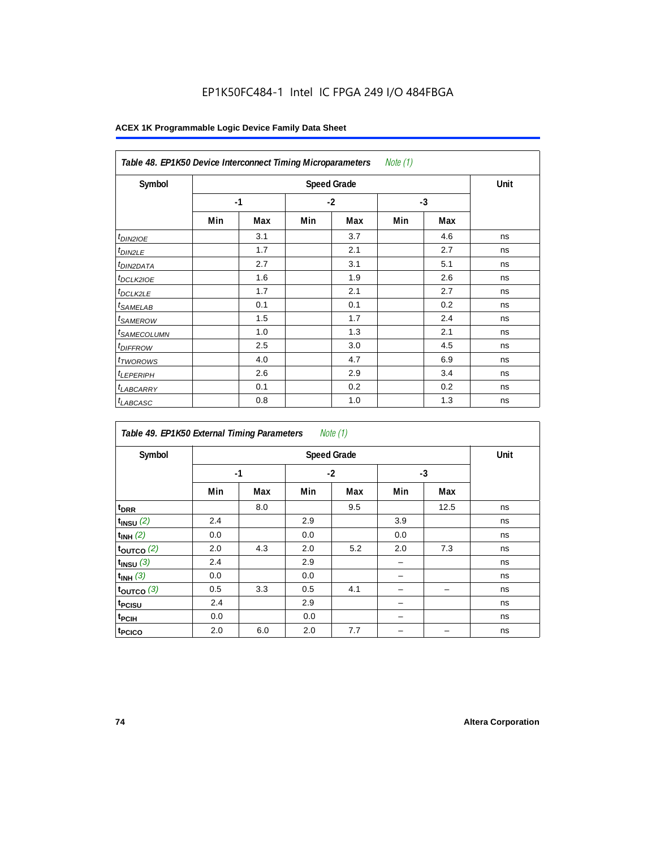| Note $(1)$<br>Table 48. EP1K50 Device Interconnect Timing Microparameters |     |      |      |     |      |     |    |  |  |  |
|---------------------------------------------------------------------------|-----|------|------|-----|------|-----|----|--|--|--|
| Symbol                                                                    |     | Unit |      |     |      |     |    |  |  |  |
|                                                                           |     | $-1$ | $-2$ |     | $-3$ |     |    |  |  |  |
|                                                                           | Min | Max  | Min  | Max | Min  | Max |    |  |  |  |
| $t_{DINZIOE}$                                                             |     | 3.1  |      | 3.7 |      | 4.6 | ns |  |  |  |
| <sup>t</sup> DIN2LE                                                       |     | 1.7  |      | 2.1 |      | 2.7 | ns |  |  |  |
| <sup>t</sup> DIN2DATA                                                     |     | 2.7  |      | 3.1 |      | 5.1 | ns |  |  |  |
| <sup>t</sup> DCLK2IOE                                                     |     | 1.6  |      | 1.9 |      | 2.6 | ns |  |  |  |
| <sup>t</sup> DCLK2LE                                                      |     | 1.7  |      | 2.1 |      | 2.7 | ns |  |  |  |
| <sup>t</sup> SAMELAB                                                      |     | 0.1  |      | 0.1 |      | 0.2 | ns |  |  |  |
| <sup>t</sup> SAMEROW                                                      |     | 1.5  |      | 1.7 |      | 2.4 | ns |  |  |  |
| <sup>t</sup> SAMECOLUMN                                                   |     | 1.0  |      | 1.3 |      | 2.1 | ns |  |  |  |
| <i>t<sub>DIFFROW</sub></i>                                                |     | 2.5  |      | 3.0 |      | 4.5 | ns |  |  |  |
| <sup>t</sup> TWOROWS                                                      |     | 4.0  |      | 4.7 |      | 6.9 | ns |  |  |  |
| <sup>t</sup> LEPERIPH                                                     |     | 2.6  |      | 2.9 |      | 3.4 | ns |  |  |  |
| <sup>t</sup> LABCARRY                                                     |     | 0.1  |      | 0.2 |      | 0.2 | ns |  |  |  |
| <b>LABCASC</b>                                                            |     | 0.8  |      | 1.0 |      | 1.3 | ns |  |  |  |

| Note $(1)$<br>Table 49. EP1K50 External Timing Parameters |      |      |     |      |     |      |    |  |  |  |  |
|-----------------------------------------------------------|------|------|-----|------|-----|------|----|--|--|--|--|
| Symbol                                                    |      | Unit |     |      |     |      |    |  |  |  |  |
|                                                           | $-1$ |      |     | $-2$ |     | $-3$ |    |  |  |  |  |
|                                                           | Min  | Max  | Min | Max  | Min | Max  |    |  |  |  |  |
| t <sub>DRR</sub>                                          |      | 8.0  |     | 9.5  |     | 12.5 | ns |  |  |  |  |
| $t_{INSU}$ (2)                                            | 2.4  |      | 2.9 |      | 3.9 |      | ns |  |  |  |  |
| $t_{INH}$ (2)                                             | 0.0  |      | 0.0 |      | 0.0 |      | ns |  |  |  |  |
| $t_{OUTCO}$ (2)                                           | 2.0  | 4.3  | 2.0 | 5.2  | 2.0 | 7.3  | ns |  |  |  |  |
| $t_{INSU}$ (3)                                            | 2.4  |      | 2.9 |      | -   |      | ns |  |  |  |  |
| $t_{INH}$ (3)                                             | 0.0  |      | 0.0 |      |     |      | ns |  |  |  |  |
| $t_{OUTCO}$ (3)                                           | 0.5  | 3.3  | 0.5 | 4.1  |     | -    | ns |  |  |  |  |
| t <sub>PCISU</sub>                                        | 2.4  |      | 2.9 |      |     |      | ns |  |  |  |  |
| t <sub>PCIH</sub>                                         | 0.0  |      | 0.0 |      |     |      | ns |  |  |  |  |
| t <sub>PCICO</sub>                                        | 2.0  | 6.0  | 2.0 | 7.7  |     |      | ns |  |  |  |  |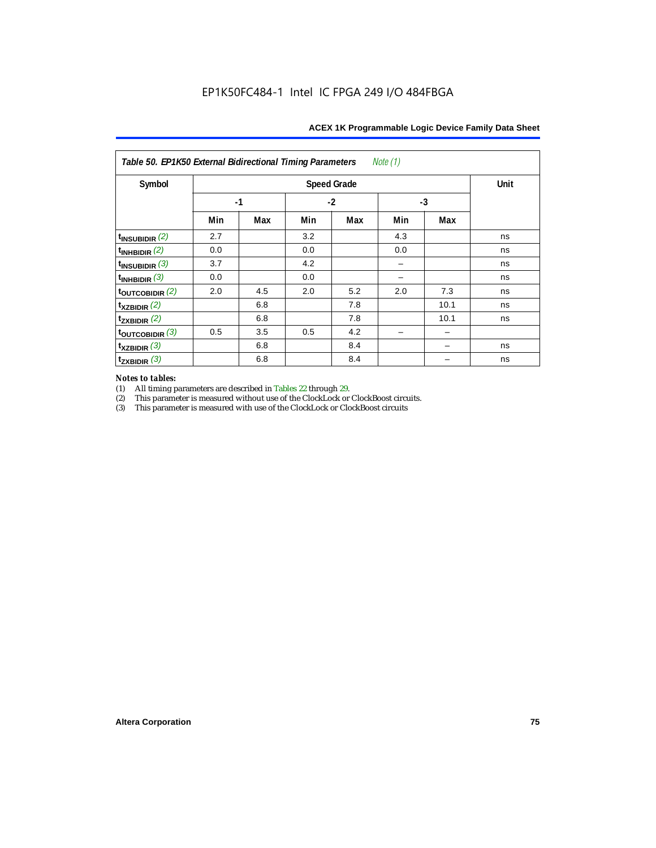| Note (1)<br>Table 50. EP1K50 External Bidirectional Timing Parameters |     |      |     |                    |     |      |      |  |  |  |
|-----------------------------------------------------------------------|-----|------|-----|--------------------|-----|------|------|--|--|--|
| Symbol                                                                |     |      |     | <b>Speed Grade</b> |     |      | Unit |  |  |  |
|                                                                       |     | $-1$ |     | $-2$               | -3  |      |      |  |  |  |
|                                                                       | Min | Max  | Min | Max                | Min | Max  |      |  |  |  |
| $t_{INSUBIDIR}$ $(2)$                                                 | 2.7 |      | 3.2 |                    | 4.3 |      | ns   |  |  |  |
| $\vert$ t <sub>inhbidir</sub> $\vert$ <sup>2)</sup>                   | 0.0 |      | 0.0 |                    | 0.0 |      | ns   |  |  |  |
| $t_{\text{INSUBIDIR}}$ (3)                                            | 3.7 |      | 4.2 |                    |     |      | ns   |  |  |  |
| $\vert$ t <sub>inhbidir</sub> (3)                                     | 0.0 |      | 0.0 |                    |     |      | ns   |  |  |  |
| $\frac{t_{\text{OUTCOBIDIR}}(2)}{t}$                                  | 2.0 | 4.5  | 2.0 | 5.2                | 2.0 | 7.3  | ns   |  |  |  |
| $\mathbf{t}_{\text{XZBIDIR}}$ (2)                                     |     | 6.8  |     | 7.8                |     | 10.1 | ns   |  |  |  |
| $t_{ZXBIDIR}$ (2)                                                     |     | 6.8  |     | 7.8                |     | 10.1 | ns   |  |  |  |
| $_{\rm 100}$ t <sub>outcobidir</sub> (3)                              | 0.5 | 3.5  | 0.5 | 4.2                |     |      |      |  |  |  |
| $\mathbf{t}_{\text{XZBIDIR}}$ (3)                                     |     | 6.8  |     | 8.4                |     |      | ns   |  |  |  |
| $t_{\text{ZXBIDIR}}$ (3)                                              |     | 6.8  |     | 8.4                |     |      | ns   |  |  |  |

# *Notes to tables:*

(1) All timing parameters are described in Tables 22 through 29.<br>
(2) This parameter is measured without use of the ClockLock or

(2) This parameter is measured without use of the ClockLock or ClockBoost circuits.<br>
(3) This parameter is measured with use of the ClockLock or ClockBoost circuits

This parameter is measured with use of the ClockLock or ClockBoost circuits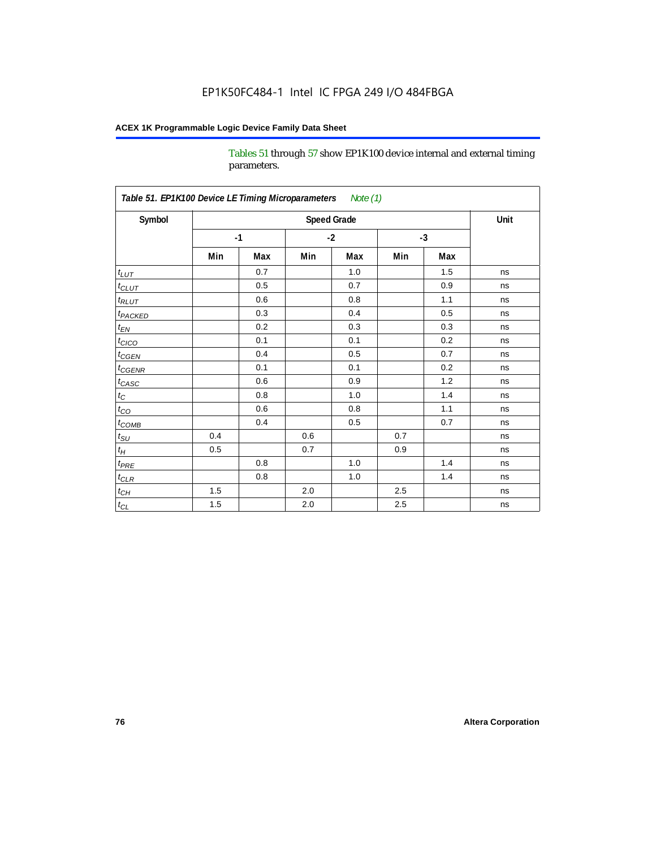Tables 51 through 57 show EP1K100 device internal and external timing parameters.

| Symbol                     |     |      |     | <b>Speed Grade</b> |     |      | Unit |
|----------------------------|-----|------|-----|--------------------|-----|------|------|
|                            |     | $-1$ |     | $-2$               |     | $-3$ |      |
|                            | Min | Max  | Min | Max                | Min | Max  |      |
| $t_{LUT}$                  |     | 0.7  |     | 1.0                |     | 1.5  | ns   |
| $t_{CLUT}$                 |     | 0.5  |     | 0.7                |     | 0.9  | ns   |
| $t_{RLUT}$                 |     | 0.6  |     | 0.8                |     | 1.1  | ns   |
| <b>t</b> <sub>PACKED</sub> |     | 0.3  |     | 0.4                |     | 0.5  | ns   |
| $t_{EN}$                   |     | 0.2  |     | 0.3                |     | 0.3  | ns   |
| $t_{CICO}$                 |     | 0.1  |     | 0.1                |     | 0.2  | ns   |
| $t_{\text{CGEN}}$          |     | 0.4  |     | 0.5                |     | 0.7  | ns   |
| $t_{GENR}$                 |     | 0.1  |     | 0.1                |     | 0.2  | ns   |
| $t_{CASC}$                 |     | 0.6  |     | 0.9                |     | 1.2  | ns   |
| $t_C$                      |     | 0.8  |     | 1.0                |     | 1.4  | ns   |
| $t_{CO}$                   |     | 0.6  |     | 0.8                |     | 1.1  | ns   |
| $t_{\text{COMB}}$          |     | 0.4  |     | 0.5                |     | 0.7  | ns   |
| $t_{\rm SU}$               | 0.4 |      | 0.6 |                    | 0.7 |      | ns   |
| $t_H\,$                    | 0.5 |      | 0.7 |                    | 0.9 |      | ns   |
| $t_{PRE}$                  |     | 0.8  |     | $1.0\,$            |     | 1.4  | ns   |
| $t_{CLR}$                  |     | 0.8  |     | 1.0                |     | 1.4  | ns   |
| $t_{\underline{CH}}$       | 1.5 |      | 2.0 |                    | 2.5 |      | ns   |
| $t_{\text{CL}}$            | 1.5 |      | 2.0 |                    | 2.5 |      | ns   |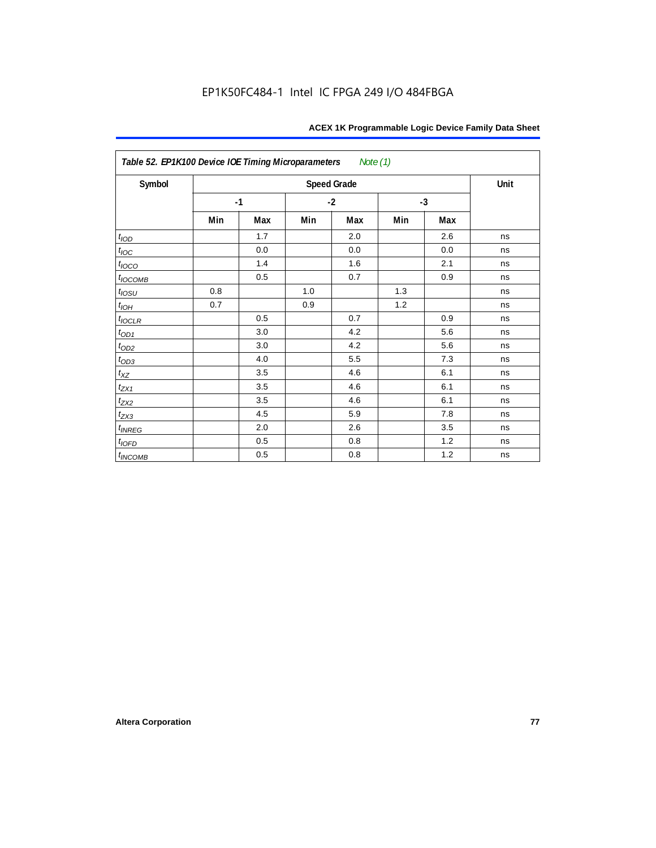| Table 52. EP1K100 Device IOE Timing Microparameters<br>Note (1) |     |      |      |                    |      |     |      |  |  |  |
|-----------------------------------------------------------------|-----|------|------|--------------------|------|-----|------|--|--|--|
| Symbol                                                          |     |      |      | <b>Speed Grade</b> |      |     | Unit |  |  |  |
|                                                                 |     | $-1$ | $-2$ |                    | $-3$ |     |      |  |  |  |
|                                                                 | Min | Max  | Min  | Max                | Min  | Max |      |  |  |  |
| t <sub>IOD</sub>                                                |     | 1.7  |      | 2.0                |      | 2.6 | ns   |  |  |  |
| $t_{\text{IOC}}$                                                |     | 0.0  |      | 0.0                |      | 0.0 | ns   |  |  |  |
| $t_{IOCO}$                                                      |     | 1.4  |      | 1.6                |      | 2.1 | ns   |  |  |  |
| $t_{IOCOMB}$                                                    |     | 0.5  |      | 0.7                |      | 0.9 | ns   |  |  |  |
| $t_{10SU}$                                                      | 0.8 |      | 1.0  |                    | 1.3  |     | ns   |  |  |  |
| $t_{IOM}$                                                       | 0.7 |      | 0.9  |                    | 1.2  |     | ns   |  |  |  |
| $t_{IOCLR}$                                                     |     | 0.5  |      | 0.7                |      | 0.9 | ns   |  |  |  |
| $t_{\text{OD1}}$                                                |     | 3.0  |      | 4.2                |      | 5.6 | ns   |  |  |  |
| $t_{OD2}$                                                       |     | 3.0  |      | 4.2                |      | 5.6 | ns   |  |  |  |
| $t_{OD3}$                                                       |     | 4.0  |      | 5.5                |      | 7.3 | ns   |  |  |  |
| $t_{XZ}$                                                        |     | 3.5  |      | 4.6                |      | 6.1 | ns   |  |  |  |
| $t_{ZX1}$                                                       |     | 3.5  |      | 4.6                |      | 6.1 | ns   |  |  |  |
| $t_{ZX2}$                                                       |     | 3.5  |      | 4.6                |      | 6.1 | ns   |  |  |  |
| $t_{ZX3}$                                                       |     | 4.5  |      | 5.9                |      | 7.8 | ns   |  |  |  |
| $t_{INREG}$                                                     |     | 2.0  |      | 2.6                |      | 3.5 | ns   |  |  |  |
| $t_{IOFD}$                                                      |     | 0.5  |      | 0.8                |      | 1.2 | ns   |  |  |  |
| t <sub>INCOMB</sub>                                             |     | 0.5  |      | 0.8                |      | 1.2 | ns   |  |  |  |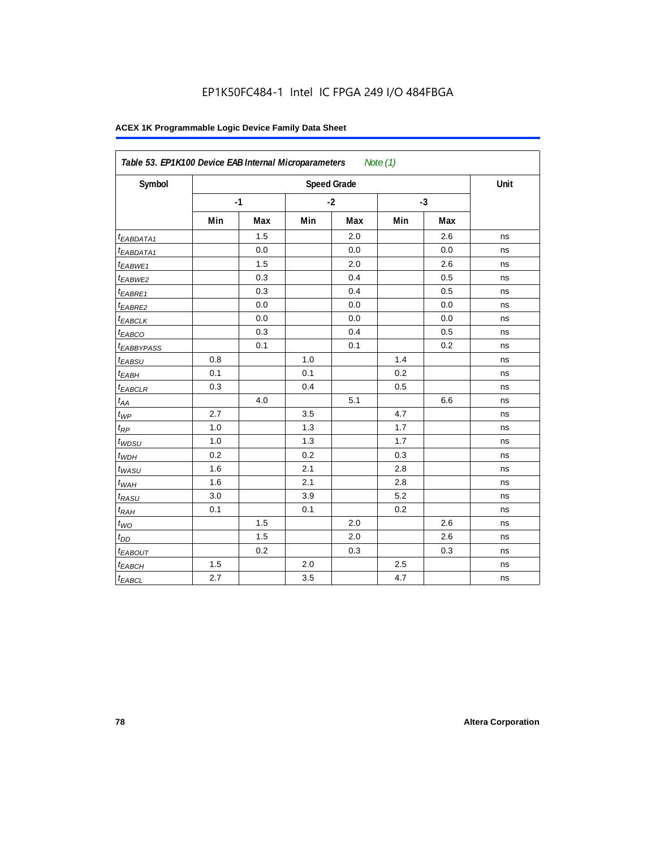| Symbol                 |     |      |     | <b>Speed Grade</b> |     |      | Unit |
|------------------------|-----|------|-----|--------------------|-----|------|------|
|                        |     | $-1$ |     | $-2$               |     | $-3$ |      |
|                        | Min | Max  | Min | Max                | Min | Max  |      |
| <sup>t</sup> EABDATA1  |     | 1.5  |     | 2.0                |     | 2.6  | ns   |
| <sup>t</sup> EABDATA1  |     | 0.0  |     | 0.0                |     | 0.0  | ns   |
| t <sub>EABWE1</sub>    |     | 1.5  |     | 2.0                |     | 2.6  | ns   |
| t <sub>EABWE2</sub>    |     | 0.3  |     | 0.4                |     | 0.5  | ns   |
| <sup>t</sup> EABRE1    |     | 0.3  |     | 0.4                |     | 0.5  | ns   |
| t <sub>EABRE2</sub>    |     | 0.0  |     | 0.0                |     | 0.0  | ns   |
| t <sub>EABCLK</sub>    |     | 0.0  |     | 0.0                |     | 0.0  | ns   |
| $t_{EABCO}$            |     | 0.3  |     | 0.4                |     | 0.5  | ns   |
| <sup>t</sup> EABBYPASS |     | 0.1  |     | 0.1                |     | 0.2  | ns   |
| t <sub>EABSU</sub>     | 0.8 |      | 1.0 |                    | 1.4 |      | ns   |
| t <sub>EABH</sub>      | 0.1 |      | 0.1 |                    | 0.2 |      | ns   |
| $t_{EABCLR}$           | 0.3 |      | 0.4 |                    | 0.5 |      | ns   |
| $t_{AA}$               |     | 4.0  |     | 5.1                |     | 6.6  | ns   |
| $t_{\mathit{WP}}$      | 2.7 |      | 3.5 |                    | 4.7 |      | ns   |
| $t_{RP}$               | 1.0 |      | 1.3 |                    | 1.7 |      | ns   |
| $t_{WDSU}$             | 1.0 |      | 1.3 |                    | 1.7 |      | ns   |
| $t_{WDH}$              | 0.2 |      | 0.2 |                    | 0.3 |      | ns   |
| $t_{WASU}$             | 1.6 |      | 2.1 |                    | 2.8 |      | ns   |
| $t_{WAH}$              | 1.6 |      | 2.1 |                    | 2.8 |      | ns   |
| $t_{RASU}$             | 3.0 |      | 3.9 |                    | 5.2 |      | ns   |
| $t_{RAH}$              | 0.1 |      | 0.1 |                    | 0.2 |      | ns   |
| $t_{WO}$               |     | 1.5  |     | 2.0                |     | 2.6  | ns   |
| $t_{DD}$               |     | 1.5  |     | 2.0                |     | 2.6  | ns   |
| <b><i>EABOUT</i></b>   |     | 0.2  |     | 0.3                |     | 0.3  | ns   |
| $t_{EABCH}$            | 1.5 |      | 2.0 |                    | 2.5 |      | ns   |
| $t_{EABCL}$            | 2.7 |      | 3.5 |                    | 4.7 |      | ns   |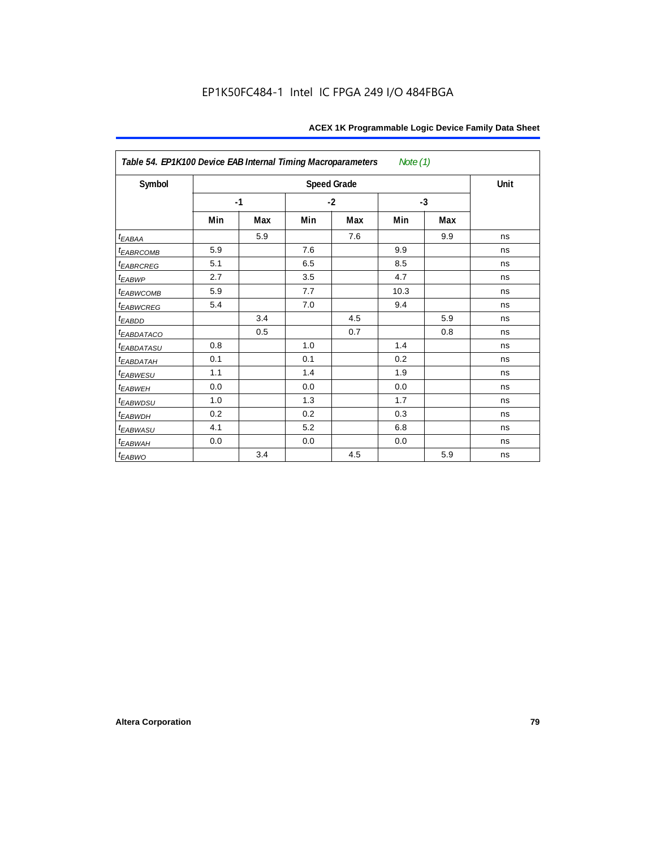| Table 54. EP1K100 Device EAB Internal Timing Macroparameters Note (1) |     |      |      |                    |      |     |      |  |  |  |
|-----------------------------------------------------------------------|-----|------|------|--------------------|------|-----|------|--|--|--|
| Symbol                                                                |     |      |      | <b>Speed Grade</b> |      |     | Unit |  |  |  |
|                                                                       |     | $-1$ | $-2$ |                    | $-3$ |     |      |  |  |  |
|                                                                       | Min | Max  | Min  | Max                | Min  | Max |      |  |  |  |
| $t_{EABA}$                                                            |     | 5.9  |      | 7.6                |      | 9.9 | ns   |  |  |  |
| <sup>t</sup> EABRCOMB                                                 | 5.9 |      | 7.6  |                    | 9.9  |     | ns   |  |  |  |
| <b><i>EABRCREG</i></b>                                                | 5.1 |      | 6.5  |                    | 8.5  |     | ns   |  |  |  |
| $t_{EABWP}$                                                           | 2.7 |      | 3.5  |                    | 4.7  |     | ns   |  |  |  |
| <sup>t</sup> EABWCOMB                                                 | 5.9 |      | 7.7  |                    | 10.3 |     | ns   |  |  |  |
| <i>EABWCREG</i>                                                       | 5.4 |      | 7.0  |                    | 9.4  |     | ns   |  |  |  |
| $t_{EABDD}$                                                           |     | 3.4  |      | 4.5                |      | 5.9 | ns   |  |  |  |
| <sup>t</sup> EABDATACO                                                |     | 0.5  |      | 0.7                |      | 0.8 | ns   |  |  |  |
| t <sub>EABDATASU</sub>                                                | 0.8 |      | 1.0  |                    | 1.4  |     | ns   |  |  |  |
| <sup>t</sup> EABDATAH                                                 | 0.1 |      | 0.1  |                    | 0.2  |     | ns   |  |  |  |
| t <sub>EABWESU</sub>                                                  | 1.1 |      | 1.4  |                    | 1.9  |     | ns   |  |  |  |
| <sup>t</sup> EABWEH                                                   | 0.0 |      | 0.0  |                    | 0.0  |     | ns   |  |  |  |
| t <sub>EABWDSU</sub>                                                  | 1.0 |      | 1.3  |                    | 1.7  |     | ns   |  |  |  |
| <sup>t</sup> EABWDH                                                   | 0.2 |      | 0.2  |                    | 0.3  |     | ns   |  |  |  |
| <sup>t</sup> EABWASU                                                  | 4.1 |      | 5.2  |                    | 6.8  |     | ns   |  |  |  |
| t <sub>EABWAH</sub>                                                   | 0.0 |      | 0.0  |                    | 0.0  |     | ns   |  |  |  |
| $t_{EABWO}$                                                           |     | 3.4  |      | 4.5                |      | 5.9 | ns   |  |  |  |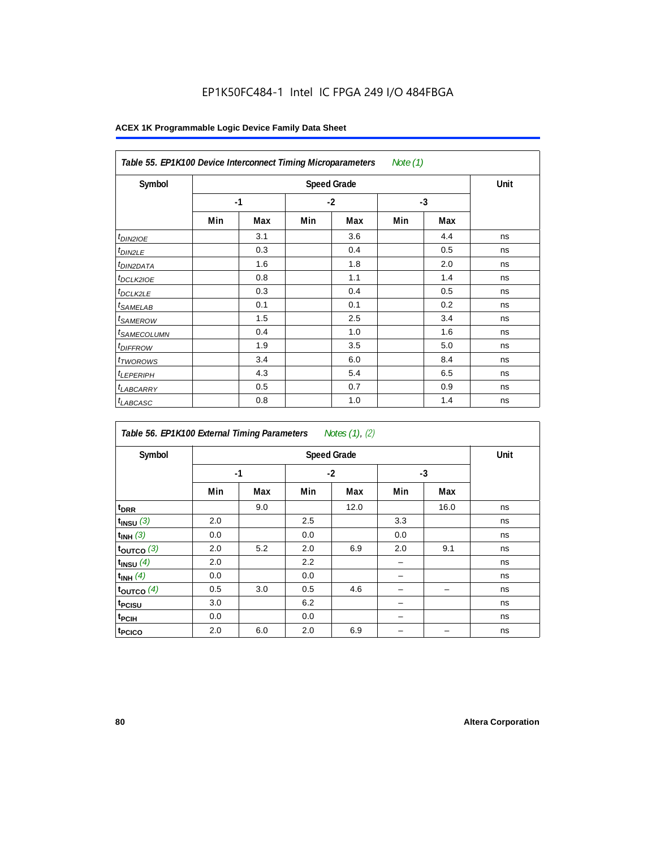| Table 55. EP1K100 Device Interconnect Timing Microparameters<br>Note (1) |     |      |      |     |      |     |    |  |  |
|--------------------------------------------------------------------------|-----|------|------|-----|------|-----|----|--|--|
| Symbol                                                                   |     | Unit |      |     |      |     |    |  |  |
|                                                                          |     | $-1$ | $-2$ |     | $-3$ |     |    |  |  |
|                                                                          | Min | Max  | Min  | Max | Min  | Max |    |  |  |
| <i>t<sub>DIN2IOE</sub></i>                                               |     | 3.1  |      | 3.6 |      | 4.4 | ns |  |  |
| <sup>t</sup> DIN2LE                                                      |     | 0.3  |      | 0.4 |      | 0.5 | ns |  |  |
| <sup>t</sup> DIN2DATA                                                    |     | 1.6  |      | 1.8 |      | 2.0 | ns |  |  |
| <sup>t</sup> DCLK2IOE                                                    |     | 0.8  |      | 1.1 |      | 1.4 | ns |  |  |
| <sup>t</sup> DCLK2LE                                                     |     | 0.3  |      | 0.4 |      | 0.5 | ns |  |  |
| <sup>t</sup> SAMELAB                                                     |     | 0.1  |      | 0.1 |      | 0.2 | ns |  |  |
| <sup>t</sup> SAMEROW                                                     |     | 1.5  |      | 2.5 |      | 3.4 | ns |  |  |
| <sup>t</sup> SAMECOLUMN                                                  |     | 0.4  |      | 1.0 |      | 1.6 | ns |  |  |
| <i>t<sub>DIFFROW</sub></i>                                               |     | 1.9  |      | 3.5 |      | 5.0 | ns |  |  |
| <sup>t</sup> TWOROWS                                                     |     | 3.4  |      | 6.0 |      | 8.4 | ns |  |  |
| <sup>t</sup> LEPERIPH                                                    |     | 4.3  |      | 5.4 |      | 6.5 | ns |  |  |
| <sup>t</sup> LABCARRY                                                    |     | 0.5  |      | 0.7 |      | 0.9 | ns |  |  |
| <sup>t</sup> LABCASC                                                     |     | 0.8  |      | 1.0 |      | 1.4 | ns |  |  |

| Table 56. EP1K100 External Timing Parameters Notes (1), (2) |     |      |     |                    |      |      |      |  |  |  |
|-------------------------------------------------------------|-----|------|-----|--------------------|------|------|------|--|--|--|
| Symbol                                                      |     |      |     | <b>Speed Grade</b> |      |      | Unit |  |  |  |
|                                                             |     | $-1$ |     | $-2$               | $-3$ |      |      |  |  |  |
|                                                             | Min | Max  | Min | Max                | Min  | Max  |      |  |  |  |
| t <sub>DRR</sub>                                            |     | 9.0  |     | 12.0               |      | 16.0 | ns   |  |  |  |
| $t_{INSU}$ (3)                                              | 2.0 |      | 2.5 |                    | 3.3  |      | ns   |  |  |  |
| $t_{INH}$ (3)                                               | 0.0 |      | 0.0 |                    | 0.0  |      | ns   |  |  |  |
| $t_{OUTCO}$ (3)                                             | 2.0 | 5.2  | 2.0 | 6.9                | 2.0  | 9.1  | ns   |  |  |  |
| $t_{INSU}$ (4)                                              | 2.0 |      | 2.2 |                    |      |      | ns   |  |  |  |
| $t_{INH}$ (4)                                               | 0.0 |      | 0.0 |                    |      |      | ns   |  |  |  |
| toutco $(4)$                                                | 0.5 | 3.0  | 0.5 | 4.6                |      |      | ns   |  |  |  |
| t <sub>PCISU</sub>                                          | 3.0 |      | 6.2 |                    |      |      | ns   |  |  |  |
| t <sub>PCIH</sub>                                           | 0.0 |      | 0.0 |                    | -    |      | ns   |  |  |  |
| t <sub>PCICO</sub>                                          | 2.0 | 6.0  | 2.0 | 6.9                |      |      | ns   |  |  |  |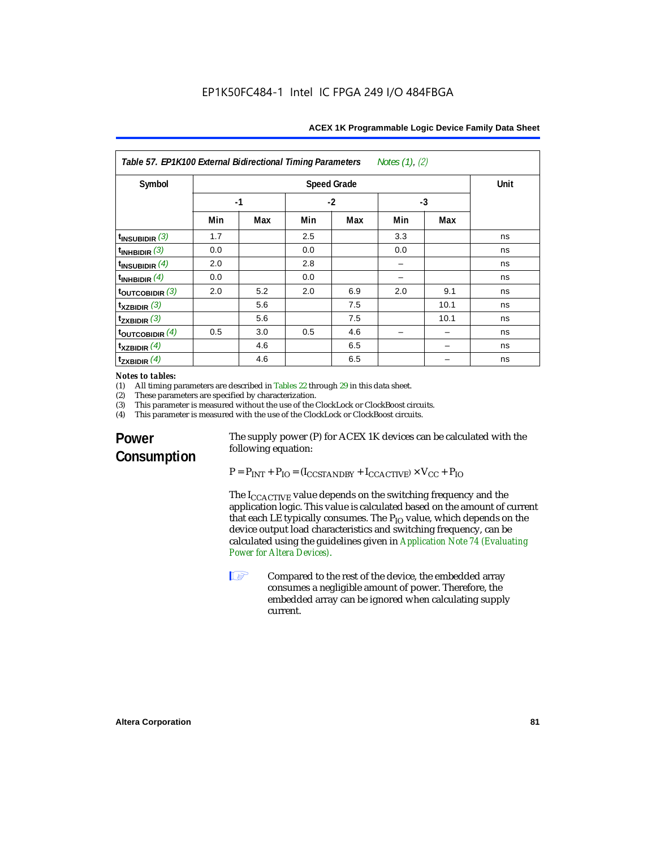| Table 57. EP1K100 External Bidirectional Timing Parameters<br>Notes $(1)$ , $(2)$ |                    |     |      |     |      |      |    |
|-----------------------------------------------------------------------------------|--------------------|-----|------|-----|------|------|----|
| Symbol                                                                            | <b>Speed Grade</b> |     |      |     |      | Unit |    |
|                                                                                   | $-1$               |     | $-2$ |     | $-3$ |      |    |
|                                                                                   | Min                | Max | Min  | Max | Min  | Max  |    |
| $t_{INSUBIDIR}$ (3)                                                               | 1.7                |     | 2.5  |     | 3.3  |      | ns |
| $t_{INHBIDIR}$ (3)                                                                | 0.0                |     | 0.0  |     | 0.0  |      | ns |
| $t_{INSUBIDIR}$ $(4)$                                                             | 2.0                |     | 2.8  |     |      |      | ns |
| $t_{INHBIDIR}$ (4)                                                                | 0.0                |     | 0.0  |     |      |      | ns |
| $t_{\text{OUTCOBIDIR}}$ (3)                                                       | 2.0                | 5.2 | 2.0  | 6.9 | 2.0  | 9.1  | ns |
| $t_{XZBIDIR}$ (3)                                                                 |                    | 5.6 |      | 7.5 |      | 10.1 | ns |
| $t_{ZXBIDIR}$ (3)                                                                 |                    | 5.6 |      | 7.5 |      | 10.1 | ns |
| $t_{\text{OUTC}OBIDIR}$ (4)                                                       | 0.5                | 3.0 | 0.5  | 4.6 |      |      | ns |
| $t_{XZBIDIR}$ (4)                                                                 |                    | 4.6 |      | 6.5 |      |      | ns |
| $t_{ZXBIDIR}$ (4)                                                                 |                    | 4.6 |      | 6.5 |      |      | ns |

## *Notes to tables:*<br>(1) All timing p

(1) All timing parameters are described in Tables 22 through  $29$  in this data sheet.<br>(2) These parameters are specified by characterization.

(2) These parameters are specified by characterization.<br>(3) This parameter is measured without the use of the C

(3) This parameter is measured without the use of the ClockLock or ClockBoost circuits.<br>(4) This parameter is measured with the use of the ClockLock or ClockBoost circuits.

This parameter is measured with the use of the ClockLock or ClockBoost circuits.

## **Power Consumption**

The supply power (P) for ACEX 1K devices can be calculated with the following equation:

 $P = P_{INT} + P_{IO} = (I_{CCSTANDBY} + I_{CCACTIVE}) \times V_{CC} + P_{IO}$ 

The I<sub>CCACTIVE</sub> value depends on the switching frequency and the application logic. This value is calculated based on the amount of current that each LE typically consumes. The  $P_{IO}$  value, which depends on the device output load characteristics and switching frequency, can be calculated using the guidelines given in *Application Note 74 (Evaluating Power for Altera Devices)*.

**1 Compared to the rest of the device, the embedded array** consumes a negligible amount of power. Therefore, the embedded array can be ignored when calculating supply current.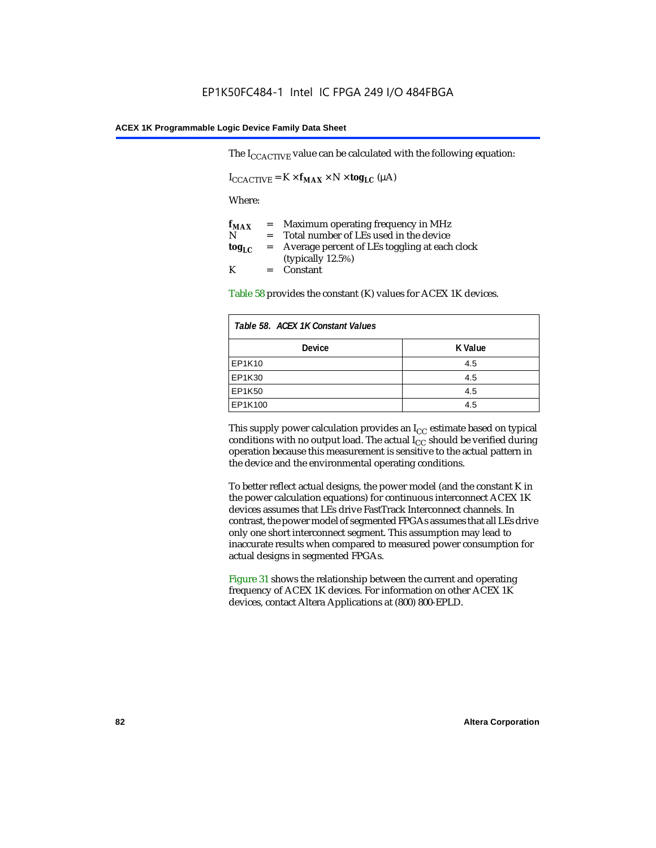The  $I_{CCACTIVE}$  value can be calculated with the following equation:

 $I_{\text{CCACTIVE}} = K \times f_{\text{MAX}} \times N \times \text{tog}_{\text{LC}} (\mu A)$ 

Where:

| $f_{MAX}$  | $=$     | Maximum operating frequency in MHz            |
|------------|---------|-----------------------------------------------|
| N          | $=$ $-$ | Total number of LEs used in the device        |
| $log_{LC}$ | $=$     | Average percent of LEs toggling at each clock |
|            |         | (typically $12.5\%$ )                         |
| K          |         | $=$ Constant                                  |

Table 58 provides the constant (K) values for ACEX 1K devices.

| Table 58. ACEX 1K Constant Values |         |  |
|-----------------------------------|---------|--|
| <b>Device</b>                     | K Value |  |
| EP1K10                            | 4.5     |  |
| EP1K30                            | 4.5     |  |
| EP1K50                            | 4.5     |  |
| EP1K100                           | 4.5     |  |

This supply power calculation provides an  $I_{CC}$  estimate based on typical conditions with no output load. The actual  $I_{CC}$  should be verified during operation because this measurement is sensitive to the actual pattern in the device and the environmental operating conditions.

To better reflect actual designs, the power model (and the constant K in the power calculation equations) for continuous interconnect ACEX 1K devices assumes that LEs drive FastTrack Interconnect channels. In contrast, the power model of segmented FPGAs assumes that all LEs drive only one short interconnect segment. This assumption may lead to inaccurate results when compared to measured power consumption for actual designs in segmented FPGAs.

Figure 31 shows the relationship between the current and operating frequency of ACEX 1K devices. For information on other ACEX 1K devices, contact Altera Applications at (800) 800-EPLD.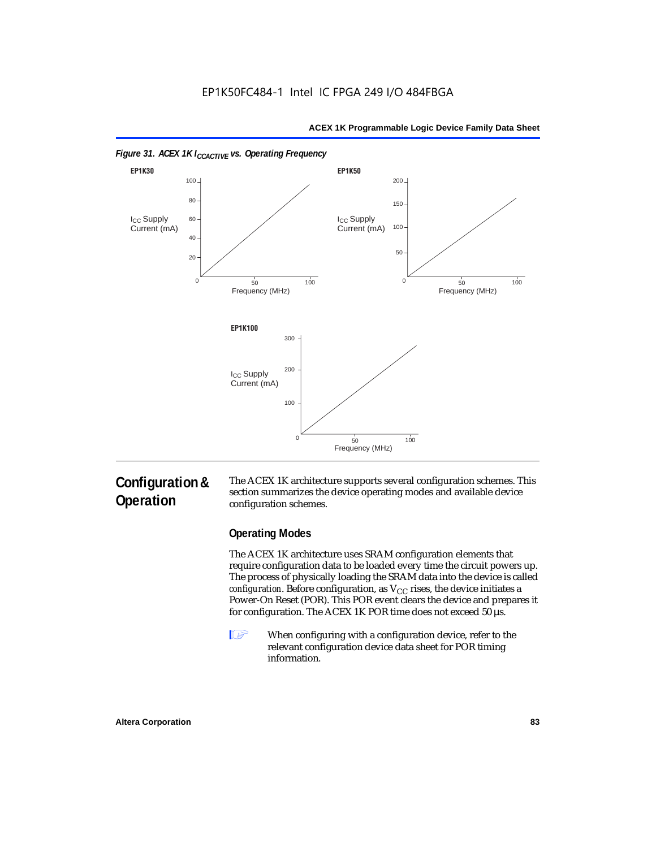



#### *Figure 31. ACEX 1K I<sub>CCACTIVE</sub> vs. Operating Frequency*

## **Configuration & Operation**

The ACEX 1K architecture supports several configuration schemes. This section summarizes the device operating modes and available device configuration schemes.

## **Operating Modes**

The ACEX 1K architecture uses SRAM configuration elements that require configuration data to be loaded every time the circuit powers up. The process of physically loading the SRAM data into the device is called *configuration*. Before configuration, as  $V_{CC}$  rises, the device initiates a Power-On Reset (POR). This POR event clears the device and prepares it for configuration. The ACEX 1K POR time does not exceed 50 µs.

**1** When configuring with a configuration device, refer to the relevant configuration device data sheet for POR timing information.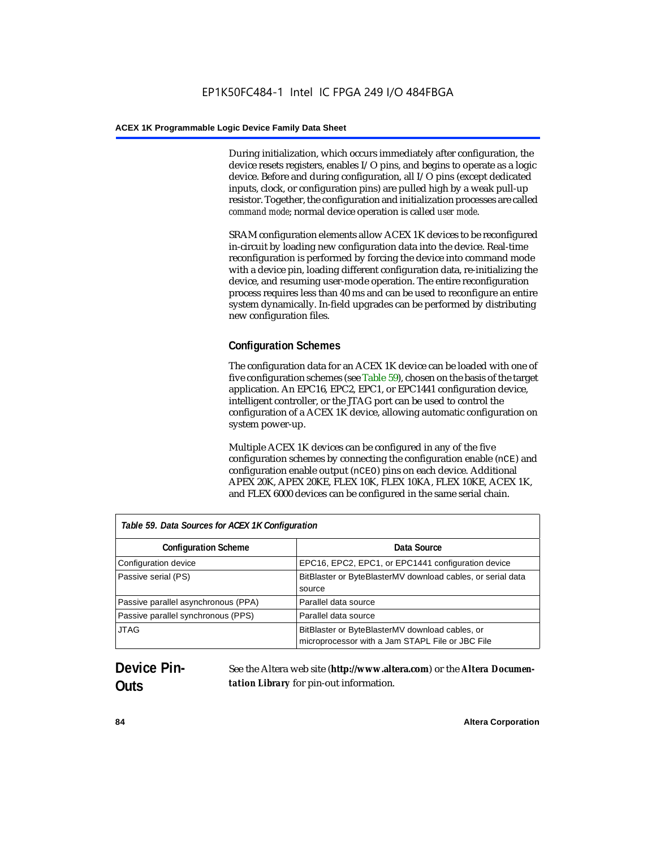During initialization, which occurs immediately after configuration, the device resets registers, enables I/O pins, and begins to operate as a logic device. Before and during configuration, all I/O pins (except dedicated inputs, clock, or configuration pins) are pulled high by a weak pull-up resistor. Together, the configuration and initialization processes are called *command mode*; normal device operation is called *user mode*.

SRAM configuration elements allow ACEX 1K devices to be reconfigured in-circuit by loading new configuration data into the device. Real-time reconfiguration is performed by forcing the device into command mode with a device pin, loading different configuration data, re-initializing the device, and resuming user-mode operation. The entire reconfiguration process requires less than 40 ms and can be used to reconfigure an entire system dynamically. In-field upgrades can be performed by distributing new configuration files.

## **Configuration Schemes**

The configuration data for an ACEX 1K device can be loaded with one of five configuration schemes (see Table 59), chosen on the basis of the target application. An EPC16, EPC2, EPC1, or EPC1441 configuration device, intelligent controller, or the JTAG port can be used to control the configuration of a ACEX 1K device, allowing automatic configuration on system power-up.

Multiple ACEX 1K devices can be configured in any of the five configuration schemes by connecting the configuration enable (nCE) and configuration enable output (nCEO) pins on each device. Additional APEX 20K, APEX 20KE, FLEX 10K, FLEX 10KA, FLEX 10KE, ACEX 1K, and FLEX 6000 devices can be configured in the same serial chain.

| Table 59. Data Sources for ACEX 1K Configuration |                                                                                                     |  |
|--------------------------------------------------|-----------------------------------------------------------------------------------------------------|--|
| <b>Configuration Scheme</b>                      | Data Source                                                                                         |  |
| Configuration device                             | EPC16, EPC2, EPC1, or EPC1441 configuration device                                                  |  |
| Passive serial (PS)                              | BitBlaster or ByteBlasterMV download cables, or serial data<br>source                               |  |
| Passive parallel asynchronous (PPA)              | Parallel data source                                                                                |  |
| Passive parallel synchronous (PPS)               | Parallel data source                                                                                |  |
| <b>JTAG</b>                                      | BitBlaster or ByteBlasterMV download cables, or<br>microprocessor with a Jam STAPL File or JBC File |  |

## **Device Pin-Outs**

See the Altera web site (**http://www.altera.com**) or the *Altera Documentation Library* for pin-out information.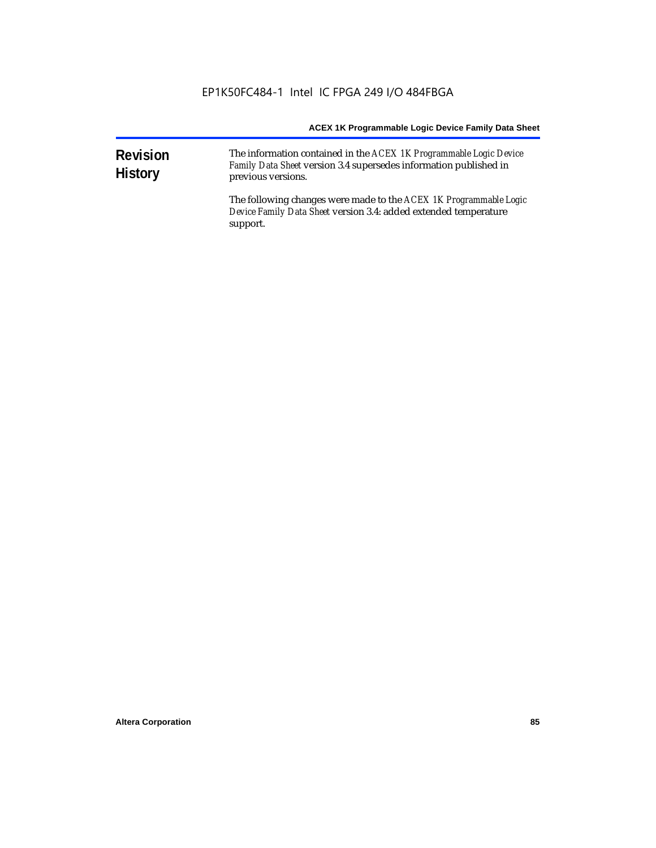| <b>Revision</b><br><b>History</b> | The information contained in the ACEX 1K Programmable Logic Device<br>Family Data Sheet version 3.4 supersedes information published in<br>previous versions. |  |  |
|-----------------------------------|---------------------------------------------------------------------------------------------------------------------------------------------------------------|--|--|
|                                   | The following changes were made to the ACEX 1K Programmable Logic<br>Device Family Data Sheet version 3.4: added extended temperature<br>support.             |  |  |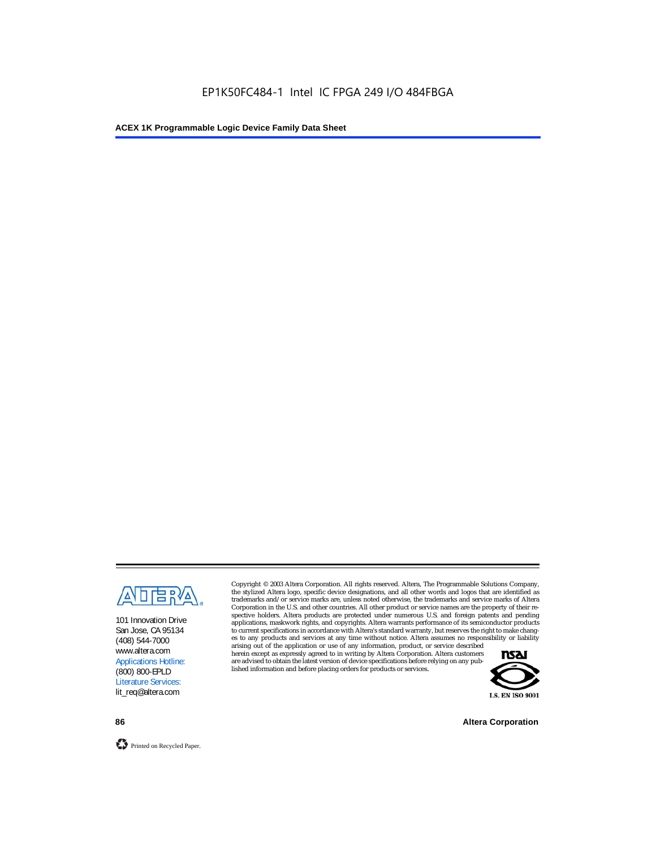

101 Innovation Drive San Jose, CA 95134 (408) 544-7000 www.altera.com Applications Hotline: (800) 800-EPLD Literature Services: lit\_req@altera.com

Copyright © 2003 Altera Corporation. All rights reserved. Altera, The Programmable Solutions Company, the stylized Altera logo, specific device designations, and all other words and logos that are identified as trademarks and/or service marks are, unless noted otherwise, the trademarks and service marks of Altera Corporation in the U.S. and other countries. All other product or service names are the property of their respective holders. Altera products are protected under numerous U.S. and foreign patents and pending applications, maskwork rights, and copyrights. Altera warrants performance of its semiconductor products to current specifications in accordance with Altera's standard warranty, but reserves the right to make changes to any products and services at any time without notice. Altera assumes no responsibility or liability

arising out of the application or use of any information, product, or service described herein except as expressly agreed to in writing by Altera Corporation. Altera customers are advised to obtain the latest version of device specifications before relying on any published information and before placing orders for products or services.



**86 Altera Corporation**